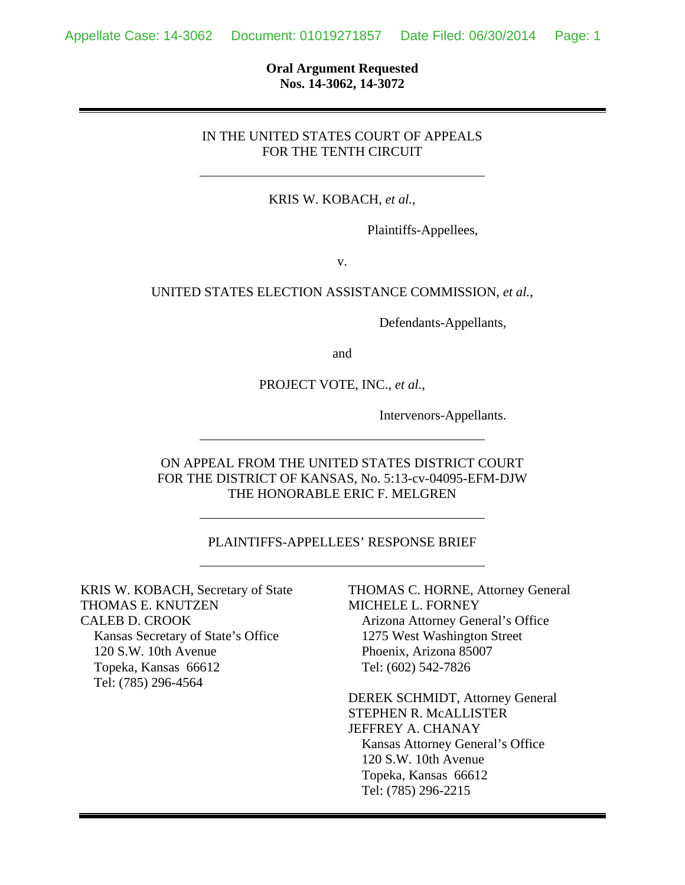**Oral Argument Requested Nos. 14-3062, 14-3072**

#### IN THE UNITED STATES COURT OF APPEALS FOR THE TENTH CIRCUIT

KRIS W. KOBACH, *et al.*,

Plaintiffs-Appellees,

v.

#### UNITED STATES ELECTION ASSISTANCE COMMISSION, *et al.*,

Defendants-Appellants,

and

#### PROJECT VOTE, INC., *et al.*,

Intervenors-Appellants.

#### ON APPEAL FROM THE UNITED STATES DISTRICT COURT FOR THE DISTRICT OF KANSAS, No. 5:13-cv-04095-EFM-DJW THE HONORABLE ERIC F. MELGREN

#### PLAINTIFFS-APPELLEES' RESPONSE BRIEF

KRIS W. KOBACH, Secretary of State THOMAS E. KNUTZEN CALEB D. CROOK Kansas Secretary of State's Office 120 S.W. 10th Avenue Topeka, Kansas 66612 Tel: (785) 296-4564

THOMAS C. HORNE, Attorney General MICHELE L. FORNEY Arizona Attorney General's Office 1275 West Washington Street Phoenix, Arizona 85007 Tel: (602) 542-7826

DEREK SCHMIDT, Attorney General STEPHEN R. McALLISTER JEFFREY A. CHANAY Kansas Attorney General's Office 120 S.W. 10th Avenue Topeka, Kansas 66612 Tel: (785) 296-2215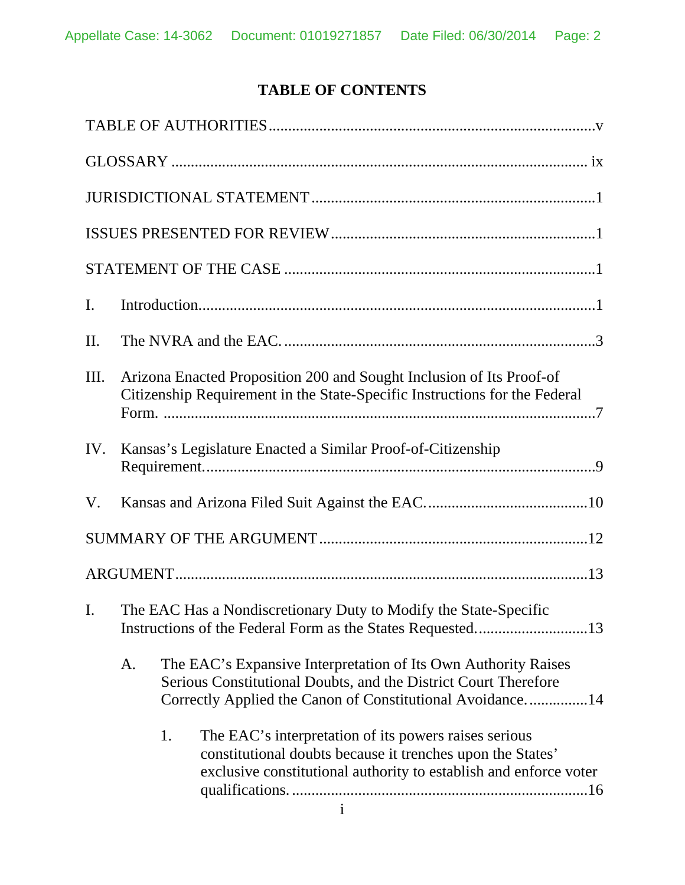# **TABLE OF CONTENTS**

| $\mathbf{I}$ . |                                                                                                                                                    |    |                                                                                                                                                                                                |  |
|----------------|----------------------------------------------------------------------------------------------------------------------------------------------------|----|------------------------------------------------------------------------------------------------------------------------------------------------------------------------------------------------|--|
| II.            |                                                                                                                                                    |    |                                                                                                                                                                                                |  |
| III.           | Arizona Enacted Proposition 200 and Sought Inclusion of Its Proof-of<br>Citizenship Requirement in the State-Specific Instructions for the Federal |    |                                                                                                                                                                                                |  |
| IV.            |                                                                                                                                                    |    | Kansas's Legislature Enacted a Similar Proof-of-Citizenship                                                                                                                                    |  |
| V.             |                                                                                                                                                    |    |                                                                                                                                                                                                |  |
|                |                                                                                                                                                    |    |                                                                                                                                                                                                |  |
|                |                                                                                                                                                    |    |                                                                                                                                                                                                |  |
| $\mathbf{I}$ . | The EAC Has a Nondiscretionary Duty to Modify the State-Specific                                                                                   |    |                                                                                                                                                                                                |  |
|                | A.                                                                                                                                                 |    | The EAC's Expansive Interpretation of Its Own Authority Raises<br>Serious Constitutional Doubts, and the District Court Therefore<br>Correctly Applied the Canon of Constitutional Avoidance14 |  |
|                |                                                                                                                                                    | 1. | The EAC's interpretation of its powers raises serious<br>constitutional doubts because it trenches upon the States'<br>exclusive constitutional authority to establish and enforce voter       |  |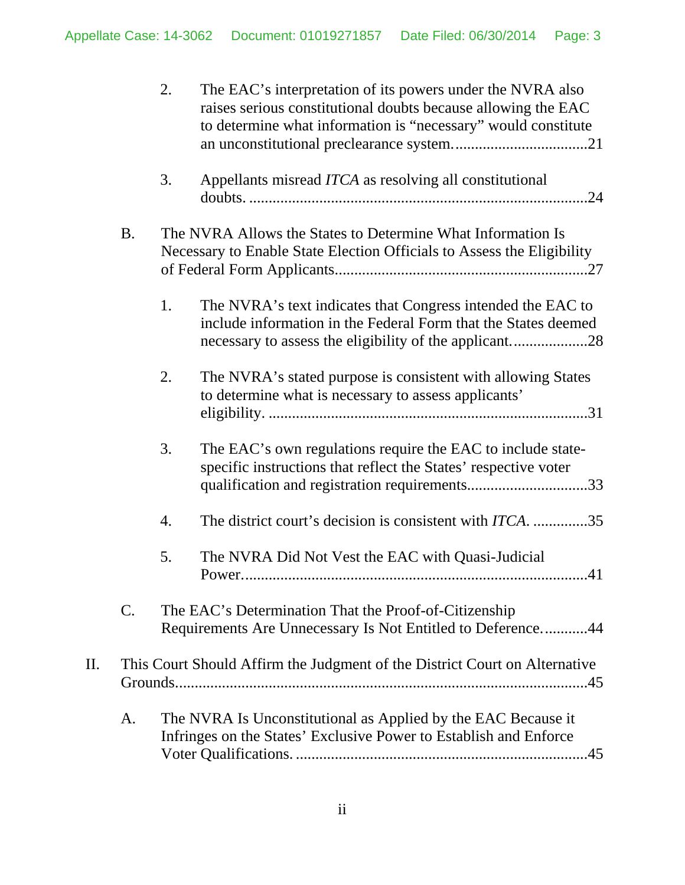|    |           | 2. | The EAC's interpretation of its powers under the NVRA also<br>raises serious constitutional doubts because allowing the EAC<br>to determine what information is "necessary" would constitute |  |  |  |
|----|-----------|----|----------------------------------------------------------------------------------------------------------------------------------------------------------------------------------------------|--|--|--|
|    |           | 3. | Appellants misread ITCA as resolving all constitutional                                                                                                                                      |  |  |  |
|    | <b>B.</b> |    | The NVRA Allows the States to Determine What Information Is<br>Necessary to Enable State Election Officials to Assess the Eligibility                                                        |  |  |  |
|    |           | 1. | The NVRA's text indicates that Congress intended the EAC to<br>include information in the Federal Form that the States deemed                                                                |  |  |  |
|    |           | 2. | The NVRA's stated purpose is consistent with allowing States<br>to determine what is necessary to assess applicants'                                                                         |  |  |  |
|    |           | 3. | The EAC's own regulations require the EAC to include state-<br>specific instructions that reflect the States' respective voter<br>qualification and registration requirements33              |  |  |  |
|    |           | 4. | The district court's decision is consistent with <i>ITCA</i> . 35                                                                                                                            |  |  |  |
|    |           | 5. | The NVRA Did Not Vest the EAC with Quasi-Judicial<br>.41<br>Power                                                                                                                            |  |  |  |
|    | C.        |    | The EAC's Determination That the Proof-of-Citizenship<br>Requirements Are Unnecessary Is Not Entitled to Deference44                                                                         |  |  |  |
| Π. |           |    | This Court Should Affirm the Judgment of the District Court on Alternative                                                                                                                   |  |  |  |
|    | A.        |    | The NVRA Is Unconstitutional as Applied by the EAC Because it<br>Infringes on the States' Exclusive Power to Establish and Enforce                                                           |  |  |  |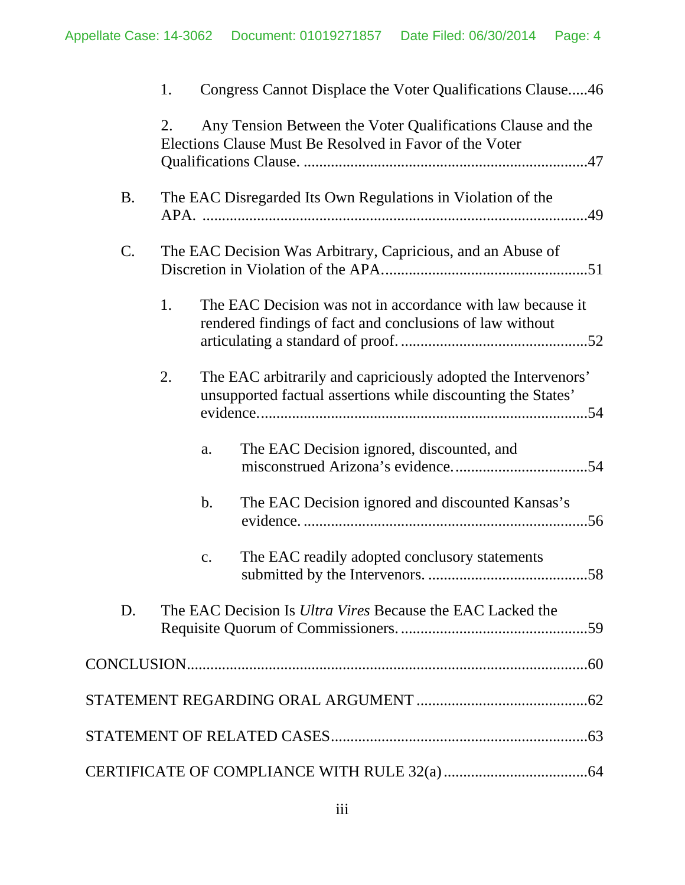|           | 1. |                                                             |               | Congress Cannot Displace the Voter Qualifications Clause46                                                                    |
|-----------|----|-------------------------------------------------------------|---------------|-------------------------------------------------------------------------------------------------------------------------------|
|           | 2. |                                                             |               | Any Tension Between the Voter Qualifications Clause and the<br>Elections Clause Must Be Resolved in Favor of the Voter        |
| <b>B.</b> |    |                                                             |               | The EAC Disregarded Its Own Regulations in Violation of the                                                                   |
| C.        |    | The EAC Decision Was Arbitrary, Capricious, and an Abuse of |               |                                                                                                                               |
|           | 1. |                                                             |               | The EAC Decision was not in accordance with law because it<br>rendered findings of fact and conclusions of law without        |
|           | 2. |                                                             |               | The EAC arbitrarily and capriciously adopted the Intervenors'<br>unsupported factual assertions while discounting the States' |
|           |    |                                                             | a.            | The EAC Decision ignored, discounted, and                                                                                     |
|           |    |                                                             | $\mathbf b$ . | The EAC Decision ignored and discounted Kansas's                                                                              |
|           |    |                                                             | c.            | The EAC readily adopted conclusory statements                                                                                 |
| D.        |    |                                                             |               | The EAC Decision Is <i>Ultra Vires</i> Because the EAC Lacked the                                                             |
|           |    |                                                             |               |                                                                                                                               |
|           |    |                                                             |               |                                                                                                                               |
|           |    |                                                             |               |                                                                                                                               |
|           |    |                                                             |               |                                                                                                                               |
|           |    |                                                             |               |                                                                                                                               |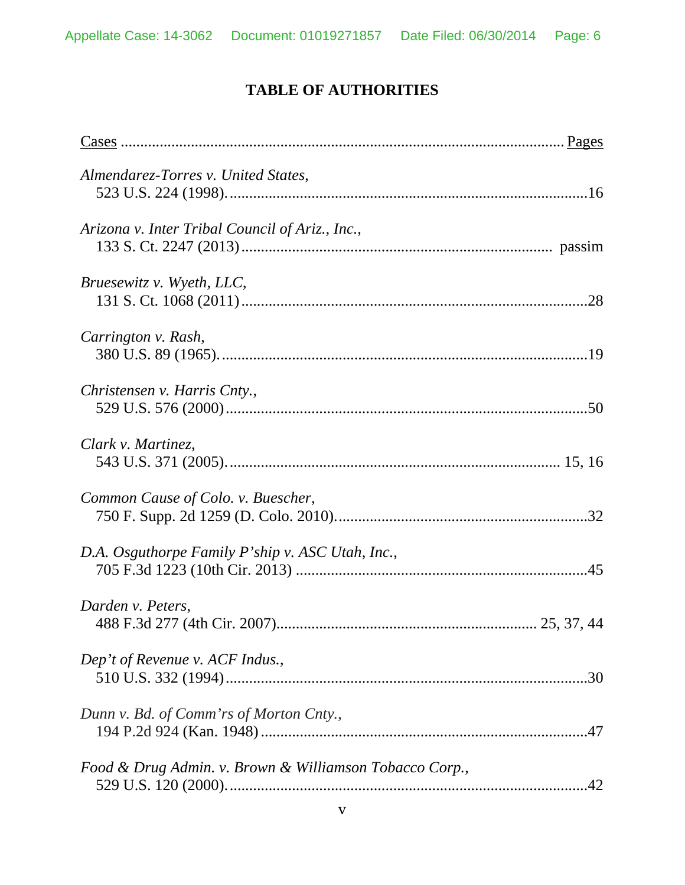# **TABLE OF AUTHORITIES**

<span id="page-5-0"></span>

| Almendarez-Torres v. United States,                     |
|---------------------------------------------------------|
| Arizona v. Inter Tribal Council of Ariz., Inc.,         |
| Bruesewitz v. Wyeth, LLC,                               |
| Carrington v. Rash,                                     |
| Christensen v. Harris Cnty.,                            |
| Clark v. Martinez,                                      |
| Common Cause of Colo. v. Buescher,                      |
| D.A. Osguthorpe Family P'ship v. ASC Utah, Inc.,        |
| Darden v. Peters,                                       |
| Dep't of Revenue v. ACF Indus.,                         |
| Dunn v. Bd. of Comm'rs of Morton Cnty.,                 |
| Food & Drug Admin. v. Brown & Williamson Tobacco Corp., |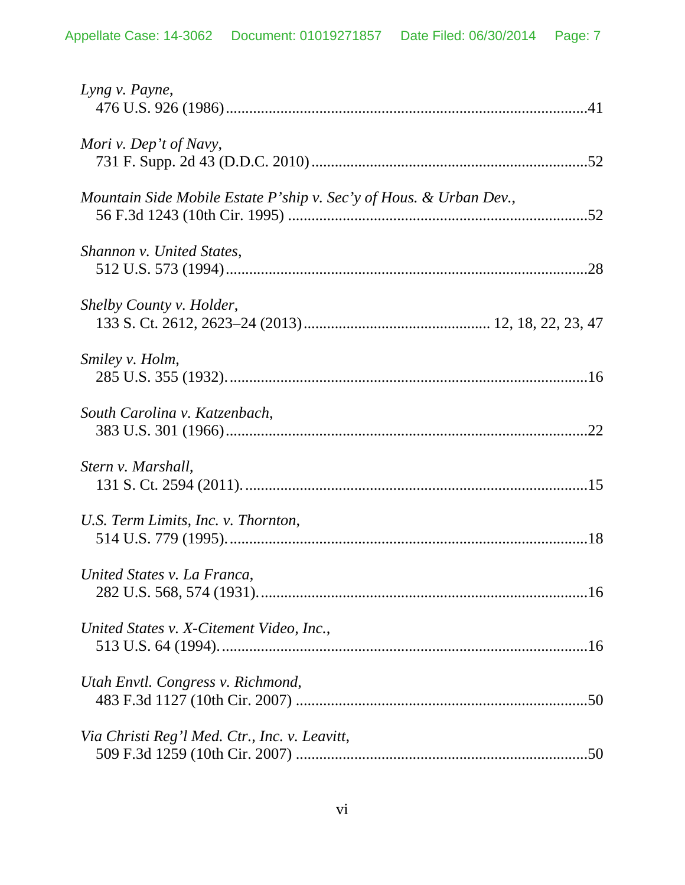| Lyng v. Payne,                                                     |
|--------------------------------------------------------------------|
| Mori v. Dep't of Navy,                                             |
| Mountain Side Mobile Estate P'ship v. Sec'y of Hous. & Urban Dev., |
| Shannon v. United States,                                          |
| Shelby County v. Holder,                                           |
| Smiley v. Holm,                                                    |
| South Carolina v. Katzenbach,                                      |
| Stern v. Marshall,                                                 |
| U.S. Term Limits, Inc. v. Thornton,                                |
| United States v. La Franca,                                        |
| United States v. X-Citement Video, Inc.,                           |
| Utah Envtl. Congress v. Richmond,                                  |
| Via Christi Reg'l Med. Ctr., Inc. v. Leavitt,                      |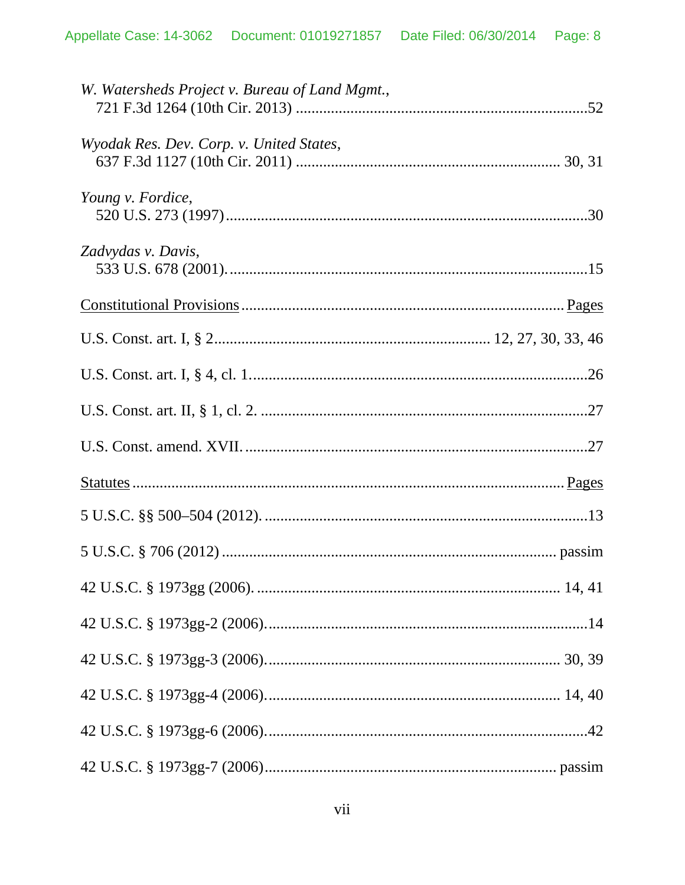| W. Watersheds Project v. Bureau of Land Mgmt., |  |
|------------------------------------------------|--|
| Wyodak Res. Dev. Corp. v. United States,       |  |
| Young v. Fordice,                              |  |
| Zadvydas v. Davis,                             |  |
|                                                |  |
|                                                |  |
|                                                |  |
|                                                |  |
|                                                |  |
|                                                |  |
|                                                |  |
|                                                |  |
|                                                |  |
|                                                |  |
|                                                |  |
|                                                |  |
|                                                |  |
|                                                |  |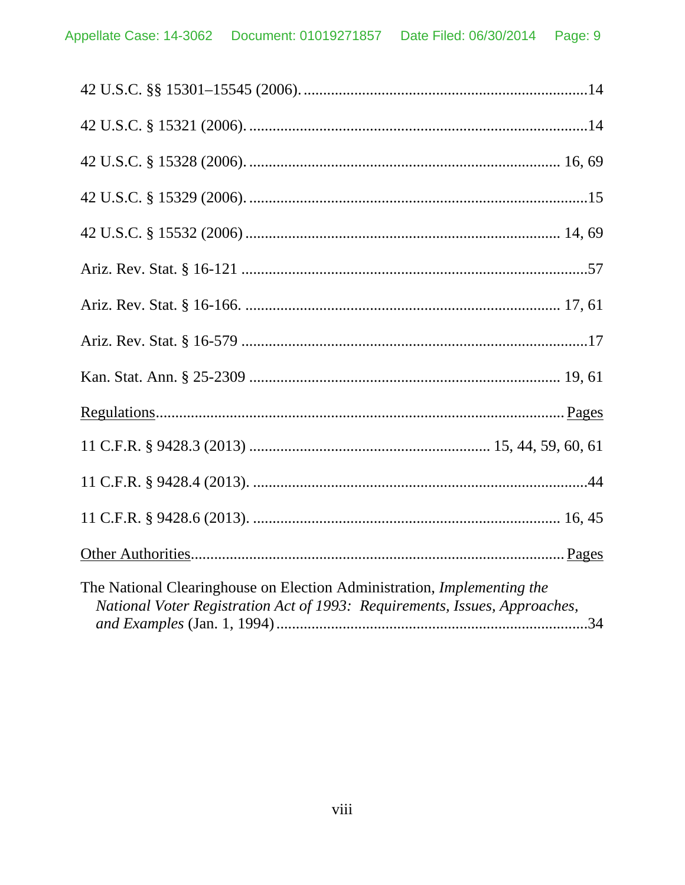| The National Clearinghouse on Election Administration, Implementing the<br>National Voter Registration Act of 1993: Requirements, Issues, Approaches, |  |
|-------------------------------------------------------------------------------------------------------------------------------------------------------|--|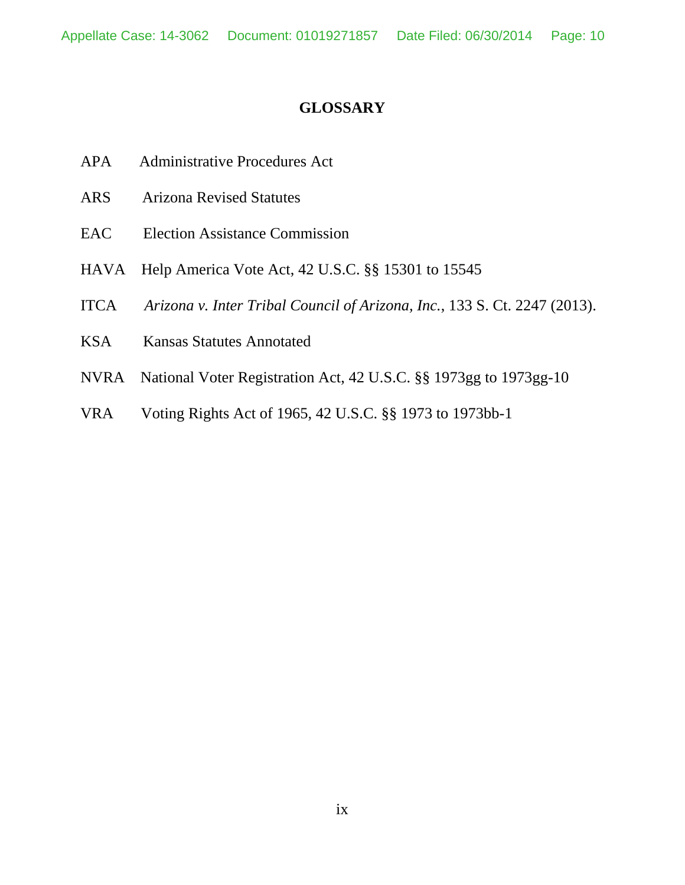## **GLOSSARY**

- <span id="page-9-0"></span>APA Administrative Procedures Act
- ARS Arizona Revised Statutes
- EAC Election Assistance Commission
- HAVA Help America Vote Act, 42 U.S.C. §§ 15301 to 15545
- ITCA *Arizona v. Inter Tribal Council of Arizona, Inc.*, 133 S. Ct. 2247 (2013).
- KSA Kansas Statutes Annotated
- NVRA National Voter Registration Act, 42 U.S.C. §§ 1973gg to 1973gg-10
- VRA Voting Rights Act of 1965, 42 U.S.C. §§ 1973 to 1973bb-1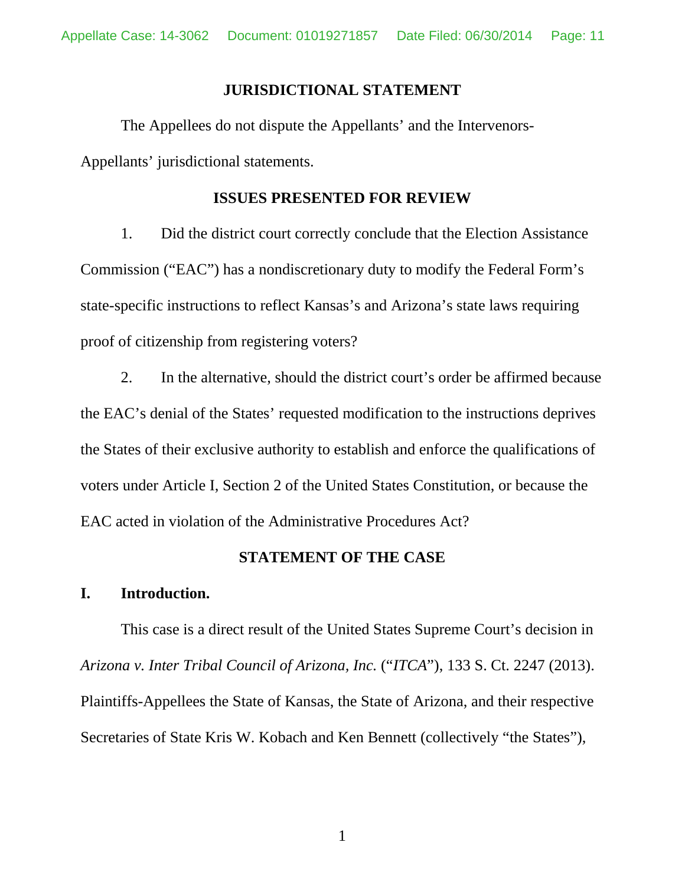### **JURISDICTIONAL STATEMENT**

<span id="page-10-0"></span>The Appellees do not dispute the Appellants' and the Intervenors-Appellants' jurisdictional statements.

### **ISSUES PRESENTED FOR REVIEW**

<span id="page-10-1"></span>1. Did the district court correctly conclude that the Election Assistance Commission ("EAC") has a nondiscretionary duty to modify the Federal Form's state-specific instructions to reflect Kansas's and Arizona's state laws requiring proof of citizenship from registering voters?

2. In the alternative, should the district court's order be affirmed because the EAC's denial of the States' requested modification to the instructions deprives the States of their exclusive authority to establish and enforce the qualifications of voters under Article I, Section 2 of the United States Constitution, or because the EAC acted in violation of the Administrative Procedures Act?

### **STATEMENT OF THE CASE**

# <span id="page-10-3"></span><span id="page-10-2"></span>**I. Introduction.**

This case is a direct result of the United States Supreme Court's decision in *Arizona v. Inter Tribal Council of Arizona, Inc.* ("*ITCA*"), 133 S. Ct. 2247 (2013). Plaintiffs-Appellees the State of Kansas, the State of Arizona, and their respective Secretaries of State Kris W. Kobach and Ken Bennett (collectively "the States"),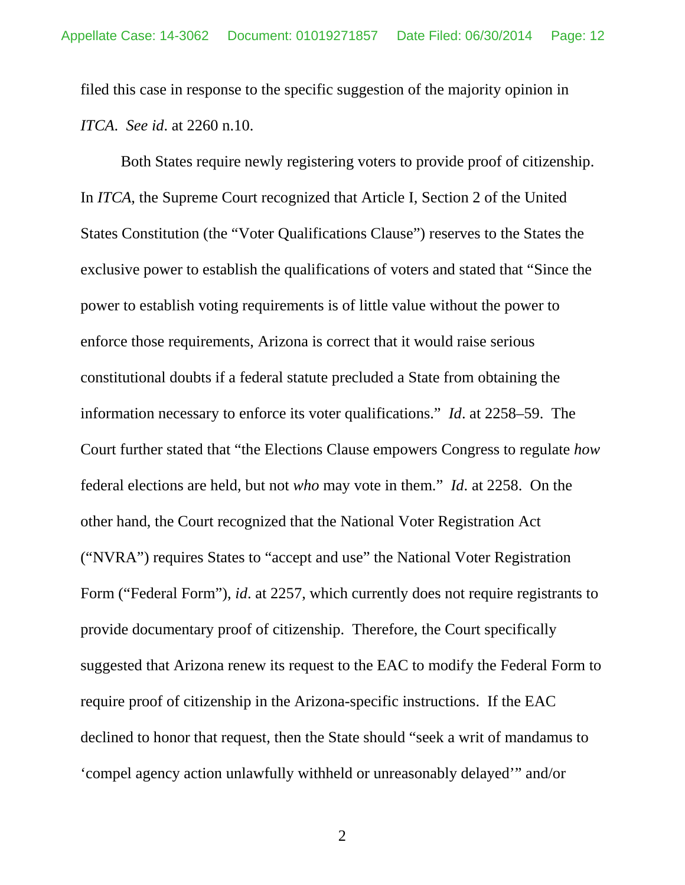filed this case in response to the specific suggestion of the majority opinion in *ITCA*. *See id*. at 2260 n.10.

Both States require newly registering voters to provide proof of citizenship. In *ITCA*, the Supreme Court recognized that Article I, Section 2 of the United States Constitution (the "Voter Qualifications Clause") reserves to the States the exclusive power to establish the qualifications of voters and stated that "Since the power to establish voting requirements is of little value without the power to enforce those requirements, Arizona is correct that it would raise serious constitutional doubts if a federal statute precluded a State from obtaining the information necessary to enforce its voter qualifications." *Id*. at 2258–59. The Court further stated that "the Elections Clause empowers Congress to regulate *how* federal elections are held, but not *who* may vote in them." *Id*. at 2258. On the other hand, the Court recognized that the National Voter Registration Act ("NVRA") requires States to "accept and use" the National Voter Registration Form ("Federal Form"), *id*. at 2257, which currently does not require registrants to provide documentary proof of citizenship. Therefore, the Court specifically suggested that Arizona renew its request to the EAC to modify the Federal Form to require proof of citizenship in the Arizona-specific instructions. If the EAC declined to honor that request, then the State should "seek a writ of mandamus to 'compel agency action unlawfully withheld or unreasonably delayed'" and/or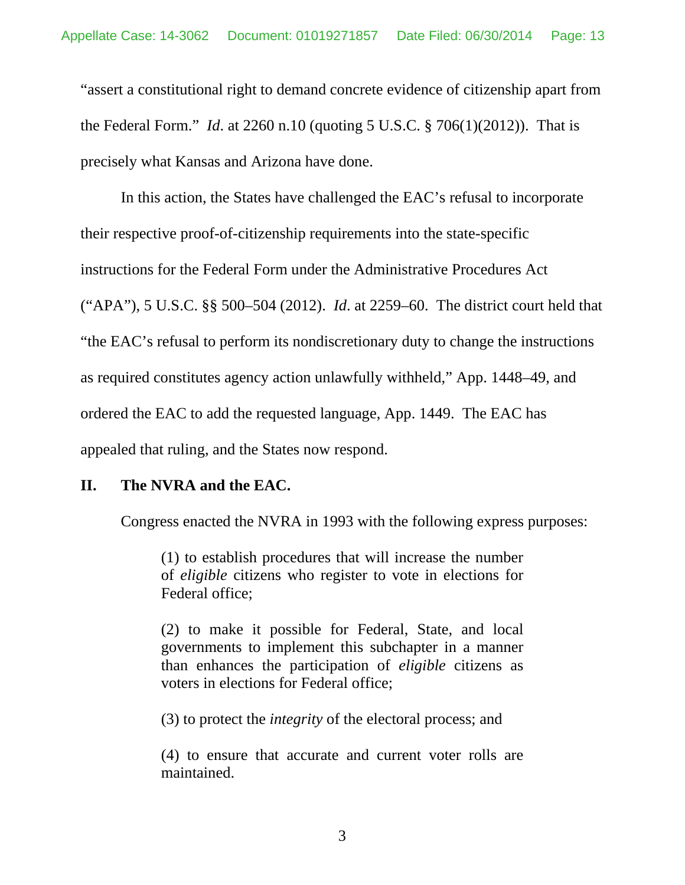"assert a constitutional right to demand concrete evidence of citizenship apart from the Federal Form." *Id*. at 2260 n.10 (quoting 5 U.S.C. § [706\(1\)\(2012\)\)](https://www.lexis.com/research/buttonTFLink?_m=3eea5f56c921aa736c78528cdc348aa3&_xfercite=%3ccite%20cc%3d%22USA%22%3e%3c%21%5bCDATA%5b133%20S.%20Ct.%202247%5d%5d%3e%3c%2fcite%3e&_butType=4&_butStat=0&_butNum=370&_butInline=1&_butinfo=5%20U.S.C.%20706&_fmtstr=FULL&docnum=1&_startdoc=1&wchp=dGLbVzB-zSkAA&_md5=f424ad4c134c472469c4c9506bafb599). That is precisely what Kansas and Arizona have done.

In this action, the States have challenged the EAC's refusal to incorporate their respective proof-of-citizenship requirements into the state-specific instructions for the Federal Form under the Administrative Procedures Act ("APA"), 5 U.S.C. §§ 500–504 (2012). *Id*. at 2259–60. The district court held that "the EAC's refusal to perform its nondiscretionary duty to change the instructions as required constitutes agency action unlawfully withheld," App. 1448–49, and ordered the EAC to add the requested language, App. 1449. The EAC has appealed that ruling, and the States now respond.

## <span id="page-12-0"></span>**II. The NVRA and the EAC.**

Congress enacted the NVRA in 1993 with the following express purposes:

(1) to establish procedures that will increase the number of *eligible* citizens who register to vote in elections for Federal office;

(2) to make it possible for Federal, State, and local governments to implement this subchapter in a manner than enhances the participation of *eligible* citizens as voters in elections for Federal office;

(3) to protect the *integrity* of the electoral process; and

(4) to ensure that accurate and current voter rolls are maintained.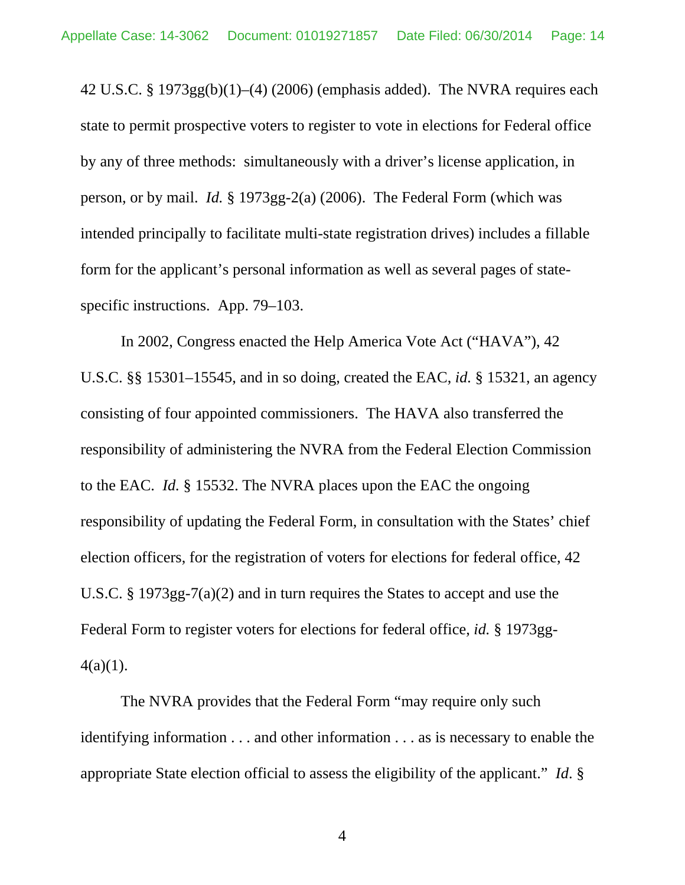42 U.S.C. § 1973gg(b)(1)–(4) (2006) (emphasis added). The NVRA requires each state to permit prospective voters to register to vote in elections for Federal office by any of three methods: simultaneously with a driver's license application, in person, or by mail. *Id.* § 1973gg-2(a) (2006). The Federal Form (which was intended principally to facilitate multi-state registration drives) includes a fillable form for the applicant's personal information as well as several pages of statespecific instructions. App. 79–103.

In 2002, Congress enacted the Help America Vote Act ("HAVA"), 42 U.S.C. §§ 15301–15545, and in so doing, created the EAC, *id.* § 15321, an agency consisting of four appointed commissioners. The HAVA also transferred the responsibility of administering the NVRA from the Federal Election Commission to the EAC. *Id.* § 15532. The NVRA places upon the EAC the ongoing responsibility of updating the Federal Form, in consultation with the States' chief election officers, for the registration of voters for elections for federal office, 42 U.S.C. § 1973gg-7(a)(2) and in turn requires the States to accept and use the Federal Form to register voters for elections for federal office, *id.* § 1973gg- $4(a)(1)$ .

The NVRA provides that the Federal Form "may require only such identifying information . . . and other information . . . as is necessary to enable the appropriate State election official to assess the eligibility of the applicant." *Id*. §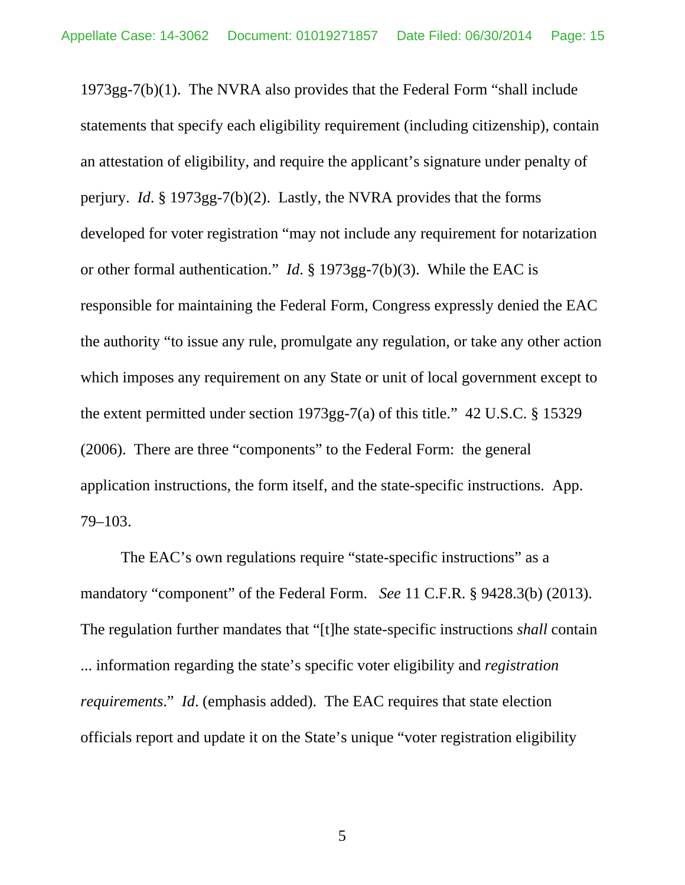1973gg-7(b)(1). The NVRA also provides that the Federal Form "shall include statements that specify each eligibility requirement (including citizenship), contain an attestation of eligibility, and require the applicant's signature under penalty of perjury. *Id*. § 1973gg-7(b)(2). Lastly, the NVRA provides that the forms developed for voter registration "may not include any requirement for notarization or other formal authentication." *Id*. § 1973gg-7(b)(3). While the EAC is responsible for maintaining the Federal Form, Congress expressly denied the EAC the authority "to issue any rule, promulgate any regulation, or take any other action which imposes any requirement on any State or unit of local government except to the extent permitted under section 1973gg-7(a) of this title." 42 U.S.C. § 15329 (2006). There are three "components" to the Federal Form: the general application instructions, the form itself, and the state-specific instructions. App. 79–103.

The EAC's own regulations require "state-specific instructions" as a mandatory "component" of the Federal Form. *See* 11 C.F.R. § 9428.3(b) (2013). The regulation further mandates that "[t]he state-specific instructions *shall* contain ... information regarding the state's specific voter eligibility and *registration requirements*." *Id*. (emphasis added). The EAC requires that state election officials report and update it on the State's unique "voter registration eligibility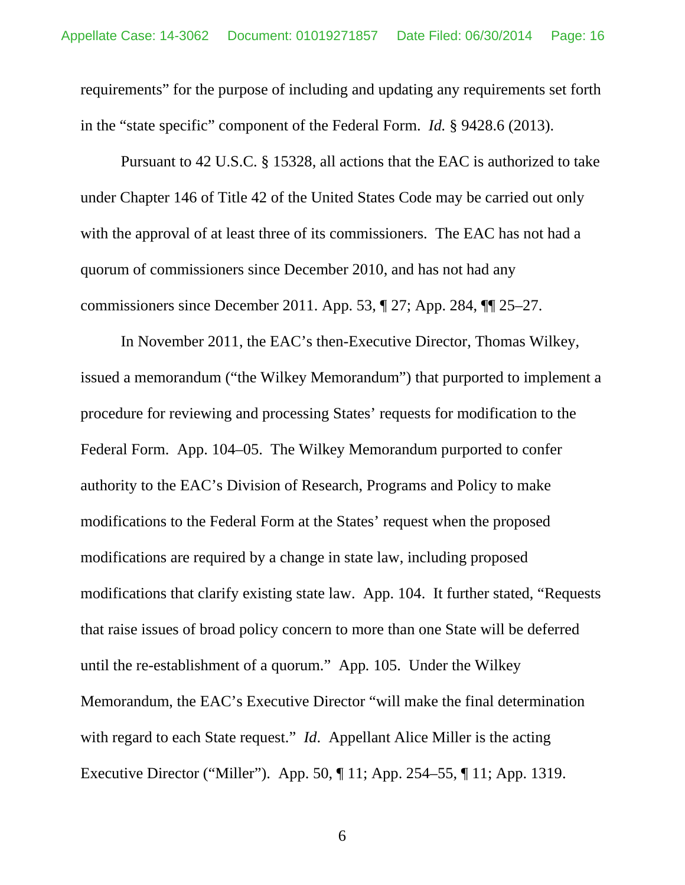requirements" for the purpose of including and updating any requirements set forth in the "state specific" component of the Federal Form. *Id.* § 9428.6 (2013).

Pursuant to 42 U.S.C. § 15328, all actions that the EAC is authorized to take under Chapter 146 of Title 42 of the United States Code may be carried out only with the approval of at least three of its commissioners. The EAC has not had a quorum of commissioners since December 2010, and has not had any commissioners since December 2011. App. 53, ¶ 27; App. 284, ¶¶ 25–27.

In November 2011, the EAC's then-Executive Director, Thomas Wilkey, issued a memorandum ("the Wilkey Memorandum") that purported to implement a procedure for reviewing and processing States' requests for modification to the Federal Form. App. 104–05. The Wilkey Memorandum purported to confer authority to the EAC's Division of Research, Programs and Policy to make modifications to the Federal Form at the States' request when the proposed modifications are required by a change in state law, including proposed modifications that clarify existing state law. App. 104. It further stated, "Requests that raise issues of broad policy concern to more than one State will be deferred until the re-establishment of a quorum." App*.* 105. Under the Wilkey Memorandum, the EAC's Executive Director "will make the final determination with regard to each State request." *Id.* Appellant Alice Miller is the acting Executive Director ("Miller"). App. 50, ¶ 11; App. 254–55, ¶ 11; App. 1319.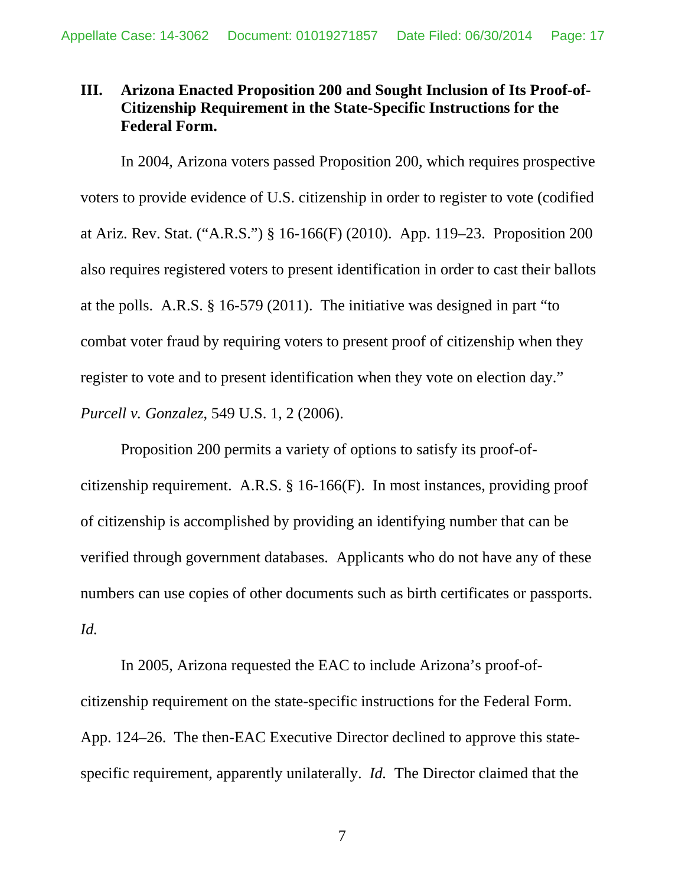# <span id="page-16-0"></span>**III. Arizona Enacted Proposition 200 and Sought Inclusion of Its Proof-of-Citizenship Requirement in the State-Specific Instructions for the Federal Form.**

In 2004, Arizona voters passed Proposition 200, which requires prospective voters to provide evidence of U.S. citizenship in order to register to vote (codified at Ariz. Rev. Stat. ("A.R.S.") § 16-166(F) (2010). App. 119–23. Proposition 200 also requires registered voters to present identification in order to cast their ballots at the polls. A.R.S. § 16-579 (2011). The initiative was designed in part "to combat voter fraud by requiring voters to present proof of citizenship when they register to vote and to present identification when they vote on election day." *Purcell v. Gonzalez*, 549 U.S. 1, 2 (2006).

Proposition 200 permits a variety of options to satisfy its proof-ofcitizenship requirement. A.R.S. § 16-166(F). In most instances, providing proof of citizenship is accomplished by providing an identifying number that can be verified through government databases. Applicants who do not have any of these numbers can use copies of other documents such as birth certificates or passports. *Id.*

In 2005, Arizona requested the EAC to include Arizona's proof-ofcitizenship requirement on the state-specific instructions for the Federal Form. App. 124–26. The then-EAC Executive Director declined to approve this statespecific requirement, apparently unilaterally. *Id.* The Director claimed that the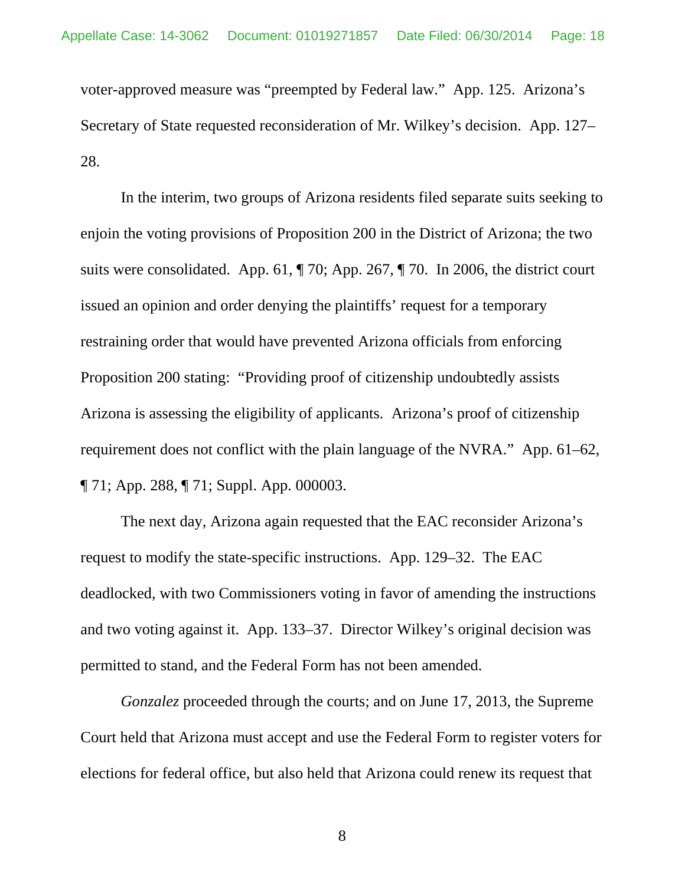voter-approved measure was "preempted by Federal law." App. 125. Arizona's Secretary of State requested reconsideration of Mr. Wilkey's decision. App. 127– 28.

In the interim, two groups of Arizona residents filed separate suits seeking to enjoin the voting provisions of Proposition 200 in the District of Arizona; the two suits were consolidated. App. 61, ¶ 70; App. 267, ¶ 70. In 2006, the district court issued an opinion and order denying the plaintiffs' request for a temporary restraining order that would have prevented Arizona officials from enforcing Proposition 200 stating: "Providing proof of citizenship undoubtedly assists Arizona is assessing the eligibility of applicants. Arizona's proof of citizenship requirement does not conflict with the plain language of the NVRA." App. 61–62, ¶ 71; App. 288, ¶ 71; Suppl. App. 000003.

The next day, Arizona again requested that the EAC reconsider Arizona's request to modify the state-specific instructions. App. 129–32. The EAC deadlocked, with two Commissioners voting in favor of amending the instructions and two voting against it. App. 133–37. Director Wilkey's original decision was permitted to stand, and the Federal Form has not been amended.

*Gonzalez* proceeded through the courts; and on June 17, 2013, the Supreme Court held that Arizona must accept and use the Federal Form to register voters for elections for federal office, but also held that Arizona could renew its request that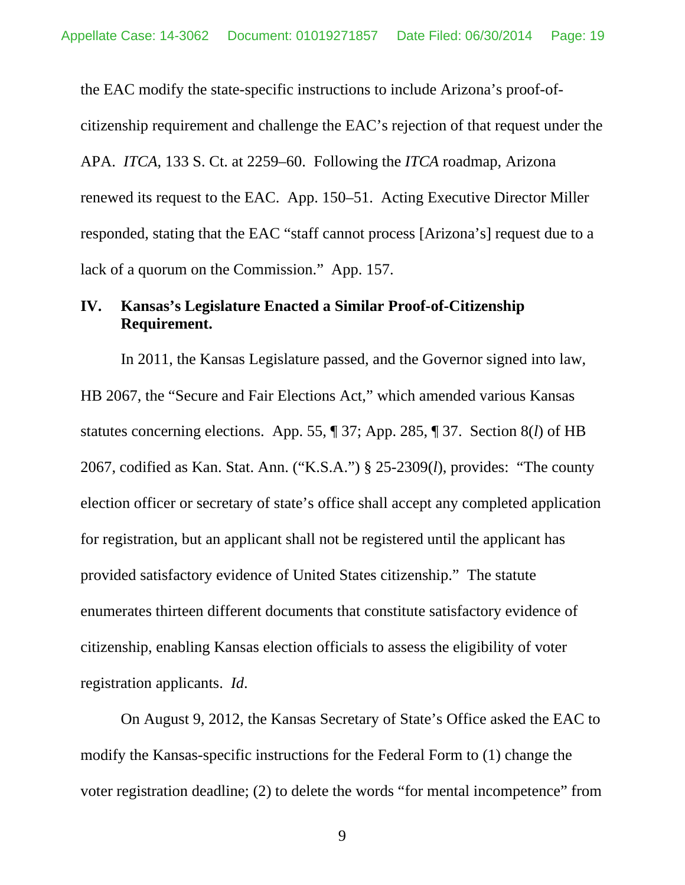the EAC modify the state-specific instructions to include Arizona's proof-ofcitizenship requirement and challenge the EAC's rejection of that request under the APA. *ITCA*, 133 S. Ct. at 2259–60. Following the *ITCA* roadmap, Arizona renewed its request to the EAC. App. 150–51. Acting Executive Director Miller responded, stating that the EAC "staff cannot process [Arizona's] request due to a lack of a quorum on the Commission." App. 157.

## <span id="page-18-0"></span>**IV. Kansas's Legislature Enacted a Similar Proof-of-Citizenship Requirement.**

In 2011, the Kansas Legislature passed, and the Governor signed into law, HB 2067, the "Secure and Fair Elections Act," which amended various Kansas statutes concerning elections. App. 55, ¶ 37; App. 285, ¶ 37. Section 8(*l*) of HB 2067, codified as Kan. Stat. Ann. ("K.S.A.") § 25-2309(*l*), provides: "The county election officer or secretary of state's office shall accept any completed application for registration, but an applicant shall not be registered until the applicant has provided satisfactory evidence of United States citizenship." The statute enumerates thirteen different documents that constitute satisfactory evidence of citizenship, enabling Kansas election officials to assess the eligibility of voter registration applicants. *Id*.

On August 9, 2012, the Kansas Secretary of State's Office asked the EAC to modify the Kansas-specific instructions for the Federal Form to (1) change the voter registration deadline; (2) to delete the words "for mental incompetence" from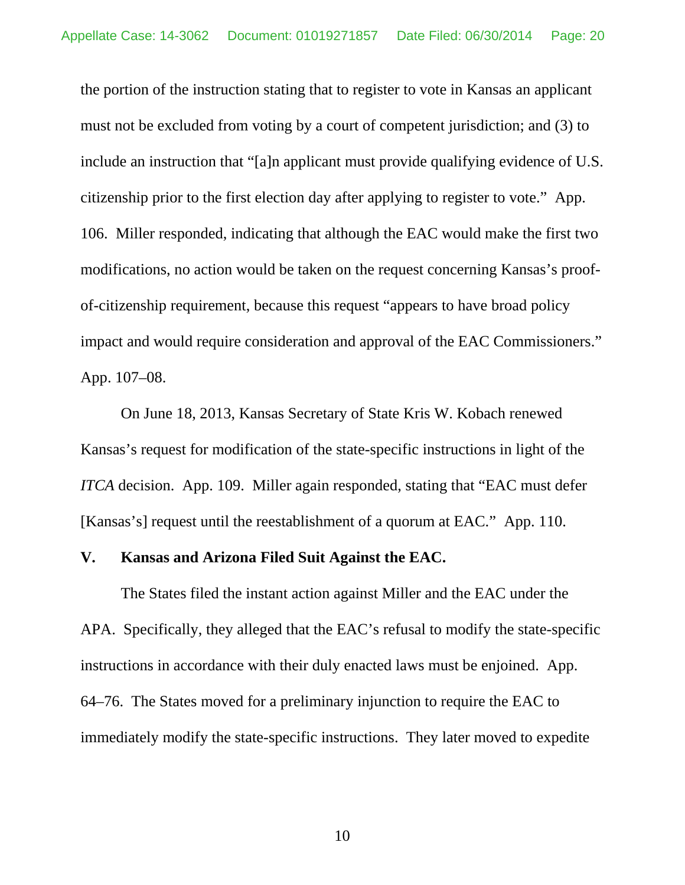the portion of the instruction stating that to register to vote in Kansas an applicant must not be excluded from voting by a court of competent jurisdiction; and (3) to include an instruction that "[a]n applicant must provide qualifying evidence of U.S. citizenship prior to the first election day after applying to register to vote." App. 106. Miller responded, indicating that although the EAC would make the first two modifications, no action would be taken on the request concerning Kansas's proofof-citizenship requirement, because this request "appears to have broad policy impact and would require consideration and approval of the EAC Commissioners." App. 107–08.

On June 18, 2013, Kansas Secretary of State Kris W. Kobach renewed Kansas's request for modification of the state-specific instructions in light of the *ITCA* decision. App. 109. Miller again responded, stating that "EAC must defer [Kansas's] request until the reestablishment of a quorum at EAC." App. 110.

### <span id="page-19-0"></span>**V. Kansas and Arizona Filed Suit Against the EAC.**

The States filed the instant action against Miller and the EAC under the APA. Specifically, they alleged that the EAC's refusal to modify the state-specific instructions in accordance with their duly enacted laws must be enjoined. App. 64–76. The States moved for a preliminary injunction to require the EAC to immediately modify the state-specific instructions. They later moved to expedite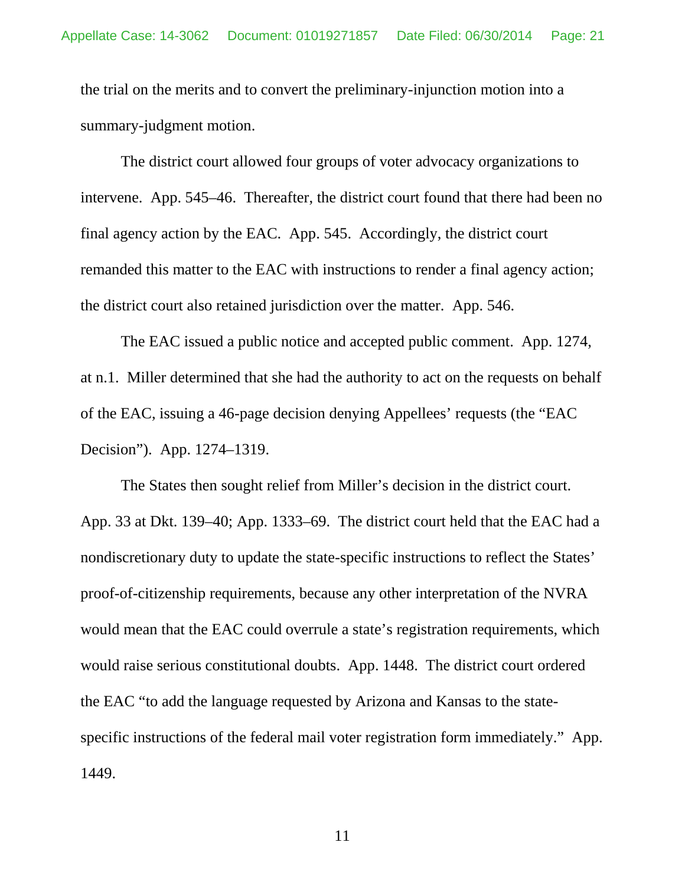the trial on the merits and to convert the preliminary-injunction motion into a summary-judgment motion.

The district court allowed four groups of voter advocacy organizations to intervene. App. 545–46. Thereafter, the district court found that there had been no final agency action by the EAC. App. 545. Accordingly, the district court remanded this matter to the EAC with instructions to render a final agency action; the district court also retained jurisdiction over the matter. App. 546.

The EAC issued a public notice and accepted public comment. App. 1274, at n.1. Miller determined that she had the authority to act on the requests on behalf of the EAC, issuing a 46-page decision denying Appellees' requests (the "EAC Decision"). App. 1274–1319.

The States then sought relief from Miller's decision in the district court. App. 33 at Dkt. 139–40; App. 1333–69. The district court held that the EAC had a nondiscretionary duty to update the state-specific instructions to reflect the States' proof-of-citizenship requirements, because any other interpretation of the NVRA would mean that the EAC could overrule a state's registration requirements, which would raise serious constitutional doubts. App. 1448. The district court ordered the EAC "to add the language requested by Arizona and Kansas to the statespecific instructions of the federal mail voter registration form immediately." App. 1449.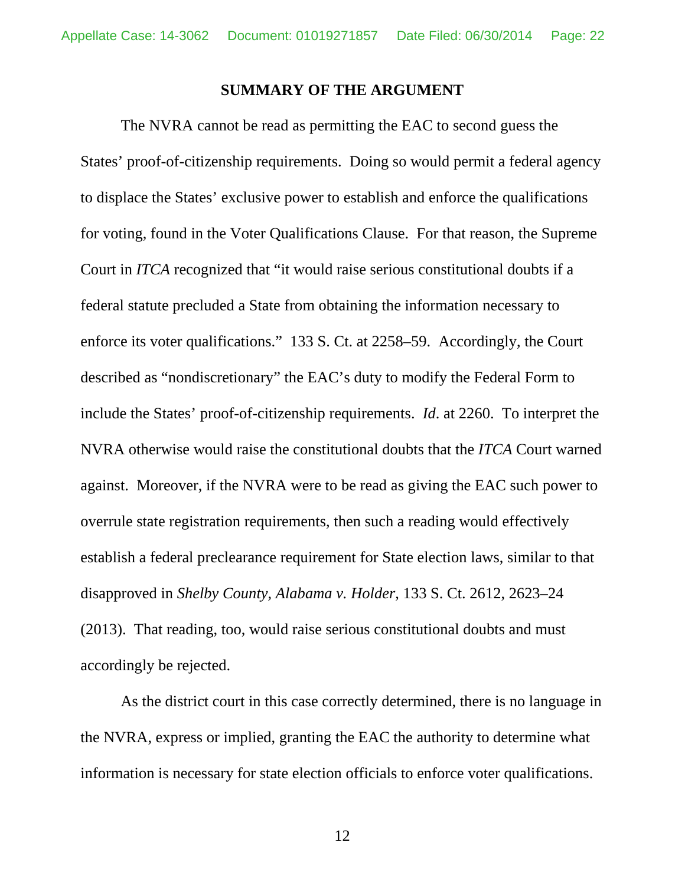### **SUMMARY OF THE ARGUMENT**

<span id="page-21-0"></span>The NVRA cannot be read as permitting the EAC to second guess the States' proof-of-citizenship requirements. Doing so would permit a federal agency to displace the States' exclusive power to establish and enforce the qualifications for voting, found in the Voter Qualifications Clause. For that reason, the Supreme Court in *ITCA* recognized that "it would raise serious constitutional doubts if a federal statute precluded a State from obtaining the information necessary to enforce its voter qualifications." 133 S. Ct. at 2258–59. Accordingly, the Court described as "nondiscretionary" the EAC's duty to modify the Federal Form to include the States' proof-of-citizenship requirements. *Id*. at 2260. To interpret the NVRA otherwise would raise the constitutional doubts that the *ITCA* Court warned against. Moreover, if the NVRA were to be read as giving the EAC such power to overrule state registration requirements, then such a reading would effectively establish a federal preclearance requirement for State election laws, similar to that disapproved in *Shelby County, Alabama v. Holder*, 133 S. Ct. 2612, 2623–24 (2013). That reading, too, would raise serious constitutional doubts and must accordingly be rejected.

As the district court in this case correctly determined, there is no language in the NVRA, express or implied, granting the EAC the authority to determine what information is necessary for state election officials to enforce voter qualifications.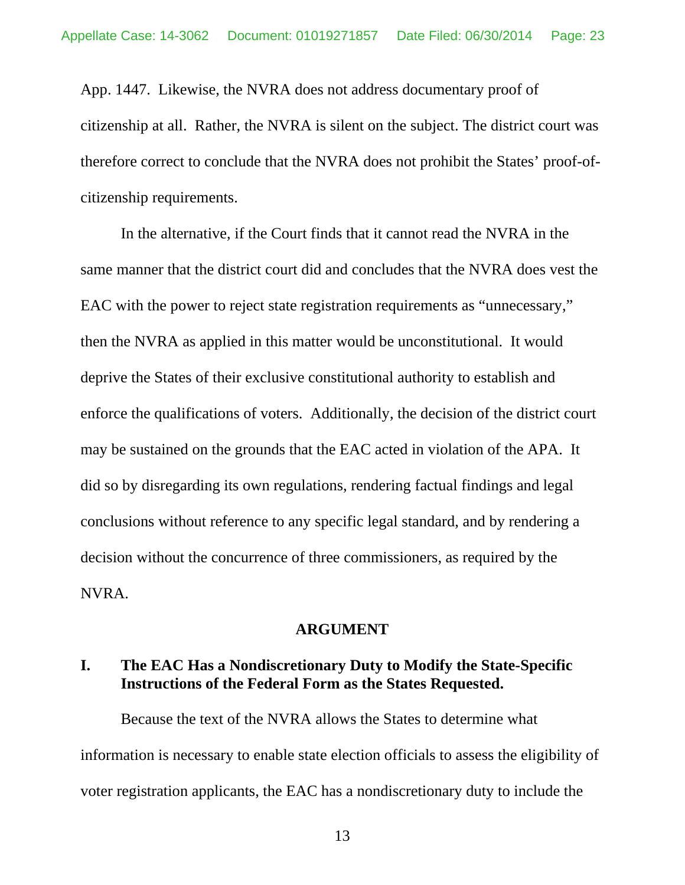App. 1447. Likewise, the NVRA does not address documentary proof of citizenship at all. Rather, the NVRA is silent on the subject. The district court was therefore correct to conclude that the NVRA does not prohibit the States' proof-ofcitizenship requirements.

In the alternative, if the Court finds that it cannot read the NVRA in the same manner that the district court did and concludes that the NVRA does vest the EAC with the power to reject state registration requirements as "unnecessary," then the NVRA as applied in this matter would be unconstitutional. It would deprive the States of their exclusive constitutional authority to establish and enforce the qualifications of voters. Additionally, the decision of the district court may be sustained on the grounds that the EAC acted in violation of the APA. It did so by disregarding its own regulations, rendering factual findings and legal conclusions without reference to any specific legal standard, and by rendering a decision without the concurrence of three commissioners, as required by the NVRA.

### **ARGUMENT**

# <span id="page-22-1"></span><span id="page-22-0"></span>**I. The EAC Has a Nondiscretionary Duty to Modify the State-Specific Instructions of the Federal Form as the States Requested.**

Because the text of the NVRA allows the States to determine what information is necessary to enable state election officials to assess the eligibility of voter registration applicants, the EAC has a nondiscretionary duty to include the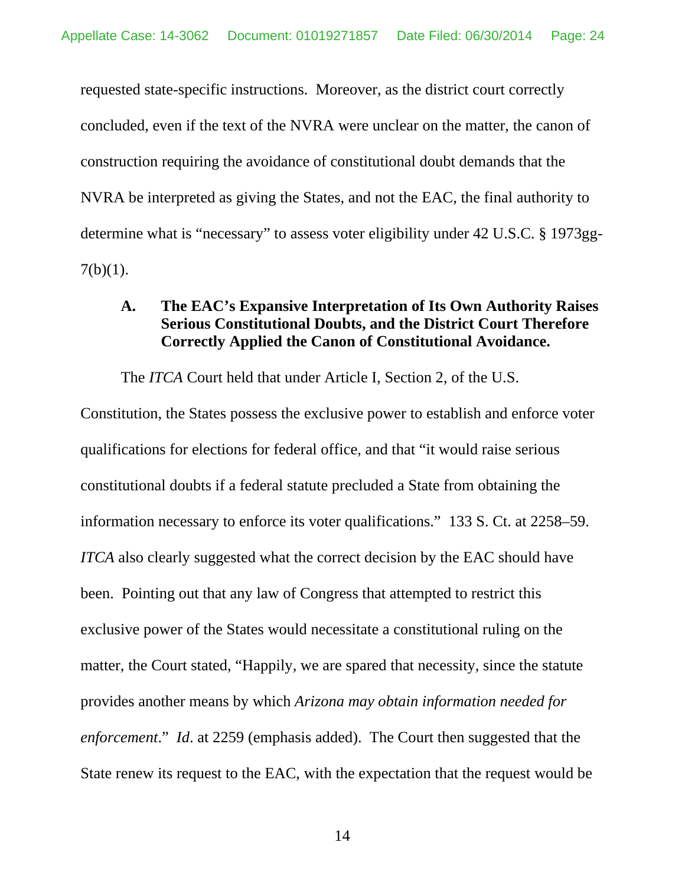requested state-specific instructions. Moreover, as the district court correctly concluded, even if the text of the NVRA were unclear on the matter, the canon of construction requiring the avoidance of constitutional doubt demands that the NVRA be interpreted as giving the States, and not the EAC, the final authority to determine what is "necessary" to assess voter eligibility under 42 U.S.C. § 1973gg- $7(b)(1)$ .

## <span id="page-23-0"></span>**A. The EAC's Expansive Interpretation of Its Own Authority Raises Serious Constitutional Doubts, and the District Court Therefore Correctly Applied the Canon of Constitutional Avoidance.**

The *ITCA* Court held that under Article I, Section 2, of the U.S.

Constitution, the States possess the exclusive power to establish and enforce voter qualifications for elections for federal office, and that "it would raise serious constitutional doubts if a federal statute precluded a State from obtaining the information necessary to enforce its voter qualifications." 133 S. Ct. at 2258–59. *ITCA* also clearly suggested what the correct decision by the EAC should have been. Pointing out that any law of Congress that attempted to restrict this exclusive power of the States would necessitate a constitutional ruling on the matter, the Court stated, "Happily, we are spared that necessity, since the statute provides another means by which *Arizona may obtain information needed for enforcement*." *Id*. at 2259 (emphasis added). The Court then suggested that the State renew its request to the EAC, with the expectation that the request would be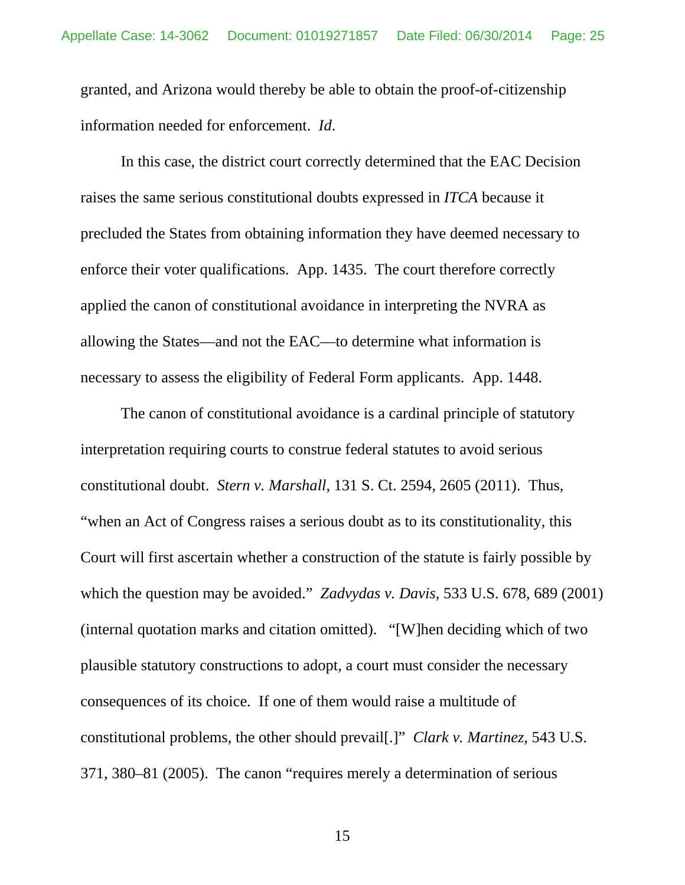granted, and Arizona would thereby be able to obtain the proof-of-citizenship information needed for enforcement. *Id*.

In this case, the district court correctly determined that the EAC Decision raises the same serious constitutional doubts expressed in *ITCA* because it precluded the States from obtaining information they have deemed necessary to enforce their voter qualifications. App. 1435. The court therefore correctly applied the canon of constitutional avoidance in interpreting the NVRA as allowing the States—and not the EAC—to determine what information is necessary to assess the eligibility of Federal Form applicants. App. 1448.

The canon of constitutional avoidance is a cardinal principle of statutory interpretation requiring courts to construe federal statutes to avoid serious constitutional doubt. *Stern v. Marshall*, 131 S. Ct. 2594, 2605 (2011). Thus, "when an Act of Congress raises a serious doubt as to its constitutionality, this Court will first ascertain whether a construction of the statute is fairly possible by which the question may be avoided." *Zadvydas v. Davis*, 533 U.S. 678, 689 (2001) (internal quotation marks and citation omitted). "[W]hen deciding which of two plausible statutory constructions to adopt, a court must consider the necessary consequences of its choice. If one of them would raise a multitude of constitutional problems, the other should prevail[.]" *Clark v. Martinez*, 543 U.S. 371, 380–81 (2005). The canon "requires merely a determination of serious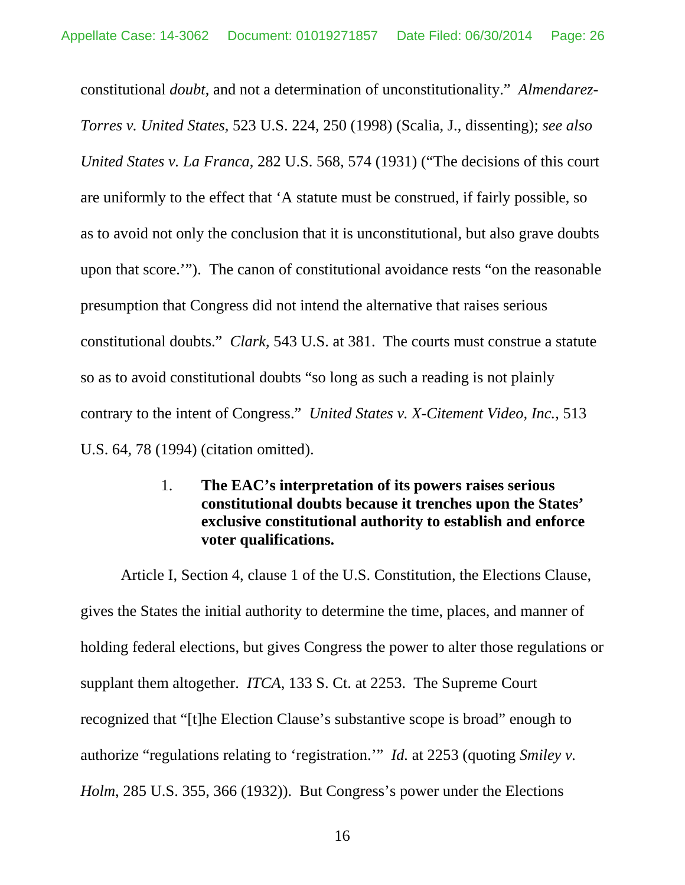constitutional *doubt*, and not a determination of unconstitutionality." *Almendarez-Torres v. United States*, 523 U.S. 224, 250 (1998) (Scalia, J., dissenting); *see also United States v. La Franca*, 282 U.S. 568, 574 (1931) ("The decisions of this court are uniformly to the effect that 'A statute must be construed, if fairly possible, so as to avoid not only the conclusion that it is unconstitutional, but also grave doubts upon that score.'"). The canon of constitutional avoidance rests "on the reasonable presumption that Congress did not intend the alternative that raises serious constitutional doubts." *Clark*, 543 U.S. at 381. The courts must construe a statute so as to avoid constitutional doubts "so long as such a reading is not plainly contrary to the intent of Congress." *United States v. X-Citement Video, Inc.*, 513 U.S. 64, 78 (1994) (citation omitted).

# <span id="page-25-0"></span>1. **The EAC's interpretation of its powers raises serious constitutional doubts because it trenches upon the States' exclusive constitutional authority to establish and enforce voter qualifications.**

Article I, Section 4, clause 1 of the U.S. Constitution, the Elections Clause, gives the States the initial authority to determine the time, places, and manner of holding federal elections, but gives Congress the power to alter those regulations or supplant them altogether. *ITCA*, 133 S. Ct. at 2253. The Supreme Court recognized that "[t]he Election Clause's substantive scope is broad" enough to authorize "regulations relating to 'registration.'" *Id.* at 2253 (quoting *Smiley v. Holm*, 285 U.S. 355, 366 (1932)). But Congress's power under the Elections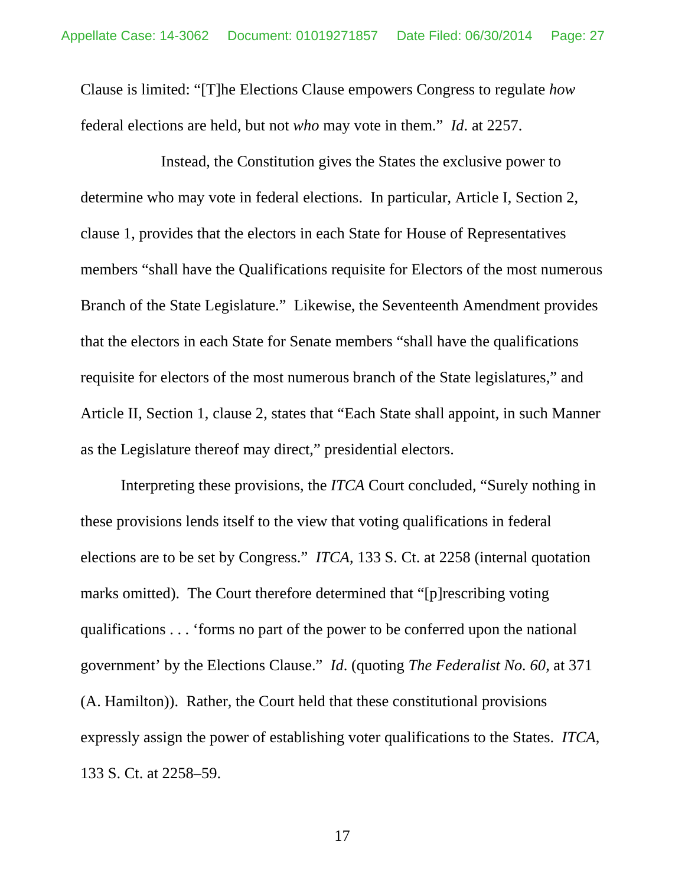Clause is limited: "[T]he Elections Clause empowers Congress to regulate *how* federal elections are held, but not *who* may vote in them." *Id*. at 2257.

Instead, the Constitution gives the States the exclusive power to determine who may vote in federal elections. In particular, Article I, Section 2, clause 1, provides that the electors in each State for House of Representatives members "shall have the Qualifications requisite for Electors of the most numerous Branch of the State Legislature." Likewise, the Seventeenth Amendment provides that the electors in each State for Senate members "shall have the qualifications requisite for electors of the most numerous branch of the State legislatures," and Article II, Section 1, clause 2, states that "Each State shall appoint, in such Manner as the Legislature thereof may direct," presidential electors.

Interpreting these provisions, the *ITCA* Court concluded, "Surely nothing in these provisions lends itself to the view that voting qualifications in federal elections are to be set by Congress." *ITCA*, 133 S. Ct. at 2258 (internal quotation marks omitted). The Court therefore determined that "[p]rescribing voting qualifications . . . 'forms no part of the power to be conferred upon the national government' by the Elections Clause." *Id*. (quoting *The Federalist No. 60*, at 371 (A. Hamilton)). Rather, the Court held that these constitutional provisions expressly assign the power of establishing voter qualifications to the States. *ITCA*, 133 S. Ct. at 2258–59.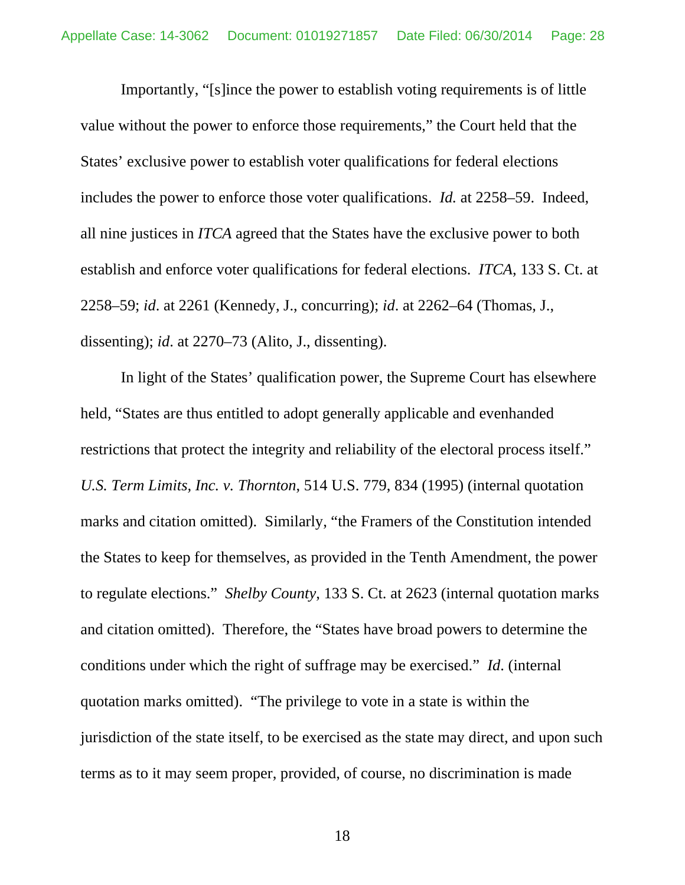Importantly, "[s]ince the power to establish voting requirements is of little value without the power to enforce those requirements," the Court held that the States' exclusive power to establish voter qualifications for federal elections includes the power to enforce those voter qualifications. *Id.* at 2258–59. Indeed, all nine justices in *ITCA* agreed that the States have the exclusive power to both establish and enforce voter qualifications for federal elections. *ITCA*, 133 S. Ct. at 2258–59; *id*. at 2261 (Kennedy, J., concurring); *id*. at 2262–64 (Thomas, J., dissenting); *id*. at 2270–73 (Alito, J., dissenting).

In light of the States' qualification power, the Supreme Court has elsewhere held, "States are thus entitled to adopt generally applicable and evenhanded restrictions that protect the integrity and reliability of the electoral process itself." *U.S. Term Limits, Inc. v. Thornton*, 514 U.S. 779, 834 (1995) (internal quotation marks and citation omitted). Similarly, "the Framers of the Constitution intended the States to keep for themselves, as provided in the Tenth Amendment, the power to regulate elections." *Shelby County*, 133 S. Ct. at 2623 (internal quotation marks and citation omitted). Therefore, the "States have broad powers to determine the conditions under which the right of suffrage may be exercised." *Id*. (internal quotation marks omitted). "The privilege to vote in a state is within the jurisdiction of the state itself, to be exercised as the state may direct, and upon such terms as to it may seem proper, provided, of course, no discrimination is made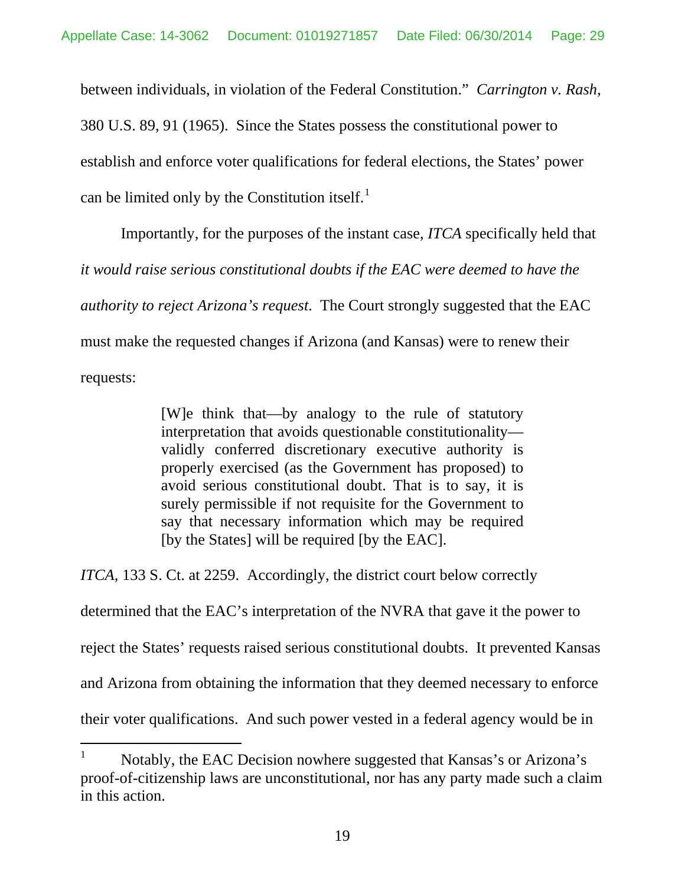between individuals, in violation of the Federal Constitution." *Carrington v. Rash*, 380 U.S. 89, 91 (1965). Since the States possess the constitutional power to establish and enforce voter qualifications for federal elections, the States' power can be limited only by the Constitution itself. $<sup>1</sup>$  $<sup>1</sup>$  $<sup>1</sup>$ </sup>

Importantly, for the purposes of the instant case, *ITCA* specifically held that *it would raise serious constitutional doubts if the EAC were deemed to have the authority to reject Arizona's request*. The Court strongly suggested that the EAC must make the requested changes if Arizona (and Kansas) were to renew their requests:

> [W]e think that—by analogy to the rule of statutory interpretation that avoids questionable constitutionality validly conferred discretionary executive authority is properly exercised (as the Government has proposed) to avoid serious constitutional doubt. That is to say, it is surely permissible if not requisite for the Government to say that necessary information which may be required [by the States] will be required [by the EAC].

*ITCA*, 133 S. Ct. at 2259. Accordingly, the district court below correctly

determined that the EAC's interpretation of the NVRA that gave it the power to

reject the States' requests raised serious constitutional doubts. It prevented Kansas

and Arizona from obtaining the information that they deemed necessary to enforce

their voter qualifications. And such power vested in a federal agency would be in

Notably, the EAC Decision nowhere suggested that Kansas's or Arizona's proof-of-citizenship laws are unconstitutional, nor has any party made such a claim in this action.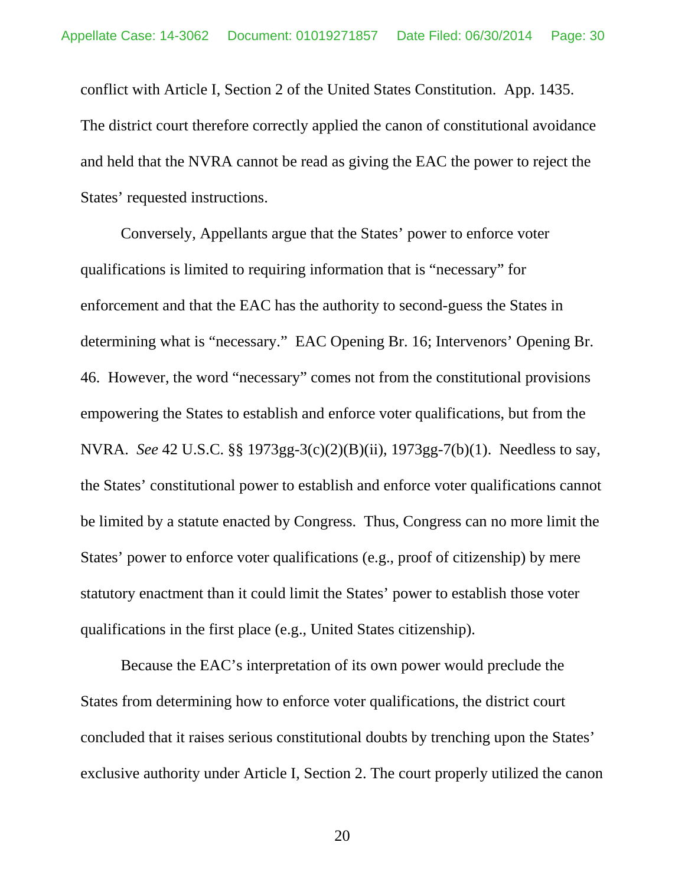conflict with Article I, Section 2 of the United States Constitution. App. 1435. The district court therefore correctly applied the canon of constitutional avoidance and held that the NVRA cannot be read as giving the EAC the power to reject the States' requested instructions.

Conversely, Appellants argue that the States' power to enforce voter qualifications is limited to requiring information that is "necessary" for enforcement and that the EAC has the authority to second-guess the States in determining what is "necessary." EAC Opening Br. 16; Intervenors' Opening Br. 46. However, the word "necessary" comes not from the constitutional provisions empowering the States to establish and enforce voter qualifications, but from the NVRA. *See* 42 U.S.C. §§ 1973gg-3(c)(2)(B)(ii), 1973gg-7(b)(1). Needless to say, the States' constitutional power to establish and enforce voter qualifications cannot be limited by a statute enacted by Congress. Thus, Congress can no more limit the States' power to enforce voter qualifications (e.g., proof of citizenship) by mere statutory enactment than it could limit the States' power to establish those voter qualifications in the first place (e.g., United States citizenship).

Because the EAC's interpretation of its own power would preclude the States from determining how to enforce voter qualifications, the district court concluded that it raises serious constitutional doubts by trenching upon the States' exclusive authority under Article I, Section 2. The court properly utilized the canon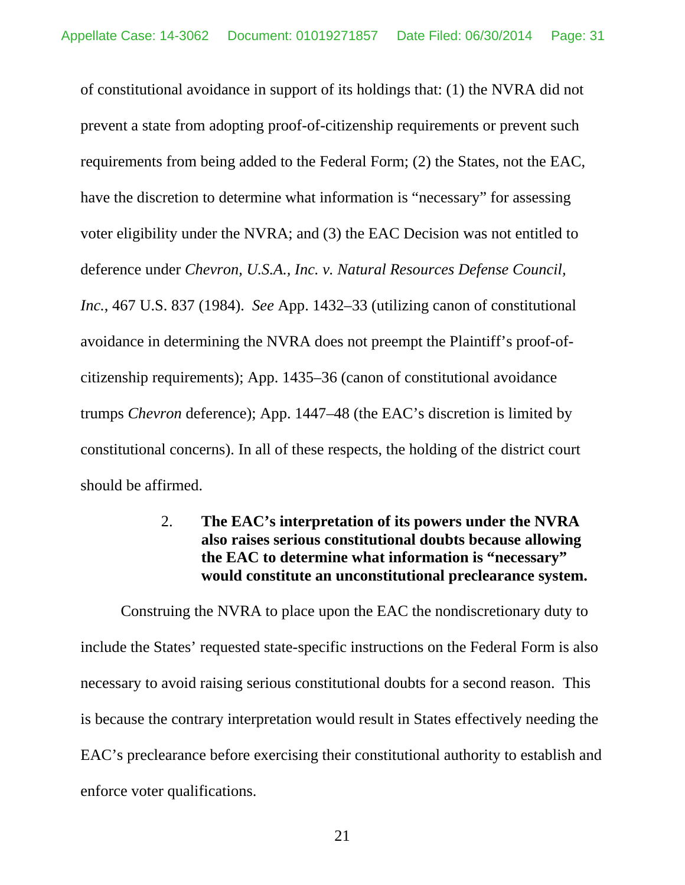of constitutional avoidance in support of its holdings that: (1) the NVRA did not prevent a state from adopting proof-of-citizenship requirements or prevent such requirements from being added to the Federal Form; (2) the States, not the EAC, have the discretion to determine what information is "necessary" for assessing voter eligibility under the NVRA; and (3) the EAC Decision was not entitled to deference under *Chevron, U.S.A., Inc. v. Natural Resources Defense Council, Inc.*, [467 U.S. 837](http://en.wikipedia.org/wiki/United_States_Reports) (1984). *See* App. 1432–33 (utilizing canon of constitutional avoidance in determining the NVRA does not preempt the Plaintiff's proof-ofcitizenship requirements); App. 1435–36 (canon of constitutional avoidance trumps *Chevron* deference); App. 1447–48 (the EAC's discretion is limited by constitutional concerns). In all of these respects, the holding of the district court should be affirmed.

# <span id="page-30-0"></span>2. **The EAC's interpretation of its powers under the NVRA also raises serious constitutional doubts because allowing the EAC to determine what information is "necessary" would constitute an unconstitutional preclearance system.**

Construing the NVRA to place upon the EAC the nondiscretionary duty to include the States' requested state-specific instructions on the Federal Form is also necessary to avoid raising serious constitutional doubts for a second reason. This is because the contrary interpretation would result in States effectively needing the EAC's preclearance before exercising their constitutional authority to establish and enforce voter qualifications.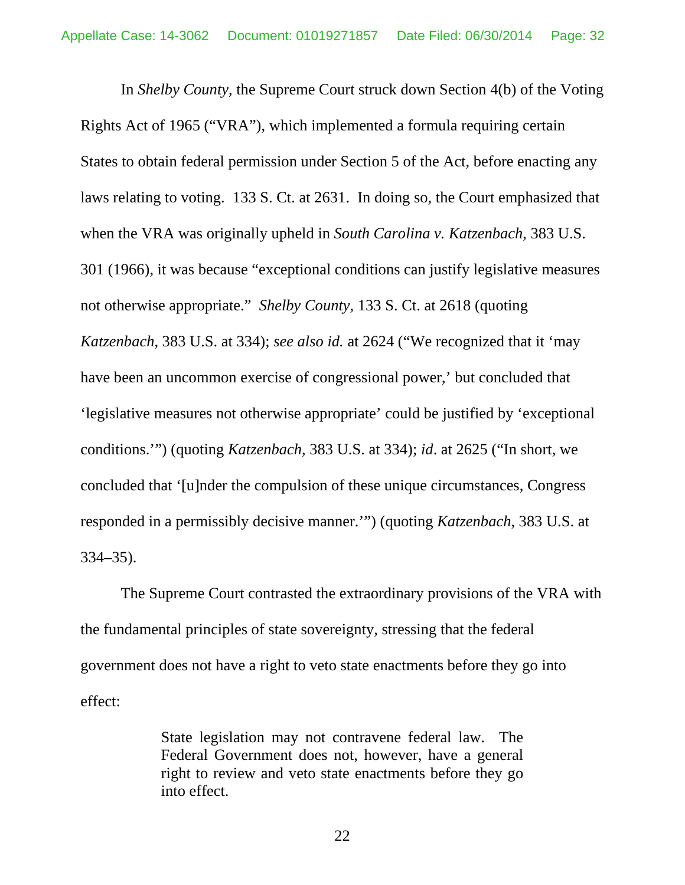In *Shelby County*, the Supreme Court struck down Section 4(b) of the Voting Rights Act of 1965 ("VRA"), which implemented a formula requiring certain States to obtain federal permission under Section 5 of the Act, before enacting any laws relating to voting. 133 S. Ct. at 2631. In doing so, the Court emphasized that when the VRA was originally upheld in *South Carolina v. Katzenbach*, 383 U.S. 301 (1966), it was because "exceptional conditions can justify legislative measures not otherwise appropriate." *Shelby County*, 133 S. Ct. at 2618 (quoting *Katzenbach*, 383 U.S. at 334); *see also id.* at 2624 ("We recognized that it 'may have been an uncommon exercise of congressional power,' but concluded that 'legislative measures not otherwise appropriate' could be justified by 'exceptional conditions.'") (quoting *Katzenbach*, 383 U.S. at 334); *id*. at 2625 ("In short, we concluded that '[u]nder the compulsion of these unique circumstances, Congress responded in a permissibly decisive manner.'") (quoting *Katzenbach*, 383 U.S. at 334**–**35).

The Supreme Court contrasted the extraordinary provisions of the VRA with the fundamental principles of state sovereignty, stressing that the federal government does not have a right to veto state enactments before they go into effect:

> <span id="page-31-0"></span>State legislation may not contravene federal law. The Federal Government does not, however, have a general right to review and veto state enactments before they go into effect.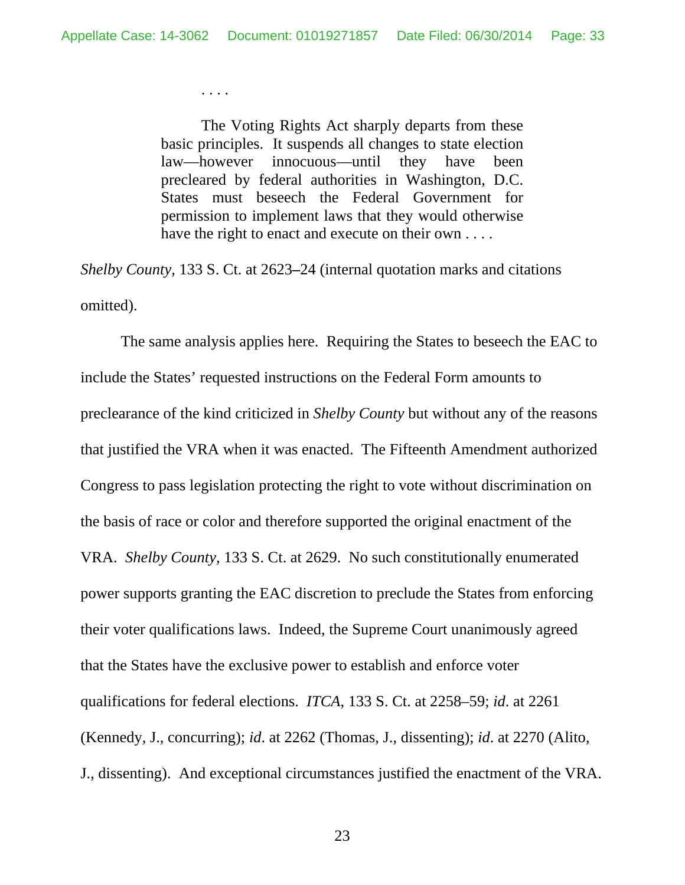. . . .

The Voting Rights Act sharply departs from these basic principles. It suspends all changes to state election law—however innocuous—until they have been precleared by federal authorities in Washington, D.C. States must beseech the Federal Government for permission to implement laws that they would otherwise have the right to enact and execute on their own . . . .

*Shelby County*, 133 S. Ct. at 2623**–**24 (internal quotation marks and citations omitted).

The same analysis applies here. Requiring the States to beseech the EAC to include the States' requested instructions on the Federal Form amounts to preclearance of the kind criticized in *Shelby County* but without any of the reasons that justified the VRA when it was enacted. The Fifteenth Amendment authorized Congress to pass legislation protecting the right to vote without discrimination on the basis of race or color and therefore supported the original enactment of the VRA. *Shelby County*, 133 S. Ct. at 2629. No such constitutionally enumerated power supports granting the EAC discretion to preclude the States from enforcing their voter qualifications laws. Indeed, the Supreme Court unanimously agreed that the States have the exclusive power to establish and enforce voter qualifications for federal elections. *ITCA*, 133 S. Ct. at 2258–59; *id*. at 2261 (Kennedy, J., concurring); *id*. at 2262 (Thomas, J., dissenting); *id*. at 2270 (Alito, J., dissenting). And exceptional circumstances justified the enactment of the VRA.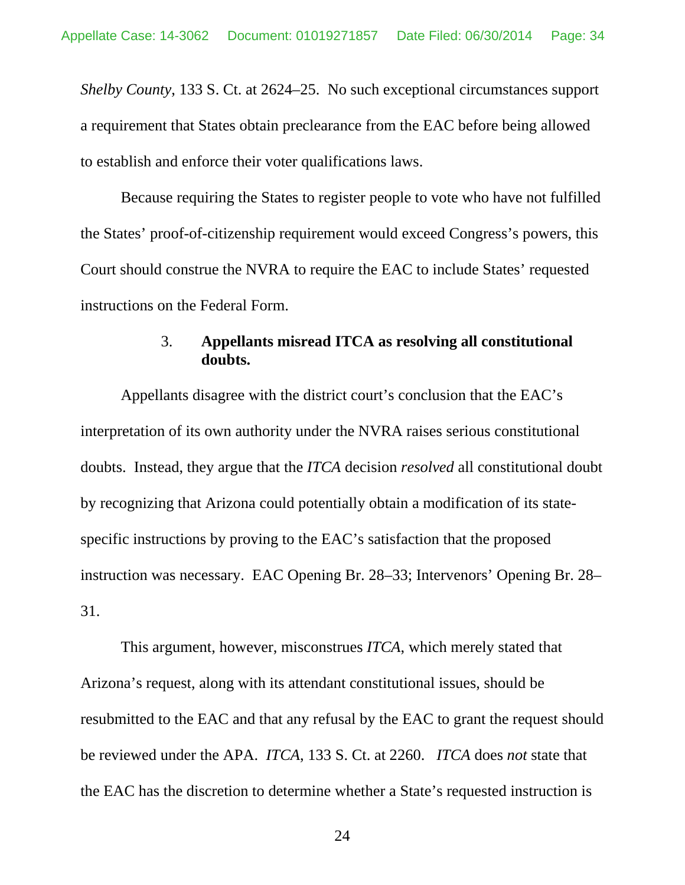*Shelby County*, 133 S. Ct. at 2624–25. No such exceptional circumstances support a requirement that States obtain preclearance from the EAC before being allowed to establish and enforce their voter qualifications laws.

Because requiring the States to register people to vote who have not fulfilled the States' proof-of-citizenship requirement would exceed Congress's powers, this Court should construe the NVRA to require the EAC to include States' requested instructions on the Federal Form.

# 3. **Appellants misread ITCA as resolving all constitutional doubts.**

<span id="page-33-0"></span>Appellants disagree with the district court's conclusion that the EAC's interpretation of its own authority under the NVRA raises serious constitutional doubts. Instead, they argue that the *ITCA* decision *resolved* all constitutional doubt by recognizing that Arizona could potentially obtain a modification of its statespecific instructions by proving to the EAC's satisfaction that the proposed instruction was necessary. EAC Opening Br. 28–33; Intervenors' Opening Br. 28– 31.

This argument, however, misconstrues *ITCA*, which merely stated that Arizona's request, along with its attendant constitutional issues, should be resubmitted to the EAC and that any refusal by the EAC to grant the request should be reviewed under the APA. *ITCA*, 133 S. Ct. at 2260. *ITCA* does *not* state that the EAC has the discretion to determine whether a State's requested instruction is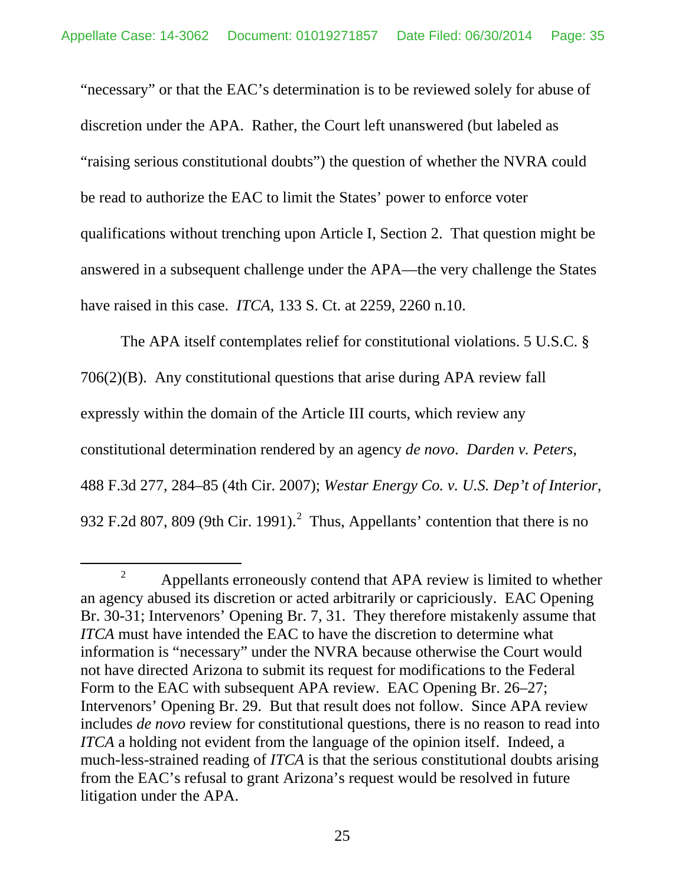"necessary" or that the EAC's determination is to be reviewed solely for abuse of discretion under the APA. Rather, the Court left unanswered (but labeled as "raising serious constitutional doubts") the question of whether the NVRA could be read to authorize the EAC to limit the States' power to enforce voter qualifications without trenching upon Article I, Section 2. That question might be answered in a subsequent challenge under the APA—the very challenge the States have raised in this case. *ITCA*, 133 S. Ct. at 2259, 2260 n.10.

The APA itself contemplates relief for constitutional violations. 5 U.S.C. § 706(2)(B). Any constitutional questions that arise during APA review fall expressly within the domain of the Article III courts, which review any constitutional determination rendered by an agency *de novo*. *Darden v. Peters*, 488 F.3d 277, 284–85 (4th Cir. 2007); *Westar Energy Co. v. U.S. Dep't of Interior*, 93[2](#page-39-0) F.2d 807, 809 (9th Cir. 1991). $^2$  Thus, Appellants' contention that there is no

<sup>&</sup>lt;sup>2</sup> Appellants erroneously contend that APA review is limited to whether an agency abused its discretion or acted arbitrarily or capriciously. EAC Opening Br. 30-31; Intervenors' Opening Br. 7, 31. They therefore mistakenly assume that *ITCA* must have intended the EAC to have the discretion to determine what information is "necessary" under the NVRA because otherwise the Court would not have directed Arizona to submit its request for modifications to the Federal Form to the EAC with subsequent APA review. EAC Opening Br. 26–27; Intervenors' Opening Br. 29. But that result does not follow. Since APA review includes *de novo* review for constitutional questions, there is no reason to read into *ITCA* a holding not evident from the language of the opinion itself. Indeed, a much-less-strained reading of *ITCA* is that the serious constitutional doubts arising from the EAC's refusal to grant Arizona's request would be resolved in future litigation under the APA.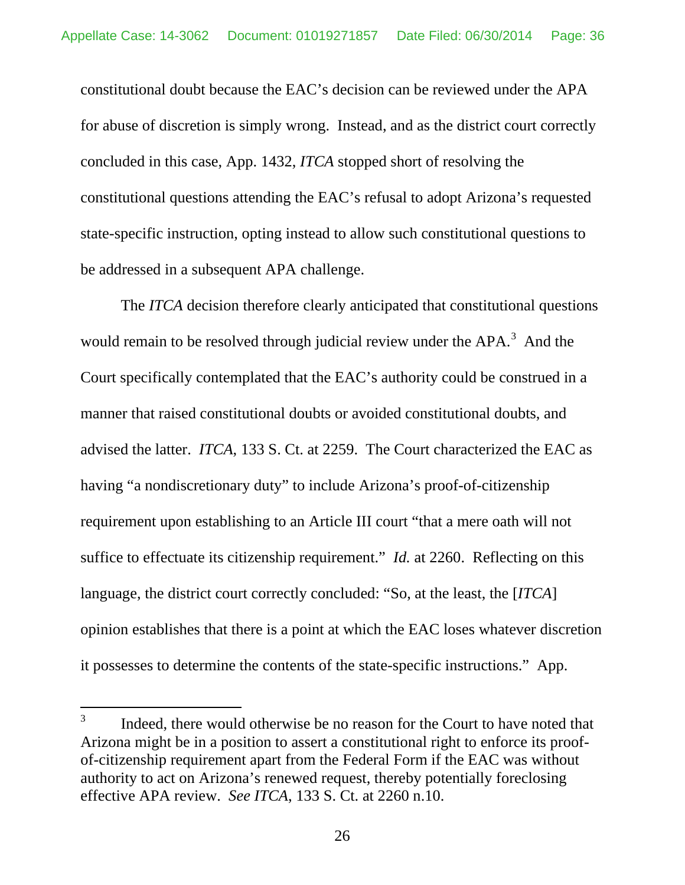constitutional doubt because the EAC's decision can be reviewed under the APA for abuse of discretion is simply wrong. Instead, and as the district court correctly concluded in this case, App. 1432, *ITCA* stopped short of resolving the constitutional questions attending the EAC's refusal to adopt Arizona's requested state-specific instruction, opting instead to allow such constitutional questions to be addressed in a subsequent APA challenge.

The *ITCA* decision therefore clearly anticipated that constitutional questions would remain to be resolved through judicial review under the  $APA$ <sup>[3](#page-40-1)</sup>. And the Court specifically contemplated that the EAC's authority could be construed in a manner that raised constitutional doubts or avoided constitutional doubts, and advised the latter. *ITCA*, 133 S. Ct. at 2259. The Court characterized the EAC as having "a nondiscretionary duty" to include Arizona's proof-of-citizenship requirement upon establishing to an Article III court "that a mere oath will not suffice to effectuate its citizenship requirement." *Id.* at 2260. Reflecting on this language, the district court correctly concluded: "So, at the least, the [*ITCA*] opinion establishes that there is a point at which the EAC loses whatever discretion it possesses to determine the contents of the state-specific instructions." App.

<sup>&</sup>lt;sup>3</sup> Indeed, there would otherwise be no reason for the Court to have noted that Arizona might be in a position to assert a constitutional right to enforce its proofof-citizenship requirement apart from the Federal Form if the EAC was without authority to act on Arizona's renewed request, thereby potentially foreclosing effective APA review. *See ITCA*, 133 S. Ct. at 2260 n.10.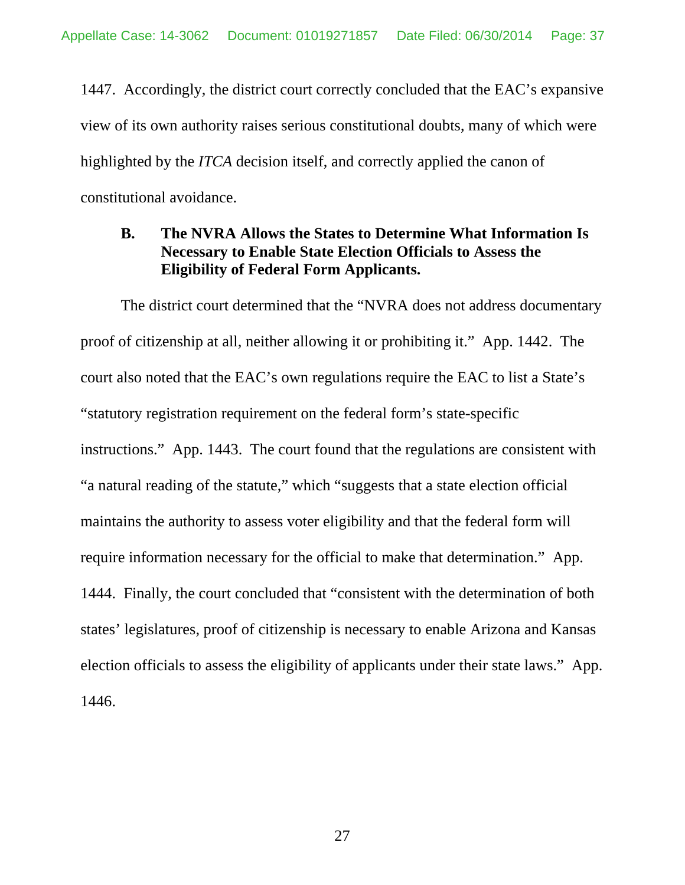1447. Accordingly, the district court correctly concluded that the EAC's expansive view of its own authority raises serious constitutional doubts, many of which were highlighted by the *ITCA* decision itself, and correctly applied the canon of constitutional avoidance.

## **B. The NVRA Allows the States to Determine What Information Is Necessary to Enable State Election Officials to Assess the Eligibility of Federal Form Applicants.**

The district court determined that the "NVRA does not address documentary proof of citizenship at all, neither allowing it or prohibiting it." App. 1442. The court also noted that the EAC's own regulations require the EAC to list a State's "statutory registration requirement on the federal form's state-specific instructions." App. 1443. The court found that the regulations are consistent with "a natural reading of the statute," which "suggests that a state election official maintains the authority to assess voter eligibility and that the federal form will require information necessary for the official to make that determination." App. 1444. Finally, the court concluded that "consistent with the determination of both states' legislatures, proof of citizenship is necessary to enable Arizona and Kansas election officials to assess the eligibility of applicants under their state laws." App. 1446.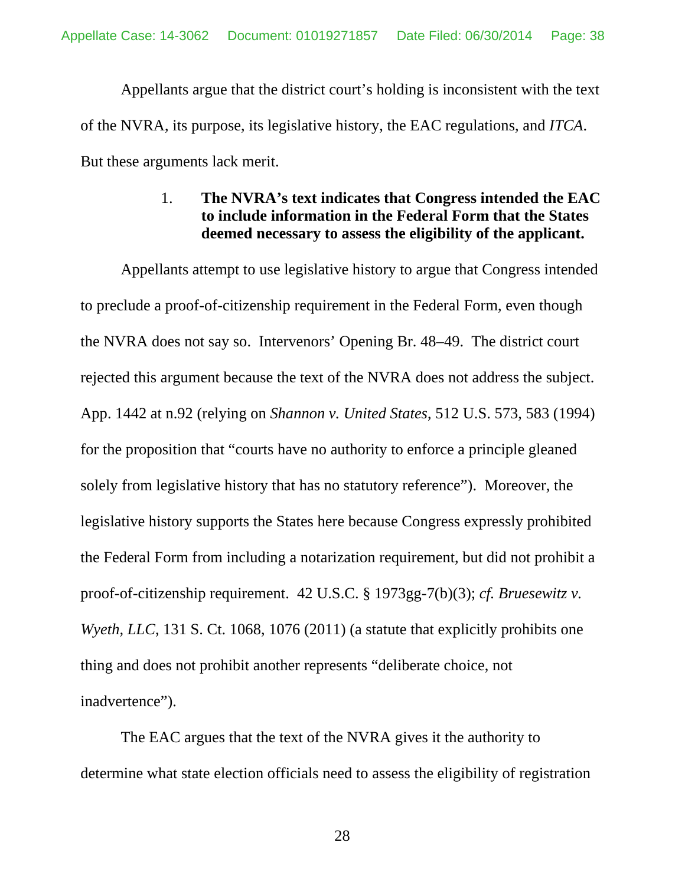Appellants argue that the district court's holding is inconsistent with the text of the NVRA, its purpose, its legislative history, the EAC regulations, and *ITCA*. But these arguments lack merit.

### 1. **The NVRA's text indicates that Congress intended the EAC to include information in the Federal Form that the States deemed necessary to assess the eligibility of the applicant.**

Appellants attempt to use legislative history to argue that Congress intended to preclude a proof-of-citizenship requirement in the Federal Form, even though the NVRA does not say so. Intervenors' Opening Br. 48–49. The district court rejected this argument because the text of the NVRA does not address the subject. App. 1442 at n.92 (relying on *Shannon v. United States*, 512 U.S. 573, 583 (1994) for the proposition that "courts have no authority to enforce a principle gleaned solely from legislative history that has no statutory reference"). Moreover, the legislative history supports the States here because Congress expressly prohibited the Federal Form from including a notarization requirement, but did not prohibit a proof-of-citizenship requirement. 42 U.S.C. § 1973gg-7(b)(3); *cf. Bruesewitz v. Wyeth, LLC*, 131 S. Ct. 1068, 1076 (2011) (a statute that explicitly prohibits one thing and does not prohibit another represents "deliberate choice, not inadvertence").

The EAC argues that the text of the NVRA gives it the authority to determine what state election officials need to assess the eligibility of registration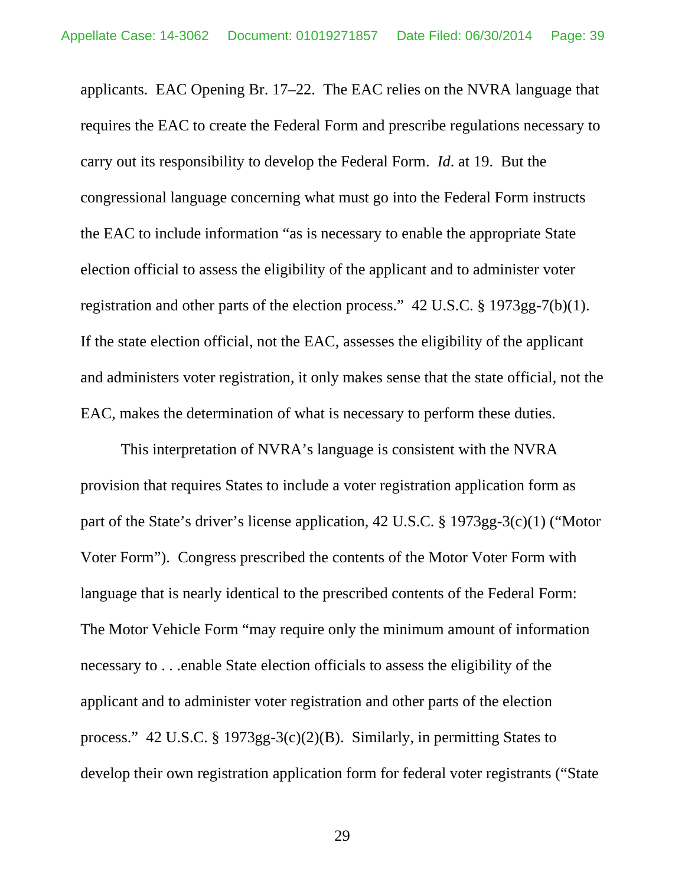applicants. EAC Opening Br. 17–22. The EAC relies on the NVRA language that requires the EAC to create the Federal Form and prescribe regulations necessary to carry out its responsibility to develop the Federal Form. *Id*. at 19. But the congressional language concerning what must go into the Federal Form instructs the EAC to include information "as is necessary to enable the appropriate State election official to assess the eligibility of the applicant and to administer voter registration and other parts of the election process." 42 U.S.C. § 1973gg-7(b)(1). If the state election official, not the EAC, assesses the eligibility of the applicant and administers voter registration, it only makes sense that the state official, not the EAC, makes the determination of what is necessary to perform these duties.

This interpretation of NVRA's language is consistent with the NVRA provision that requires States to include a voter registration application form as part of the State's driver's license application, 42 U.S.C. § 1973gg-3(c)(1) ("Motor Voter Form"). Congress prescribed the contents of the Motor Voter Form with language that is nearly identical to the prescribed contents of the Federal Form: The Motor Vehicle Form "may require only the minimum amount of information necessary to . . .enable State election officials to assess the eligibility of the applicant and to administer voter registration and other parts of the election process." 42 U.S.C. § 1973gg-3(c)(2)(B). Similarly, in permitting States to develop their own registration application form for federal voter registrants ("State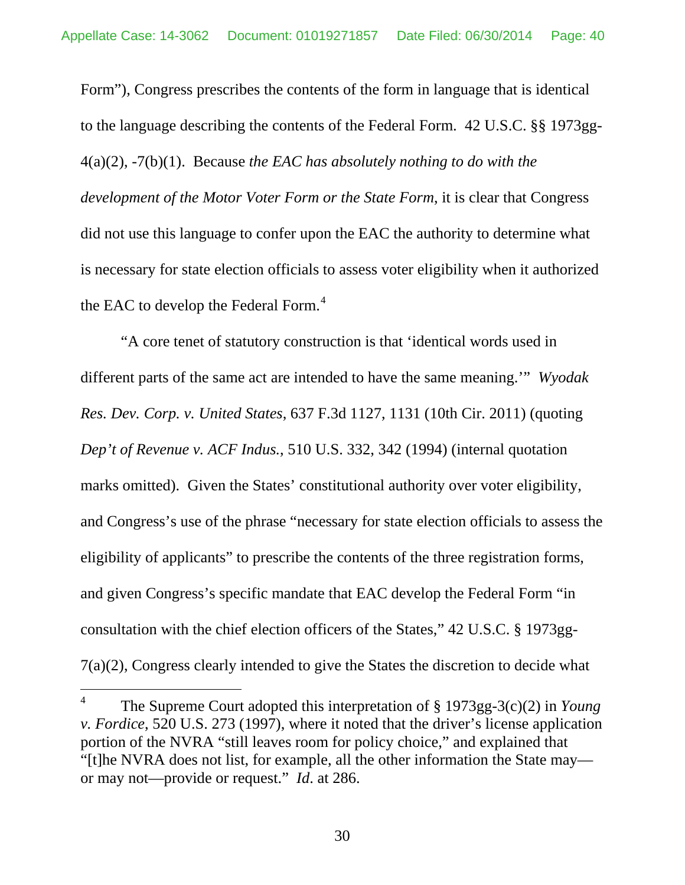Form"), Congress prescribes the contents of the form in language that is identical to the language describing the contents of the Federal Form. 42 U.S.C. §§ 1973gg-4(a)(2), -7(b)(1). Because *the EAC has absolutely nothing to do with the development of the Motor Voter Form or the State Form*, it is clear that Congress did not use this language to confer upon the EAC the authority to determine what is necessary for state election officials to assess voter eligibility when it authorized the EAC to develop the Federal Form. $<sup>4</sup>$  $<sup>4</sup>$  $<sup>4</sup>$ </sup>

"A core tenet of statutory construction is that 'identical words used in different parts of the same act are intended to have the same meaning.'" *Wyodak Res. Dev. Corp. v. United States*, 637 F.3d 1127, 1131 (10th Cir. 2011) (quoting *Dep't of Revenue v. ACF Indus.*, 510 U.S. 332, 342 (1994) (internal quotation marks omitted). Given the States' constitutional authority over voter eligibility, and Congress's use of the phrase "necessary for state election officials to assess the eligibility of applicants" to prescribe the contents of the three registration forms, and given Congress's specific mandate that EAC develop the Federal Form "in consultation with the chief election officers of the States," 42 U.S.C. § 1973gg-7(a)(2), Congress clearly intended to give the States the discretion to decide what

 <sup>4</sup> The Supreme Court adopted this interpretation of § 1973gg-3(c)(2) in *Young v. Fordice*, 520 U.S. 273 (1997), where it noted that the driver's license application portion of the NVRA "still leaves room for policy choice," and explained that "[t]he NVRA does not list, for example, all the other information the State may or may not—provide or request." *Id*. at 286.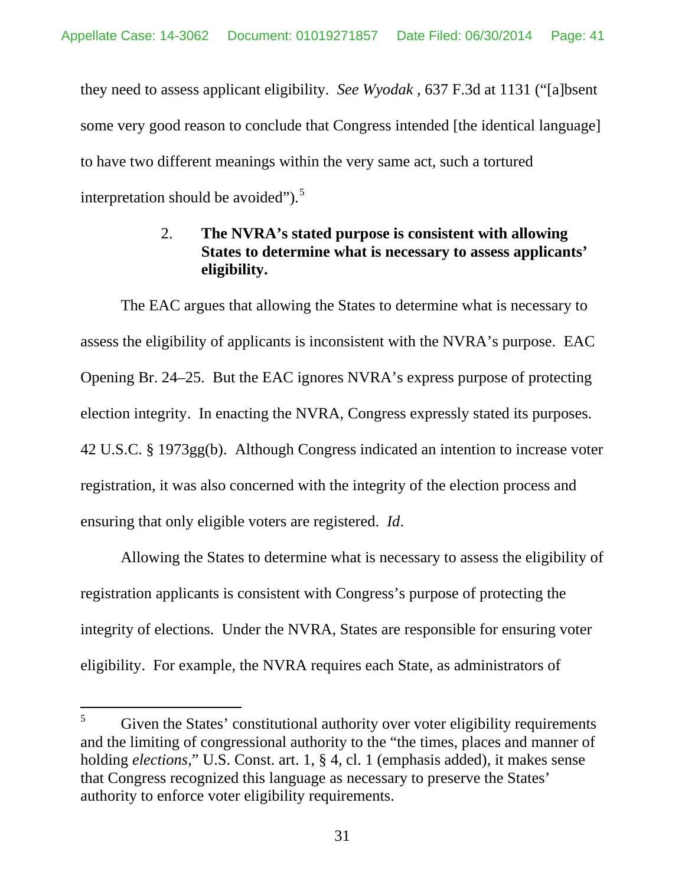they need to assess applicant eligibility. *See Wyodak* , 637 F.3d at 1131 ("[a]bsent some very good reason to conclude that Congress intended [the identical language] to have two different meanings within the very same act, such a tortured interpretation should be avoided"). $5$ 

# 2. **The NVRA's stated purpose is consistent with allowing States to determine what is necessary to assess applicants' eligibility.**

The EAC argues that allowing the States to determine what is necessary to assess the eligibility of applicants is inconsistent with the NVRA's purpose. EAC Opening Br. 24–25. But the EAC ignores NVRA's express purpose of protecting election integrity. In enacting the NVRA, Congress expressly stated its purposes. 42 U.S.C. § 1973gg(b). Although Congress indicated an intention to increase voter registration, it was also concerned with the integrity of the election process and ensuring that only eligible voters are registered. *Id*.

Allowing the States to determine what is necessary to assess the eligibility of registration applicants is consistent with Congress's purpose of protecting the integrity of elections. Under the NVRA, States are responsible for ensuring voter eligibility. For example, the NVRA requires each State, as administrators of

 $5$  Given the States' constitutional authority over voter eligibility requirements and the limiting of congressional authority to the "the times, places and manner of holding *elections*," U.S. Const. art. 1, § 4, cl. 1 (emphasis added), it makes sense that Congress recognized this language as necessary to preserve the States' authority to enforce voter eligibility requirements.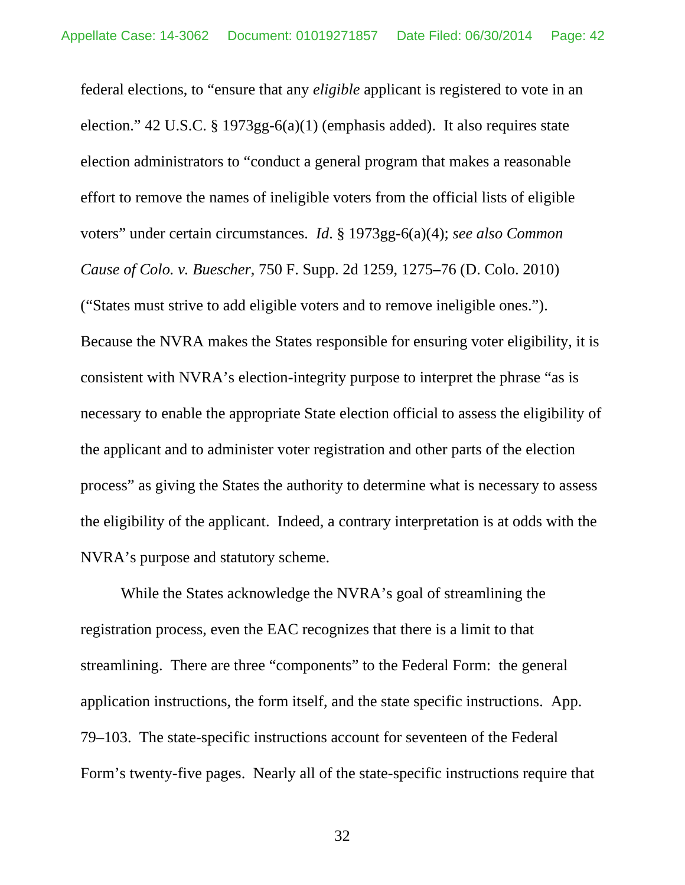federal elections, to "ensure that any *eligible* applicant is registered to vote in an election." 42 U.S.C. § 1973gg-6(a)(1) (emphasis added). It also requires state election administrators to "conduct a general program that makes a reasonable effort to remove the names of ineligible voters from the official lists of eligible voters" under certain circumstances. *Id*. § 1973gg-6(a)(4); *see also Common Cause of Colo. v. Buescher*, 750 F. Supp. 2d 1259, 1275**–**76 (D. Colo. 2010) ("States must strive to add eligible voters and to remove ineligible ones."). Because the NVRA makes the States responsible for ensuring voter eligibility, it is consistent with NVRA's election-integrity purpose to interpret the phrase "as is necessary to enable the appropriate State election official to assess the eligibility of the applicant and to administer voter registration and other parts of the election process" as giving the States the authority to determine what is necessary to assess the eligibility of the applicant. Indeed, a contrary interpretation is at odds with the NVRA's purpose and statutory scheme.

While the States acknowledge the NVRA's goal of streamlining the registration process, even the EAC recognizes that there is a limit to that streamlining. There are three "components" to the Federal Form: the general application instructions, the form itself, and the state specific instructions. App. 79–103. The state-specific instructions account for seventeen of the Federal Form's twenty-five pages. Nearly all of the state-specific instructions require that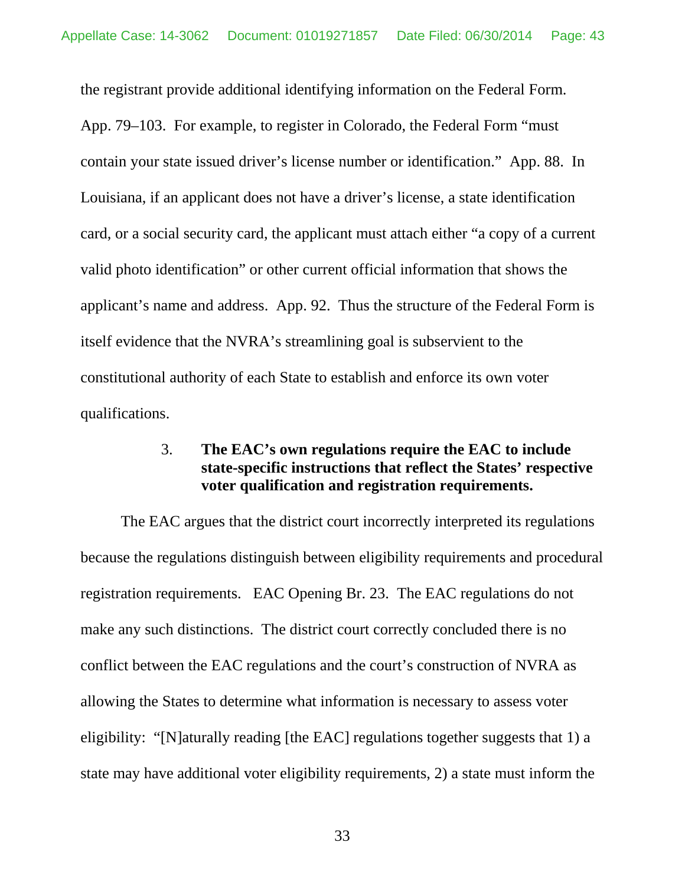the registrant provide additional identifying information on the Federal Form. App. 79–103. For example, to register in Colorado, the Federal Form "must contain your state issued driver's license number or identification." App. 88. In Louisiana, if an applicant does not have a driver's license, a state identification card, or a social security card, the applicant must attach either "a copy of a current valid photo identification" or other current official information that shows the applicant's name and address. App. 92. Thus the structure of the Federal Form is itself evidence that the NVRA's streamlining goal is subservient to the constitutional authority of each State to establish and enforce its own voter qualifications.

### 3. **The EAC's own regulations require the EAC to include state-specific instructions that reflect the States' respective voter qualification and registration requirements.**

The EAC argues that the district court incorrectly interpreted its regulations because the regulations distinguish between eligibility requirements and procedural registration requirements. EAC Opening Br. 23. The EAC regulations do not make any such distinctions. The district court correctly concluded there is no conflict between the EAC regulations and the court's construction of NVRA as allowing the States to determine what information is necessary to assess voter eligibility: "[N]aturally reading [the EAC] regulations together suggests that 1) a state may have additional voter eligibility requirements, 2) a state must inform the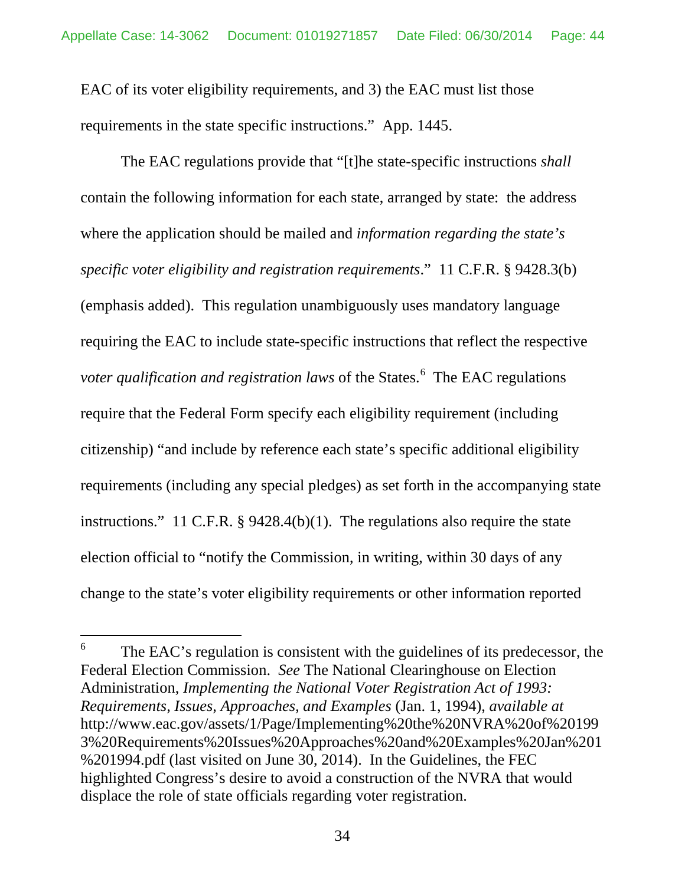EAC of its voter eligibility requirements, and 3) the EAC must list those requirements in the state specific instructions." App. 1445.

The EAC regulations provide that "[t]he state-specific instructions *shall* contain the following information for each state, arranged by state: the address where the application should be mailed and *information regarding the state's specific voter eligibility and registration requirements*." 11 C.F.R. § 9428.3(b) (emphasis added). This regulation unambiguously uses mandatory language requiring the EAC to include state-specific instructions that reflect the respective voter qualification and registration laws of the States.<sup>[6](#page-49-0)</sup> The EAC regulations require that the Federal Form specify each eligibility requirement (including citizenship) "and include by reference each state's specific additional eligibility requirements (including any special pledges) as set forth in the accompanying state instructions." 11 C.F.R. § 9428.4(b)(1). The regulations also require the state election official to "notify the Commission, in writing, within 30 days of any change to the state's voter eligibility requirements or other information reported

 $6\degree$  The EAC's regulation is consistent with the guidelines of its predecessor, the Federal Election Commission. *See* The National Clearinghouse on Election Administration, *Implementing the National Voter Registration Act of 1993: Requirements, Issues, Approaches, and Examples* (Jan. 1, 1994), *available at*  [http://www.eac.gov/assets/1/Page/Implementing%20the%20NVRA%20of%20199](http://www.eac.gov/assets/1/Page/Implementing%20the%20NVRA%20of%201993%20Requirements%20Issues%20Approaches%20and%20Examples%20Jan%201%201994.pdf) [3%20Requirements%20Issues%20Approaches%20and%20Examples%20Jan%201](http://www.eac.gov/assets/1/Page/Implementing%20the%20NVRA%20of%201993%20Requirements%20Issues%20Approaches%20and%20Examples%20Jan%201%201994.pdf) [%201994.pdf](http://www.eac.gov/assets/1/Page/Implementing%20the%20NVRA%20of%201993%20Requirements%20Issues%20Approaches%20and%20Examples%20Jan%201%201994.pdf) (last visited on June 30, 2014).In the Guidelines, the FEC highlighted Congress's desire to avoid a construction of the NVRA that would displace the role of state officials regarding voter registration.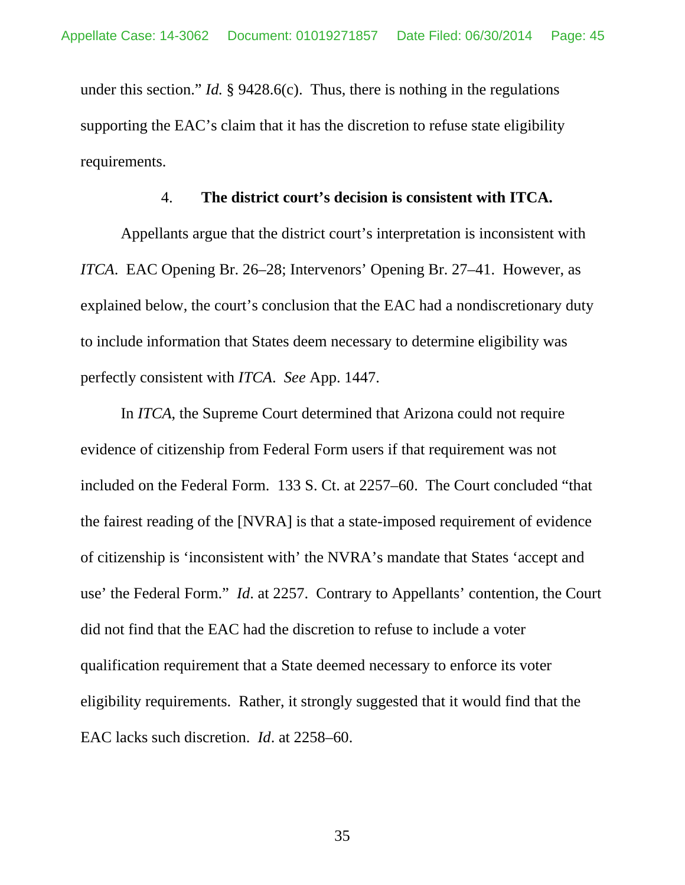under this section." *Id.* § 9428.6(c). Thus, there is nothing in the regulations supporting the EAC's claim that it has the discretion to refuse state eligibility requirements.

#### 4. **The district court's decision is consistent with ITCA.**

Appellants argue that the district court's interpretation is inconsistent with *ITCA*. EAC Opening Br. 26–28; Intervenors' Opening Br. 27–41. However, as explained below, the court's conclusion that the EAC had a nondiscretionary duty to include information that States deem necessary to determine eligibility was perfectly consistent with *ITCA*. *See* App. 1447.

<span id="page-44-0"></span>In *ITCA*, the Supreme Court determined that Arizona could not require evidence of citizenship from Federal Form users if that requirement was not included on the Federal Form. 133 S. Ct. at 2257–60. The Court concluded "that the fairest reading of the [NVRA] is that a state-imposed requirement of evidence of citizenship is 'inconsistent with' the NVRA's mandate that States 'accept and use' the Federal Form." *Id*. at 2257. Contrary to Appellants' contention, the Court did not find that the EAC had the discretion to refuse to include a voter qualification requirement that a State deemed necessary to enforce its voter eligibility requirements. Rather, it strongly suggested that it would find that the EAC lacks such discretion. *Id*. at 2258–60.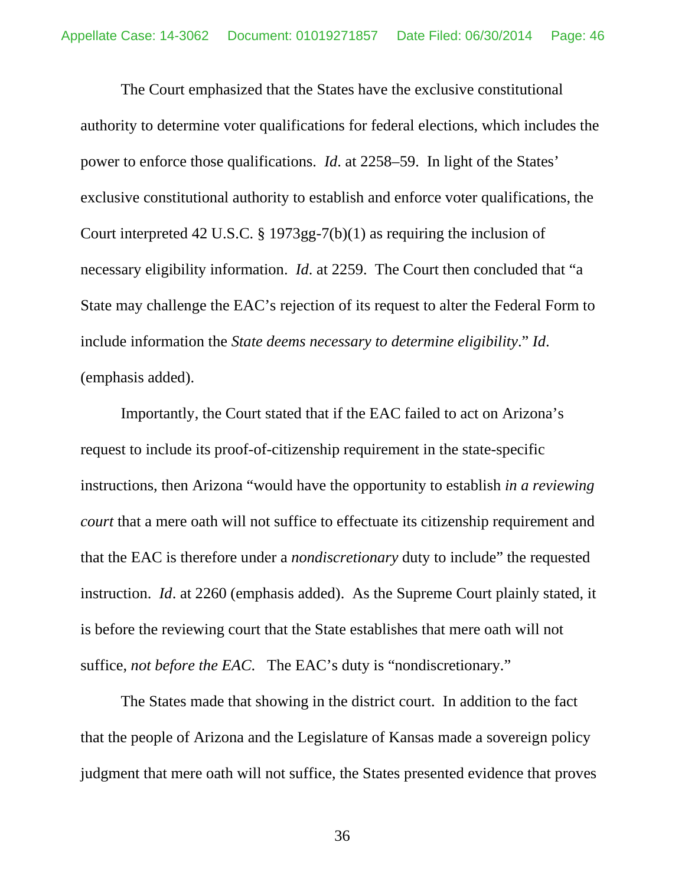The Court emphasized that the States have the exclusive constitutional authority to determine voter qualifications for federal elections, which includes the power to enforce those qualifications. *Id*. at 2258–59. In light of the States' exclusive constitutional authority to establish and enforce voter qualifications, the Court interpreted 42 U.S.C. § 1973gg-7(b)(1) as requiring the inclusion of necessary eligibility information. *Id*. at 2259. The Court then concluded that "a State may challenge the EAC's rejection of its request to alter the Federal Form to include information the *State deems necessary to determine eligibility*." *Id*. (emphasis added).

Importantly, the Court stated that if the EAC failed to act on Arizona's request to include its proof-of-citizenship requirement in the state-specific instructions, then Arizona "would have the opportunity to establish *in a reviewing court* that a mere oath will not suffice to effectuate its citizenship requirement and that the EAC is therefore under a *nondiscretionary* duty to include" the requested instruction. *Id*. at 2260 (emphasis added). As the Supreme Court plainly stated, it is before the reviewing court that the State establishes that mere oath will not suffice, *not before the EAC*. The EAC's duty is "nondiscretionary."

The States made that showing in the district court. In addition to the fact that the people of Arizona and the Legislature of Kansas made a sovereign policy judgment that mere oath will not suffice, the States presented evidence that proves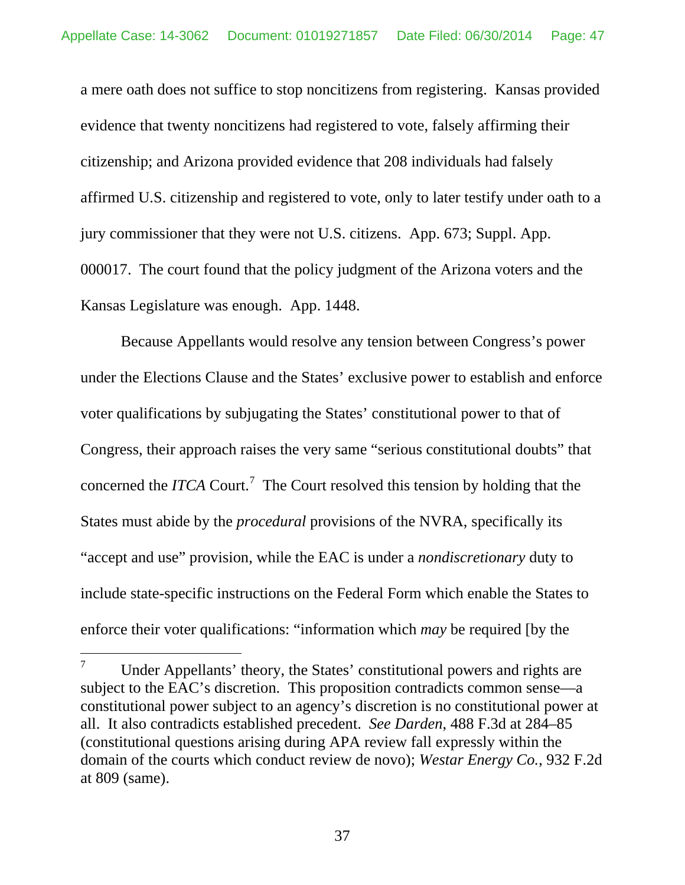a mere oath does not suffice to stop noncitizens from registering. Kansas provided evidence that twenty noncitizens had registered to vote, falsely affirming their citizenship; and Arizona provided evidence that 208 individuals had falsely affirmed U.S. citizenship and registered to vote, only to later testify under oath to a jury commissioner that they were not U.S. citizens. App. 673; Suppl. App. 000017. The court found that the policy judgment of the Arizona voters and the Kansas Legislature was enough. App. 1448.

Because Appellants would resolve any tension between Congress's power under the Elections Clause and the States' exclusive power to establish and enforce voter qualifications by subjugating the States' constitutional power to that of Congress, their approach raises the very same "serious constitutional doubts" that concerned the *ITCA* Court.<sup>[7](#page-53-0)</sup> The Court resolved this tension by holding that the States must abide by the *procedural* provisions of the NVRA, specifically its "accept and use" provision, while the EAC is under a *nondiscretionary* duty to include state-specific instructions on the Federal Form which enable the States to enforce their voter qualifications: "information which *may* be required [by the

<span id="page-46-0"></span> $7$  Under Appellants' theory, the States' constitutional powers and rights are subject to the EAC's discretion. This proposition contradicts common sense—a constitutional power subject to an agency's discretion is no constitutional power at all. It also contradicts established precedent. *See Darden*, 488 F.3d at 284–85 (constitutional questions arising during APA review fall expressly within the domain of the courts which conduct review de novo); *Westar Energy Co.*, 932 F.2d at 809 (same).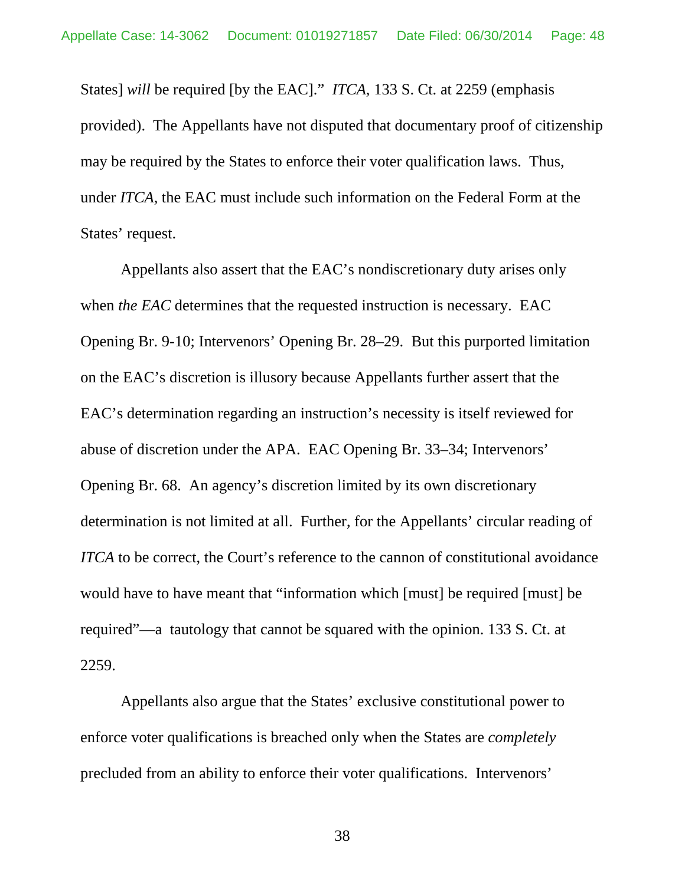States] *will* be required [by the EAC]." *ITCA*, 133 S. Ct. at 2259 (emphasis provided). The Appellants have not disputed that documentary proof of citizenship may be required by the States to enforce their voter qualification laws. Thus, under *ITCA*, the EAC must include such information on the Federal Form at the States' request.

Appellants also assert that the EAC's nondiscretionary duty arises only when *the EAC* determines that the requested instruction is necessary. EAC Opening Br. 9-10; Intervenors' Opening Br. 28–29. But this purported limitation on the EAC's discretion is illusory because Appellants further assert that the EAC's determination regarding an instruction's necessity is itself reviewed for abuse of discretion under the APA. EAC Opening Br. 33–34; Intervenors' Opening Br. 68. An agency's discretion limited by its own discretionary determination is not limited at all. Further, for the Appellants' circular reading of *ITCA* to be correct, the Court's reference to the cannon of constitutional avoidance would have to have meant that "information which [must] be required [must] be required"—a tautology that cannot be squared with the opinion. 133 S. Ct. at 2259.

Appellants also argue that the States' exclusive constitutional power to enforce voter qualifications is breached only when the States are *completely* precluded from an ability to enforce their voter qualifications. Intervenors'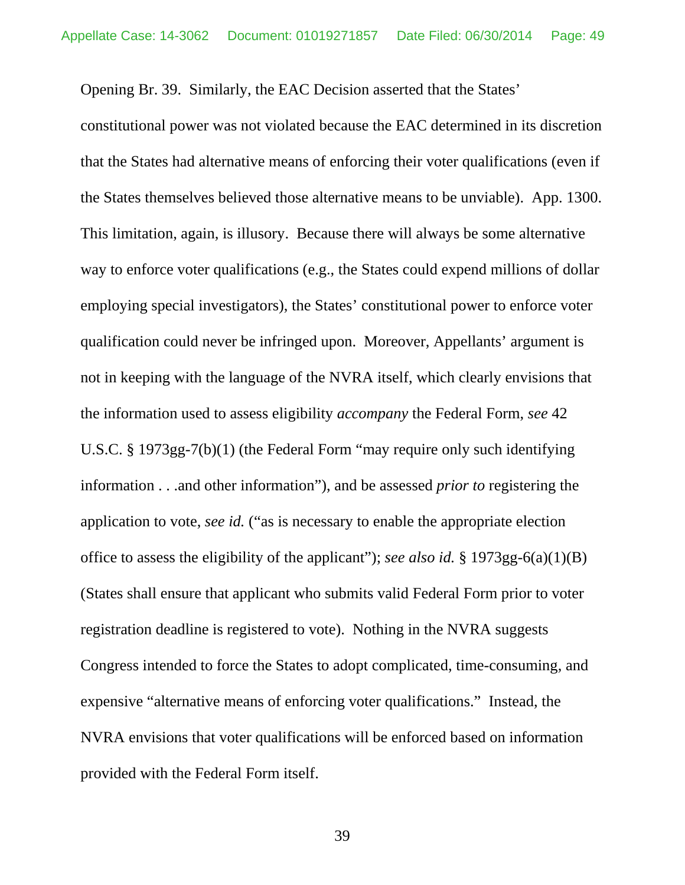Opening Br. 39. Similarly, the EAC Decision asserted that the States'

constitutional power was not violated because the EAC determined in its discretion that the States had alternative means of enforcing their voter qualifications (even if the States themselves believed those alternative means to be unviable). App. 1300. This limitation, again, is illusory. Because there will always be some alternative way to enforce voter qualifications (e.g., the States could expend millions of dollar employing special investigators), the States' constitutional power to enforce voter qualification could never be infringed upon. Moreover, Appellants' argument is not in keeping with the language of the NVRA itself, which clearly envisions that the information used to assess eligibility *accompany* the Federal Form, *see* 42 U.S.C. § 1973gg-7(b)(1) (the Federal Form "may require only such identifying information . . .and other information"), and be assessed *prior to* registering the application to vote, *see id.* ("as is necessary to enable the appropriate election office to assess the eligibility of the applicant"); *see also id.* § 1973gg-6(a)(1)(B) (States shall ensure that applicant who submits valid Federal Form prior to voter registration deadline is registered to vote). Nothing in the NVRA suggests Congress intended to force the States to adopt complicated, time-consuming, and expensive "alternative means of enforcing voter qualifications." Instead, the NVRA envisions that voter qualifications will be enforced based on information provided with the Federal Form itself.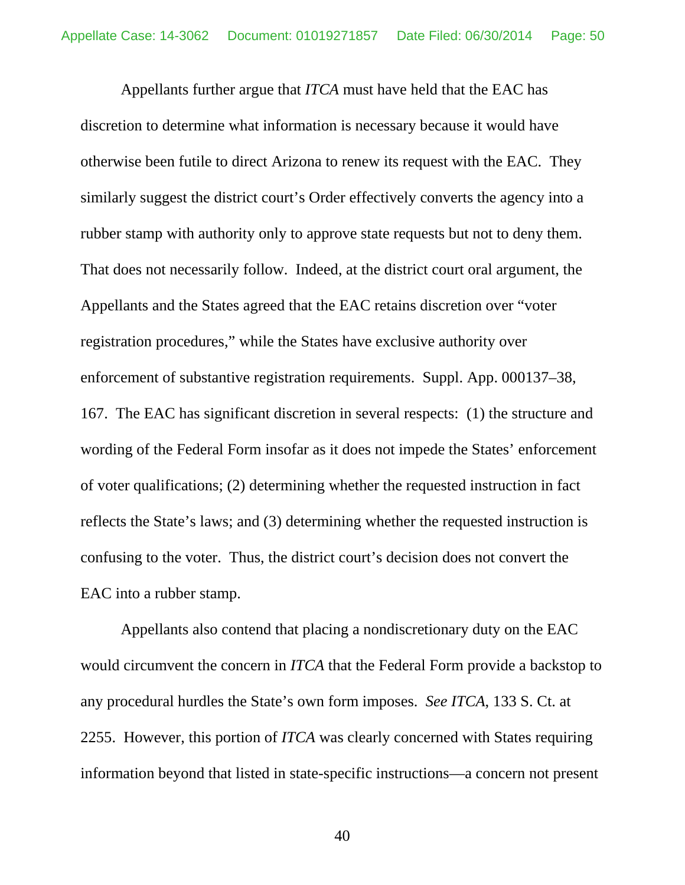Appellants further argue that *ITCA* must have held that the EAC has discretion to determine what information is necessary because it would have otherwise been futile to direct Arizona to renew its request with the EAC. They similarly suggest the district court's Order effectively converts the agency into a rubber stamp with authority only to approve state requests but not to deny them. That does not necessarily follow. Indeed, at the district court oral argument, the Appellants and the States agreed that the EAC retains discretion over "voter registration procedures," while the States have exclusive authority over enforcement of substantive registration requirements. Suppl. App. 000137–38, 167. The EAC has significant discretion in several respects: (1) the structure and wording of the Federal Form insofar as it does not impede the States' enforcement of voter qualifications; (2) determining whether the requested instruction in fact reflects the State's laws; and (3) determining whether the requested instruction is confusing to the voter. Thus, the district court's decision does not convert the EAC into a rubber stamp.

<span id="page-49-0"></span>Appellants also contend that placing a nondiscretionary duty on the EAC would circumvent the concern in *ITCA* that the Federal Form provide a backstop to any procedural hurdles the State's own form imposes. *See ITCA*, 133 S. Ct. at 2255. However, this portion of *ITCA* was clearly concerned with States requiring information beyond that listed in state-specific instructions—a concern not present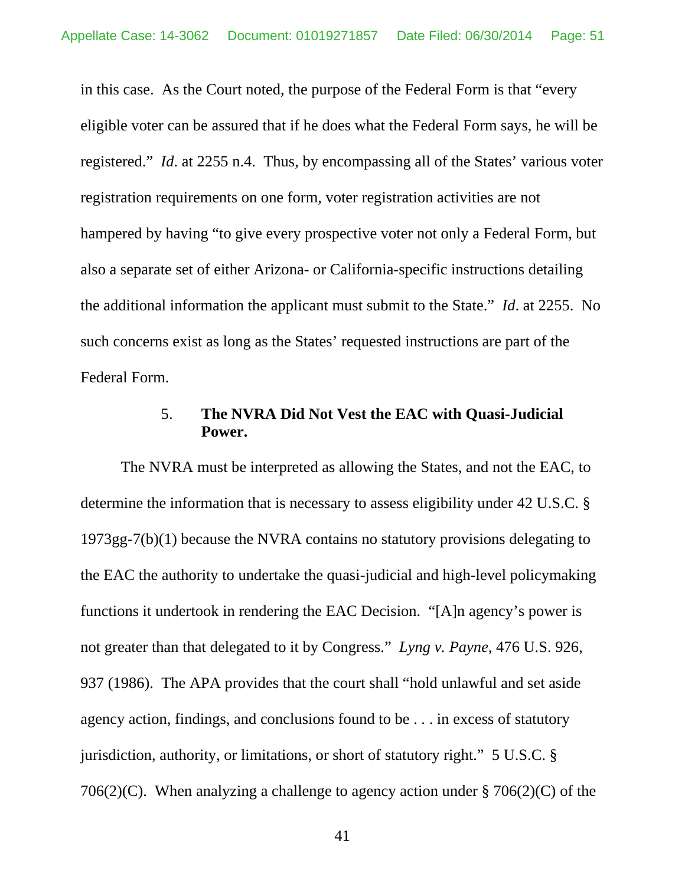in this case. As the Court noted, the purpose of the Federal Form is that "every eligible voter can be assured that if he does what the Federal Form says, he will be registered." *Id*. at 2255 n.4. Thus, by encompassing all of the States' various voter registration requirements on one form, voter registration activities are not hampered by having "to give every prospective voter not only a Federal Form, but also a separate set of either Arizona- or California-specific instructions detailing the additional information the applicant must submit to the State." *Id*. at 2255. No such concerns exist as long as the States' requested instructions are part of the Federal Form.

### 5. **The NVRA Did Not Vest the EAC with Quasi-Judicial Power.**

The NVRA must be interpreted as allowing the States, and not the EAC, to determine the information that is necessary to assess eligibility under 42 U.S.C. § 1973gg-7(b)(1) because the NVRA contains no statutory provisions delegating to the EAC the authority to undertake the quasi-judicial and high-level policymaking functions it undertook in rendering the EAC Decision. "[A]n agency's power is not greater than that delegated to it by Congress." *Lyng v. Payne*, 476 U.S. 926, 937 (1986). The APA provides that the court shall "hold unlawful and set aside agency action, findings, and conclusions found to be . . . in excess of statutory jurisdiction, authority, or limitations, or short of statutory right." 5 U.S.C. § 706(2)(C). When analyzing a challenge to agency action under  $\S 706(2)(C)$  of the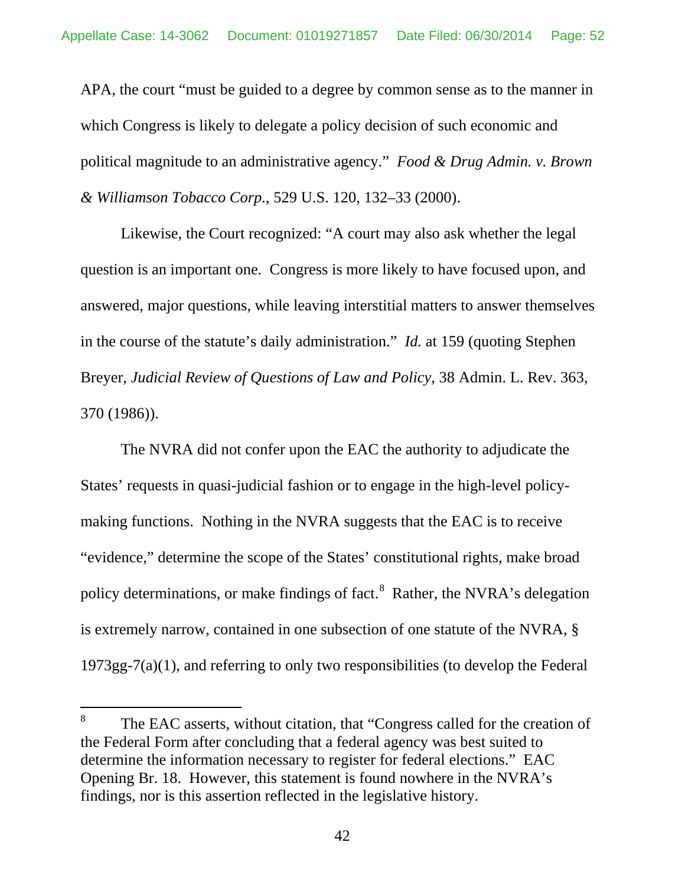APA, the court "must be guided to a degree by common sense as to the manner in which Congress is likely to delegate a policy decision of such economic and political magnitude to an administrative agency." *Food & Drug Admin. v. Brown & Williamson Tobacco Corp.*, 529 U.S. 120, 132–33 (2000).

Likewise, the Court recognized: "A court may also ask whether the legal question is an important one. Congress is more likely to have focused upon, and answered, major questions, while leaving interstitial matters to answer themselves in the course of the statute's daily administration." *Id.* at 159 (quoting Stephen Breyer, *Judicial Review of Questions of Law and Policy*, 38 Admin. L. Rev. 363, 370 (1986)).

The NVRA did not confer upon the EAC the authority to adjudicate the States' requests in quasi-judicial fashion or to engage in the high-level policymaking functions. Nothing in the NVRA suggests that the EAC is to receive "evidence," determine the scope of the States' constitutional rights, make broad policy determinations, or make findings of fact.<sup>[8](#page-59-0)</sup> Rather, the NVRA's delegation is extremely narrow, contained in one subsection of one statute of the NVRA, § 1973gg-7(a)(1), and referring to only two responsibilities (to develop the Federal

<sup>&</sup>lt;sup>8</sup> The EAC asserts, without citation, that "Congress called for the creation of the Federal Form after concluding that a federal agency was best suited to determine the information necessary to register for federal elections." EAC Opening Br. 18. However, this statement is found nowhere in the NVRA's findings, nor is this assertion reflected in the legislative history.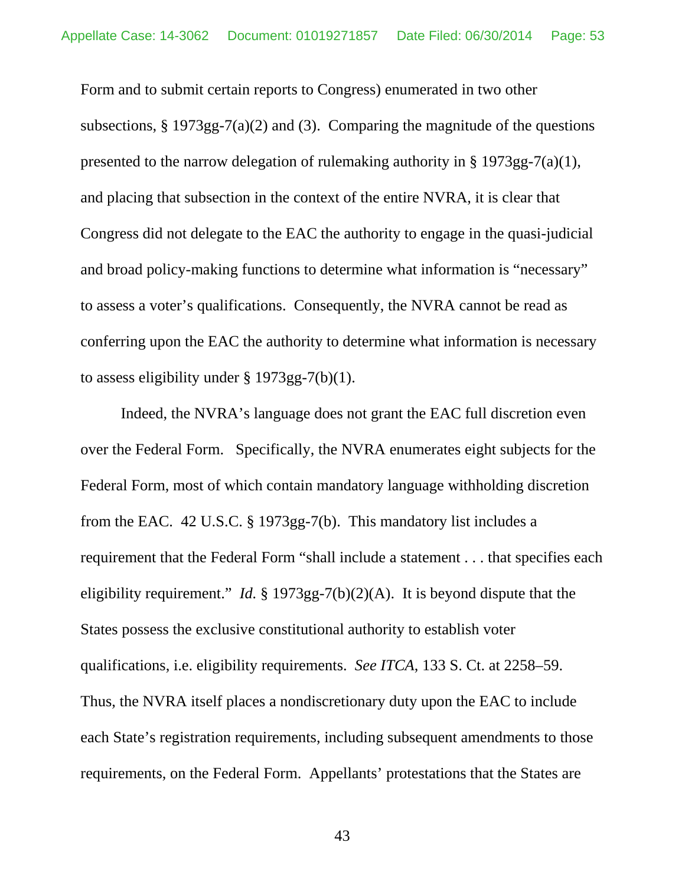Form and to submit certain reports to Congress) enumerated in two other subsections,  $\S 1973gg-7(a)(2)$  and (3). Comparing the magnitude of the questions presented to the narrow delegation of rulemaking authority in § 1973gg-7(a)(1), and placing that subsection in the context of the entire NVRA, it is clear that Congress did not delegate to the EAC the authority to engage in the quasi-judicial and broad policy-making functions to determine what information is "necessary" to assess a voter's qualifications. Consequently, the NVRA cannot be read as conferring upon the EAC the authority to determine what information is necessary to assess eligibility under § 1973gg-7(b)(1).

Indeed, the NVRA's language does not grant the EAC full discretion even over the Federal Form. Specifically, the NVRA enumerates eight subjects for the Federal Form, most of which contain mandatory language withholding discretion from the EAC. 42 U.S.C. § 1973gg-7(b). This mandatory list includes a requirement that the Federal Form "shall include a statement . . . that specifies each eligibility requirement." *Id.* § 1973gg-7(b)(2)(A). It is beyond dispute that the States possess the exclusive constitutional authority to establish voter qualifications, i.e. eligibility requirements. *See ITCA*, 133 S. Ct. at 2258–59. Thus, the NVRA itself places a nondiscretionary duty upon the EAC to include each State's registration requirements, including subsequent amendments to those requirements, on the Federal Form. Appellants' protestations that the States are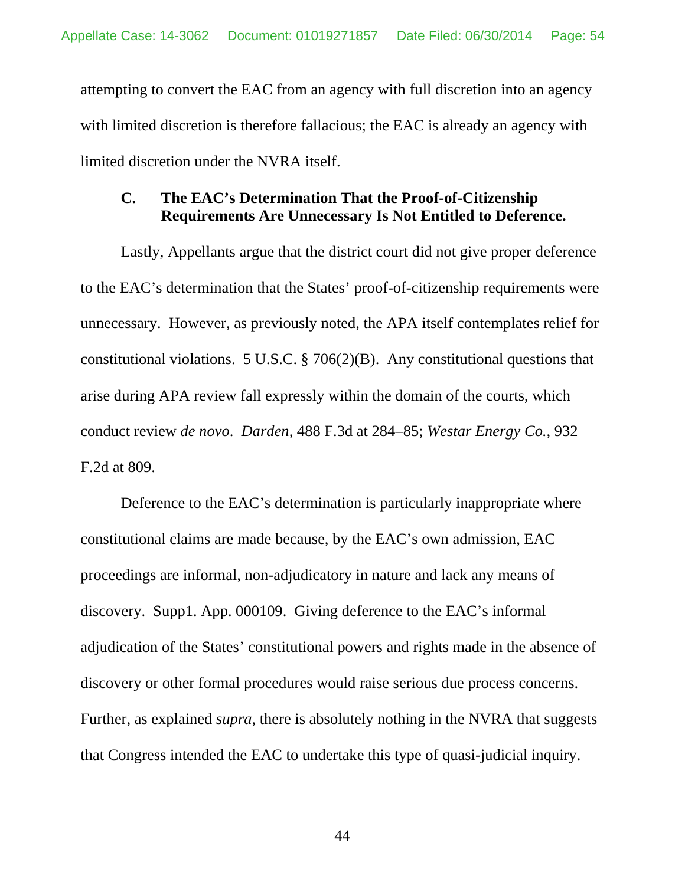attempting to convert the EAC from an agency with full discretion into an agency with limited discretion is therefore fallacious; the EAC is already an agency with limited discretion under the NVRA itself.

# **C. The EAC's Determination That the Proof-of-Citizenship Requirements Are Unnecessary Is Not Entitled to Deference.**

Lastly, Appellants argue that the district court did not give proper deference to the EAC's determination that the States' proof-of-citizenship requirements were unnecessary. However, as previously noted, the APA itself contemplates relief for constitutional violations. 5 U.S.C. § 706(2)(B). Any constitutional questions that arise during APA review fall expressly within the domain of the courts, which conduct review *de novo*. *Darden*, 488 F.3d at 284–85; *Westar Energy Co.*, 932 F.2d at 809.

<span id="page-53-0"></span>Deference to the EAC's determination is particularly inappropriate where constitutional claims are made because, by the EAC's own admission, EAC proceedings are informal, non-adjudicatory in nature and lack any means of discovery. Supp1. App. 000109. Giving deference to the EAC's informal adjudication of the States' constitutional powers and rights made in the absence of discovery or other formal procedures would raise serious due process concerns. Further, as explained *supra*, there is absolutely nothing in the NVRA that suggests that Congress intended the EAC to undertake this type of quasi-judicial inquiry.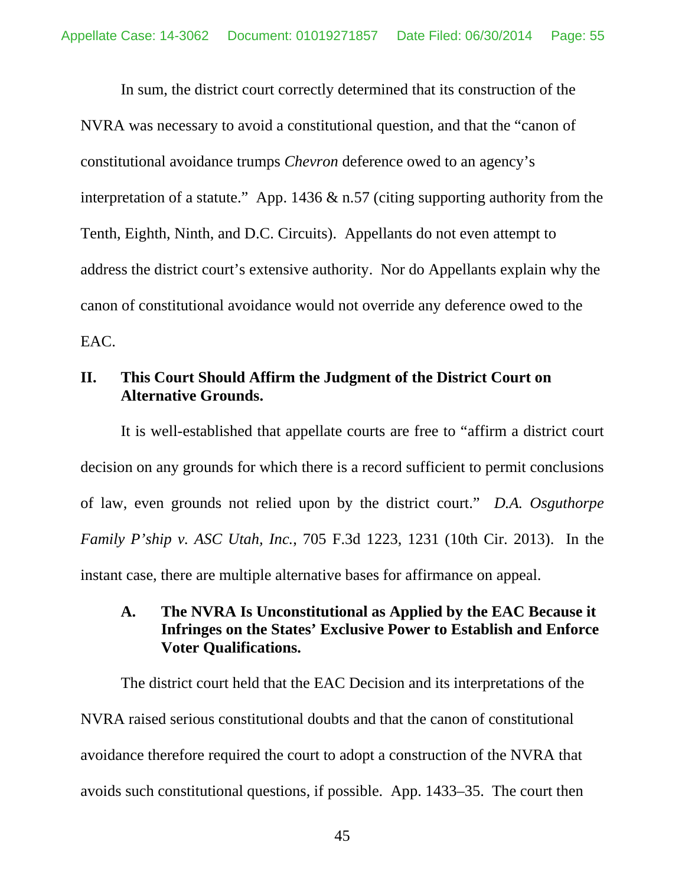In sum, the district court correctly determined that its construction of the NVRA was necessary to avoid a constitutional question, and that the "canon of constitutional avoidance trumps *Chevron* deference owed to an agency's interpretation of a statute." App. 1436  $\&$  n.57 (citing supporting authority from the Tenth, Eighth, Ninth, and D.C. Circuits). Appellants do not even attempt to address the district court's extensive authority. Nor do Appellants explain why the canon of constitutional avoidance would not override any deference owed to the EAC.

### **II. This Court Should Affirm the Judgment of the District Court on Alternative Grounds.**

It is well-established that appellate courts are free to "affirm a district court decision on any grounds for which there is a record sufficient to permit conclusions of law, even grounds not relied upon by the district court." *D.A. Osguthorpe Family P'ship v. ASC Utah, Inc.*, 705 F.3d 1223, 1231 (10th Cir. 2013). In the instant case, there are multiple alternative bases for affirmance on appeal.

# **A. The NVRA Is Unconstitutional as Applied by the EAC Because it Infringes on the States' Exclusive Power to Establish and Enforce Voter Qualifications.**

The district court held that the EAC Decision and its interpretations of the NVRA raised serious constitutional doubts and that the canon of constitutional avoidance therefore required the court to adopt a construction of the NVRA that avoids such constitutional questions, if possible. App. 1433–35. The court then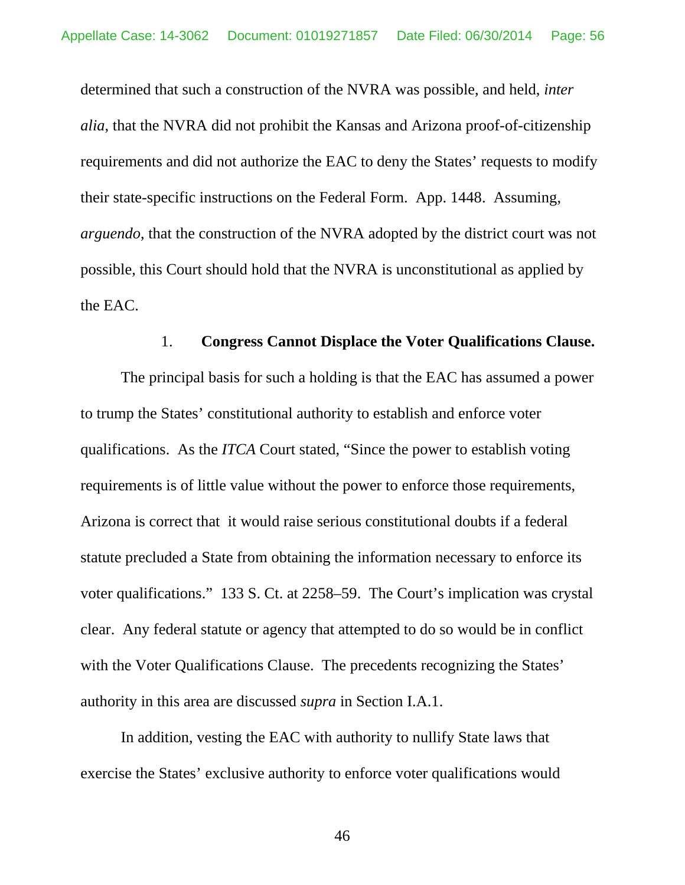determined that such a construction of the NVRA was possible, and held, *inter alia*, that the NVRA did not prohibit the Kansas and Arizona proof-of-citizenship requirements and did not authorize the EAC to deny the States' requests to modify their state-specific instructions on the Federal Form. App. 1448. Assuming, *arguendo*, that the construction of the NVRA adopted by the district court was not possible, this Court should hold that the NVRA is unconstitutional as applied by the EAC.

### 1. **Congress Cannot Displace the Voter Qualifications Clause.**

The principal basis for such a holding is that the EAC has assumed a power to trump the States' constitutional authority to establish and enforce voter qualifications. As the *ITCA* Court stated, "Since the power to establish voting requirements is of little value without the power to enforce those requirements, Arizona is correct that it would raise serious constitutional doubts if a federal statute precluded a State from obtaining the information necessary to enforce its voter qualifications." 133 S. Ct. at 2258–59. The Court's implication was crystal clear. Any federal statute or agency that attempted to do so would be in conflict with the Voter Qualifications Clause. The precedents recognizing the States' authority in this area are discussed *supra* in Section I.A.1.

In addition, vesting the EAC with authority to nullify State laws that exercise the States' exclusive authority to enforce voter qualifications would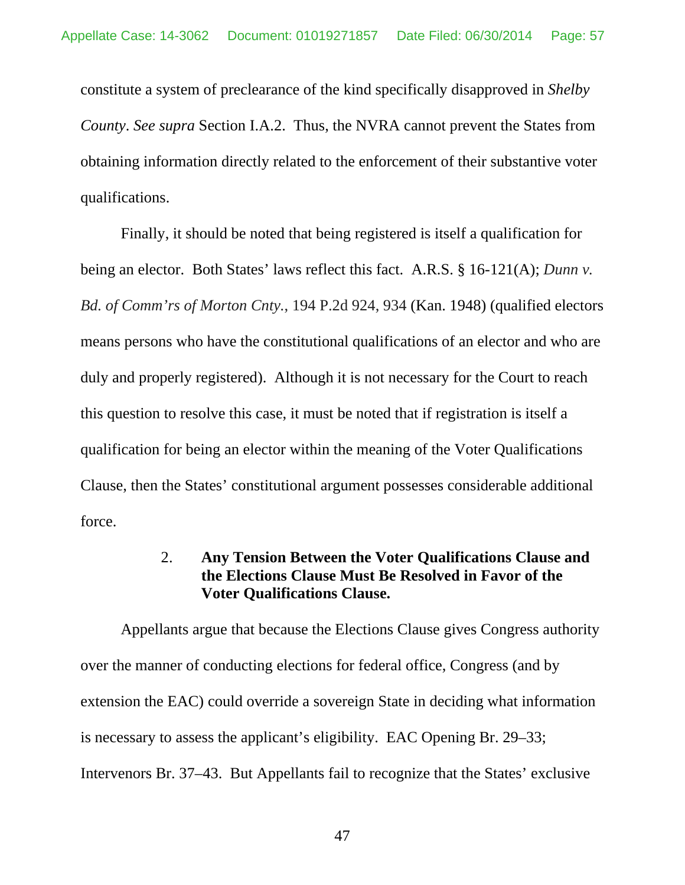constitute a system of preclearance of the kind specifically disapproved in *Shelby County*. *See supra* Section I.A.2. Thus, the NVRA cannot prevent the States from obtaining information directly related to the enforcement of their substantive voter qualifications.

Finally, it should be noted that being registered is itself a qualification for being an elector. Both States' laws reflect this fact. A.R.S. § 16-121(A); *Dunn v. Bd. of Comm'rs of Morton Cnty.*, 194 P.2d 924, 934 (Kan. 1948) (qualified electors means persons who have the constitutional qualifications of an elector and who are duly and properly registered). Although it is not necessary for the Court to reach this question to resolve this case, it must be noted that if registration is itself a qualification for being an elector within the meaning of the Voter Qualifications Clause, then the States' constitutional argument possesses considerable additional force.

### 2. **Any Tension Between the Voter Qualifications Clause and the Elections Clause Must Be Resolved in Favor of the Voter Qualifications Clause.**

Appellants argue that because the Elections Clause gives Congress authority over the manner of conducting elections for federal office, Congress (and by extension the EAC) could override a sovereign State in deciding what information is necessary to assess the applicant's eligibility. EAC Opening Br. 29–33; Intervenors Br. 37–43. But Appellants fail to recognize that the States' exclusive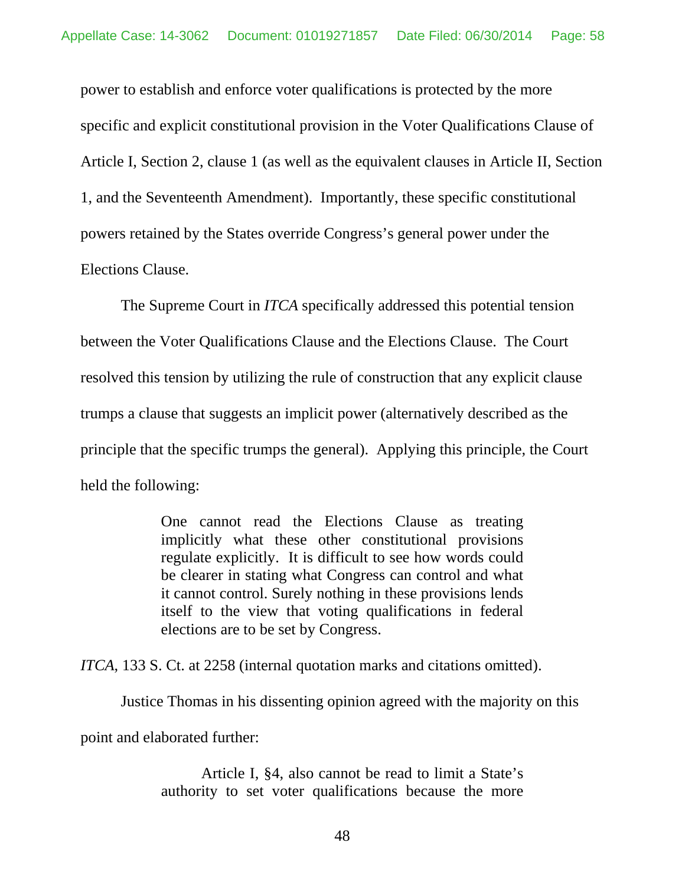power to establish and enforce voter qualifications is protected by the more specific and explicit constitutional provision in the Voter Qualifications Clause of Article I, Section 2, clause 1 (as well as the equivalent clauses in Article II, Section 1, and the Seventeenth Amendment). Importantly, these specific constitutional powers retained by the States override Congress's general power under the Elections Clause.

The Supreme Court in *ITCA* specifically addressed this potential tension between the Voter Qualifications Clause and the Elections Clause. The Court resolved this tension by utilizing the rule of construction that any explicit clause trumps a clause that suggests an implicit power (alternatively described as the principle that the specific trumps the general). Applying this principle, the Court held the following:

> One cannot read the Elections Clause as treating implicitly what these other constitutional provisions regulate explicitly. It is difficult to see how words could be clearer in stating what Congress can control and what it cannot control. Surely nothing in these provisions lends itself to the view that voting qualifications in federal elections are to be set by Congress.

*ITCA*, 133 S. Ct. at 2258 (internal quotation marks and citations omitted).

Justice Thomas in his dissenting opinion agreed with the majority on this

point and elaborated further:

Article I, §4, also cannot be read to limit a State's authority to set voter qualifications because the more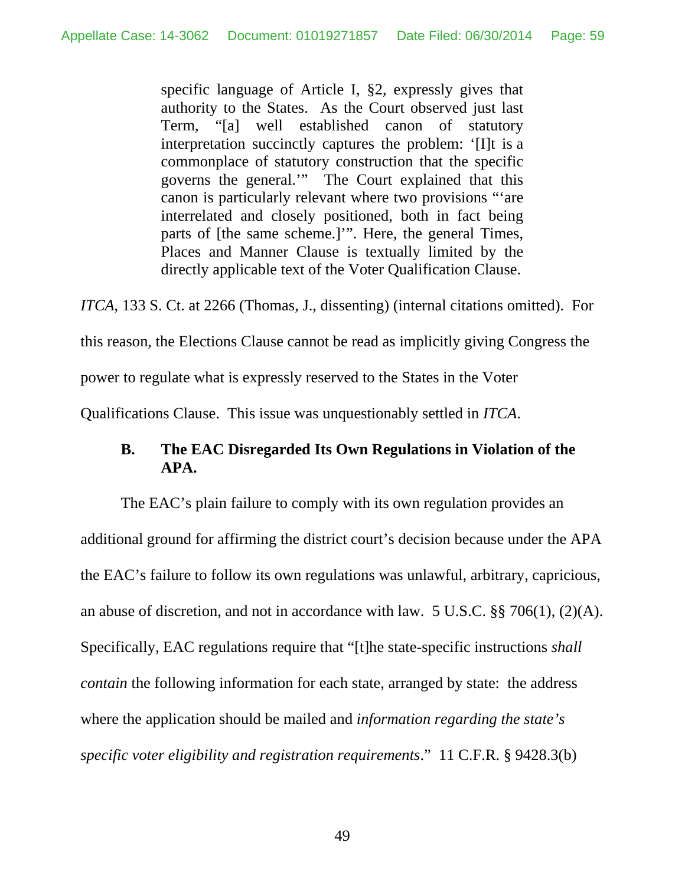specific language of Article I, §2, expressly gives that authority to the States. As the Court observed just last Term, "[a] well established canon of statutory interpretation succinctly captures the problem: '[I]t is a commonplace of statutory construction that the specific governs the general.'" The Court explained that this canon is particularly relevant where two provisions "'are interrelated and closely positioned, both in fact being parts of [the same scheme.]'". Here, the general Times, Places and Manner Clause is textually limited by the directly applicable text of the Voter Qualification Clause.

*ITCA*, 133 S. Ct. at 2266 (Thomas, J., dissenting) (internal citations omitted). For this reason, the Elections Clause cannot be read as implicitly giving Congress the power to regulate what is expressly reserved to the States in the Voter

Qualifications Clause. This issue was unquestionably settled in *ITCA*.

## **B. The EAC Disregarded Its Own Regulations in Violation of the APA.**

The EAC's plain failure to comply with its own regulation provides an additional ground for affirming the district court's decision because under the APA the EAC's failure to follow its own regulations was unlawful, arbitrary, capricious, an abuse of discretion, and not in accordance with law. 5 U.S.C. §§ 706(1), (2)(A). Specifically, EAC regulations require that "[t]he state-specific instructions *shall contain* the following information for each state, arranged by state: the address where the application should be mailed and *information regarding the state's specific voter eligibility and registration requirements*." 11 C.F.R. § 9428.3(b)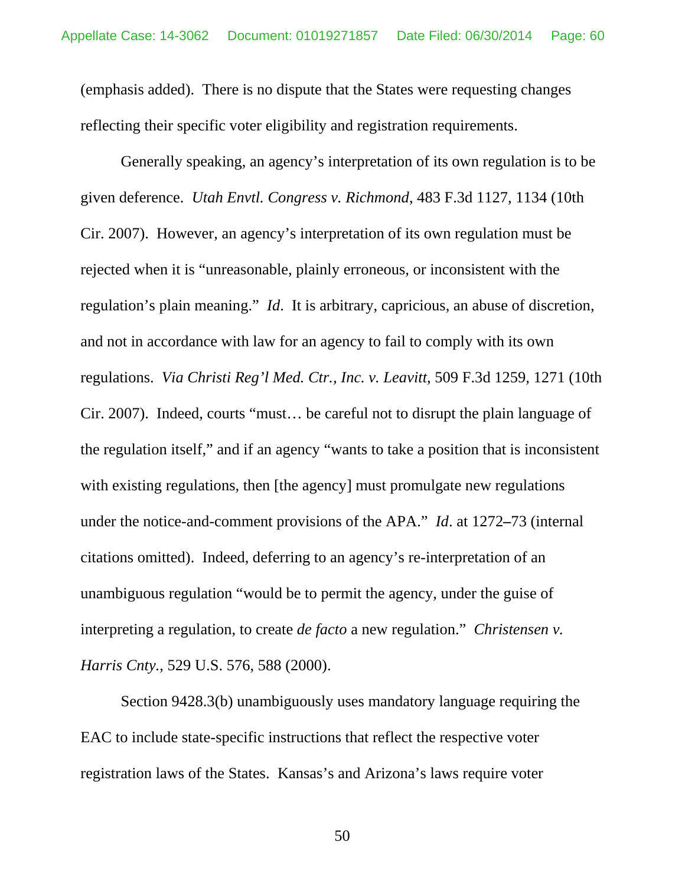(emphasis added). There is no dispute that the States were requesting changes reflecting their specific voter eligibility and registration requirements.

Generally speaking, an agency's interpretation of its own regulation is to be given deference. *Utah Envtl. Congress v. Richmond*, 483 F.3d 1127, 1134 (10th Cir. 2007). However, an agency's interpretation of its own regulation must be rejected when it is "unreasonable, plainly erroneous, or inconsistent with the regulation's plain meaning." *Id*. It is arbitrary, capricious, an abuse of discretion, and not in accordance with law for an agency to fail to comply with its own regulations. *Via Christi Reg'l Med. Ctr., Inc. v. Leavitt*, 509 F.3d 1259, 1271 (10th Cir. 2007). Indeed, courts "must… be careful not to disrupt the plain language of the regulation itself," and if an agency "wants to take a position that is inconsistent with existing regulations, then [the agency] must promulgate new regulations under the notice-and-comment provisions of the APA." *Id*. at 1272**–**73 (internal citations omitted). Indeed, deferring to an agency's re-interpretation of an unambiguous regulation "would be to permit the agency, under the guise of interpreting a regulation, to create *de facto* a new regulation." *Christensen v. Harris Cnty.*, 529 U.S. 576, 588 (2000).

<span id="page-59-0"></span>Section 9428.3(b) unambiguously uses mandatory language requiring the EAC to include state-specific instructions that reflect the respective voter registration laws of the States. Kansas's and Arizona's laws require voter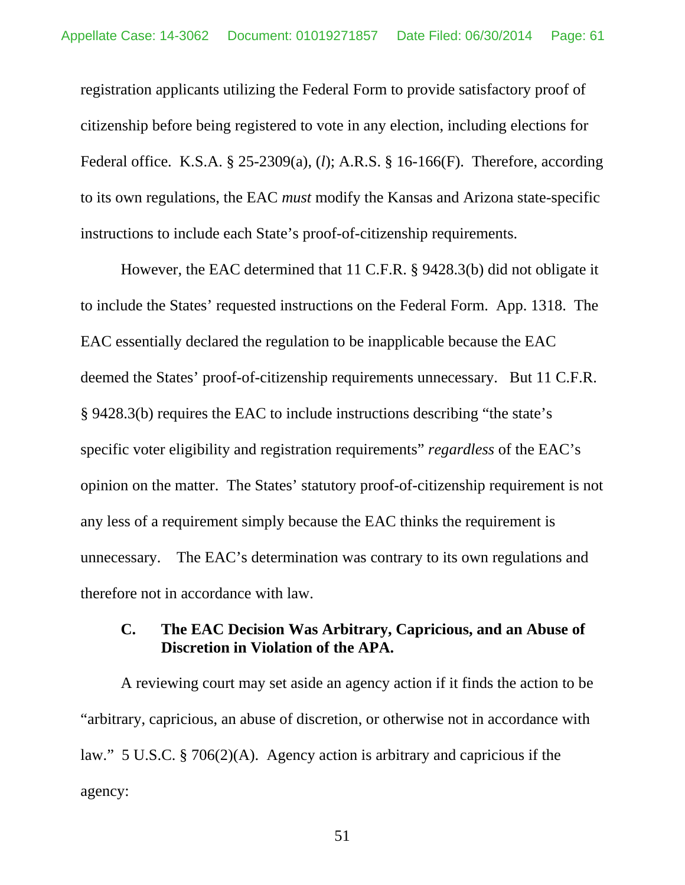registration applicants utilizing the Federal Form to provide satisfactory proof of citizenship before being registered to vote in any election, including elections for Federal office. K.S.A. § 25-2309(a), (*l*); A.R.S. § 16-166(F). Therefore, according to its own regulations, the EAC *must* modify the Kansas and Arizona state-specific instructions to include each State's proof-of-citizenship requirements.

However, the EAC determined that 11 C.F.R. § 9428.3(b) did not obligate it to include the States' requested instructions on the Federal Form. App. 1318. The EAC essentially declared the regulation to be inapplicable because the EAC deemed the States' proof-of-citizenship requirements unnecessary. But 11 C.F.R. § 9428.3(b) requires the EAC to include instructions describing "the state's specific voter eligibility and registration requirements" *regardless* of the EAC's opinion on the matter. The States' statutory proof-of-citizenship requirement is not any less of a requirement simply because the EAC thinks the requirement is unnecessary. The EAC's determination was contrary to its own regulations and therefore not in accordance with law.

# **C. The EAC Decision Was Arbitrary, Capricious, and an Abuse of Discretion in Violation of the APA.**

A reviewing court may set aside an agency action if it finds the action to be "arbitrary, capricious, an abuse of discretion, or otherwise not in accordance with law." 5 U.S.C. § 706(2)(A). Agency action is arbitrary and capricious if the agency: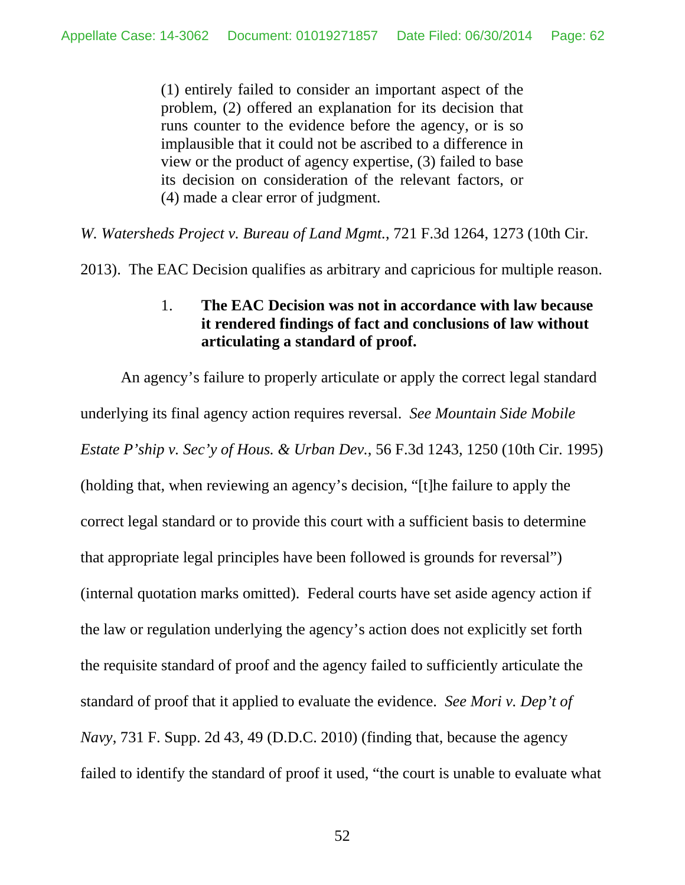(1) entirely failed to consider an important aspect of the problem, (2) offered an explanation for its decision that runs counter to the evidence before the agency, or is so implausible that it could not be ascribed to a difference in view or the product of agency expertise, (3) failed to base its decision on consideration of the relevant factors, or (4) made a clear error of judgment.

*W. Watersheds Project v. Bureau of Land Mgmt.*, 721 F.3d 1264, 1273 (10th Cir.

2013). The EAC Decision qualifies as arbitrary and capricious for multiple reason.

# 1. **The EAC Decision was not in accordance with law because it rendered findings of fact and conclusions of law without articulating a standard of proof.**

An agency's failure to properly articulate or apply the correct legal standard underlying its final agency action requires reversal. *See Mountain Side Mobile Estate P'ship v. Sec'y of Hous. & Urban Dev.*, 56 F.3d 1243, 1250 (10th Cir. 1995) (holding that, when reviewing an agency's decision, "[t]he failure to apply the correct legal standard or to provide this court with a sufficient basis to determine that appropriate legal principles have been followed is grounds for reversal") (internal quotation marks omitted). Federal courts have set aside agency action if the law or regulation underlying the agency's action does not explicitly set forth the requisite standard of proof and the agency failed to sufficiently articulate the standard of proof that it applied to evaluate the evidence. *See Mori v. Dep't of Navy*, 731 F. Supp. 2d 43, 49 (D.D.C. 2010) (finding that, because the agency failed to identify the standard of proof it used, "the court is unable to evaluate what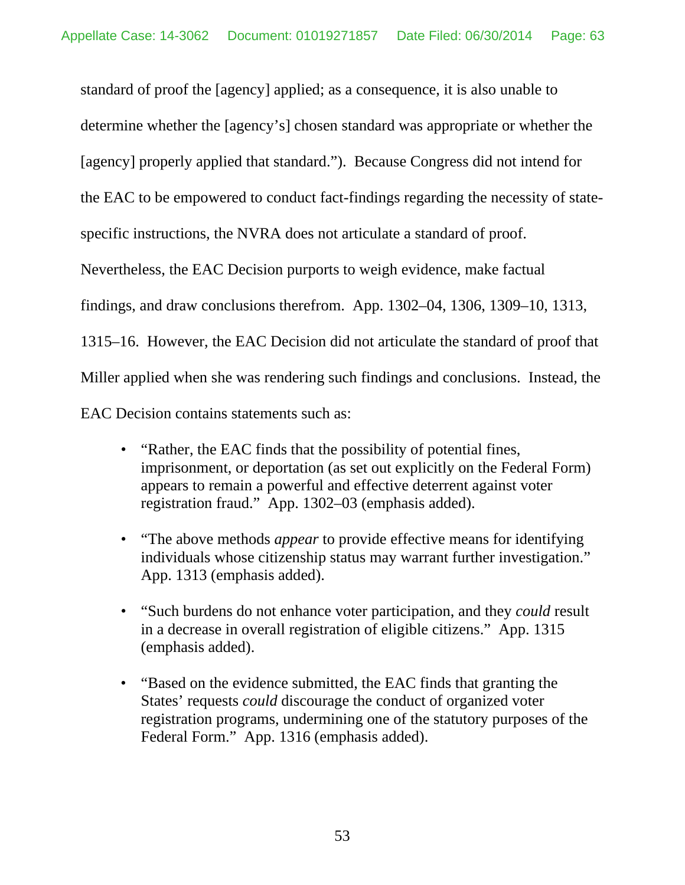standard of proof the [agency] applied; as a consequence, it is also unable to determine whether the [agency's] chosen standard was appropriate or whether the [agency] properly applied that standard."). Because Congress did not intend for the EAC to be empowered to conduct fact-findings regarding the necessity of statespecific instructions, the NVRA does not articulate a standard of proof. Nevertheless, the EAC Decision purports to weigh evidence, make factual findings, and draw conclusions therefrom. App. 1302–04, 1306, 1309–10, 1313, 1315–16. However, the EAC Decision did not articulate the standard of proof that Miller applied when she was rendering such findings and conclusions. Instead, the EAC Decision contains statements such as:

- "Rather, the EAC finds that the possibility of potential fines, imprisonment, or deportation (as set out explicitly on the Federal Form) appears to remain a powerful and effective deterrent against voter registration fraud." App. 1302–03 (emphasis added).
- "The above methods *appear* to provide effective means for identifying individuals whose citizenship status may warrant further investigation." App. 1313 (emphasis added).
- "Such burdens do not enhance voter participation, and they *could* result in a decrease in overall registration of eligible citizens." App. 1315 (emphasis added).
- "Based on the evidence submitted, the EAC finds that granting the States' requests *could* discourage the conduct of organized voter registration programs, undermining one of the statutory purposes of the Federal Form." App. 1316 (emphasis added).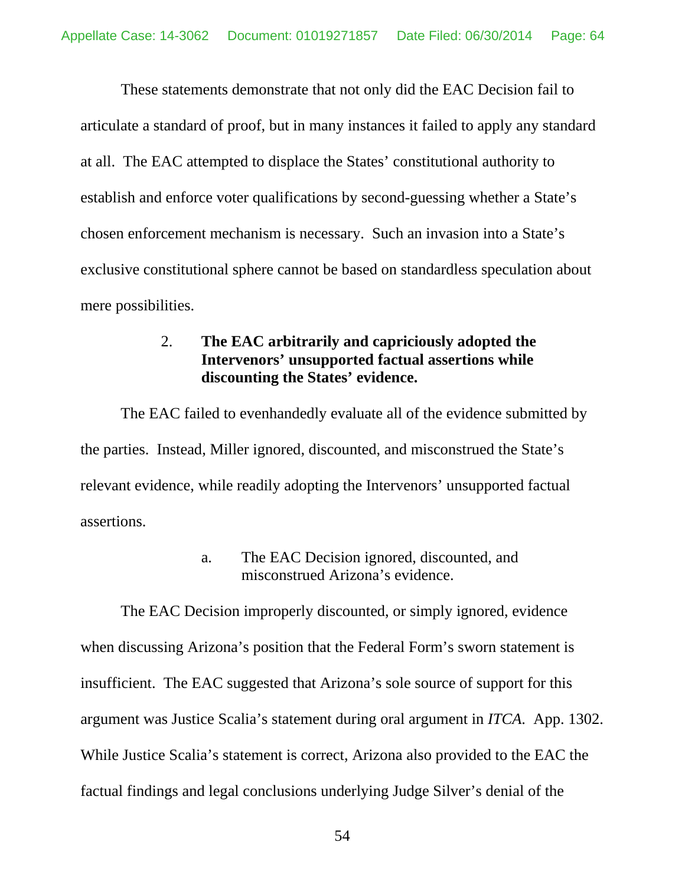These statements demonstrate that not only did the EAC Decision fail to articulate a standard of proof, but in many instances it failed to apply any standard at all. The EAC attempted to displace the States' constitutional authority to establish and enforce voter qualifications by second-guessing whether a State's chosen enforcement mechanism is necessary. Such an invasion into a State's exclusive constitutional sphere cannot be based on standardless speculation about mere possibilities.

# 2. **The EAC arbitrarily and capriciously adopted the Intervenors' unsupported factual assertions while discounting the States' evidence.**

The EAC failed to evenhandedly evaluate all of the evidence submitted by the parties. Instead, Miller ignored, discounted, and misconstrued the State's relevant evidence, while readily adopting the Intervenors' unsupported factual assertions.

## a. The EAC Decision ignored, discounted, and misconstrued Arizona's evidence.

The EAC Decision improperly discounted, or simply ignored, evidence when discussing Arizona's position that the Federal Form's sworn statement is insufficient. The EAC suggested that Arizona's sole source of support for this argument was Justice Scalia's statement during oral argument in *ITCA*. App. 1302. While Justice Scalia's statement is correct, Arizona also provided to the EAC the factual findings and legal conclusions underlying Judge Silver's denial of the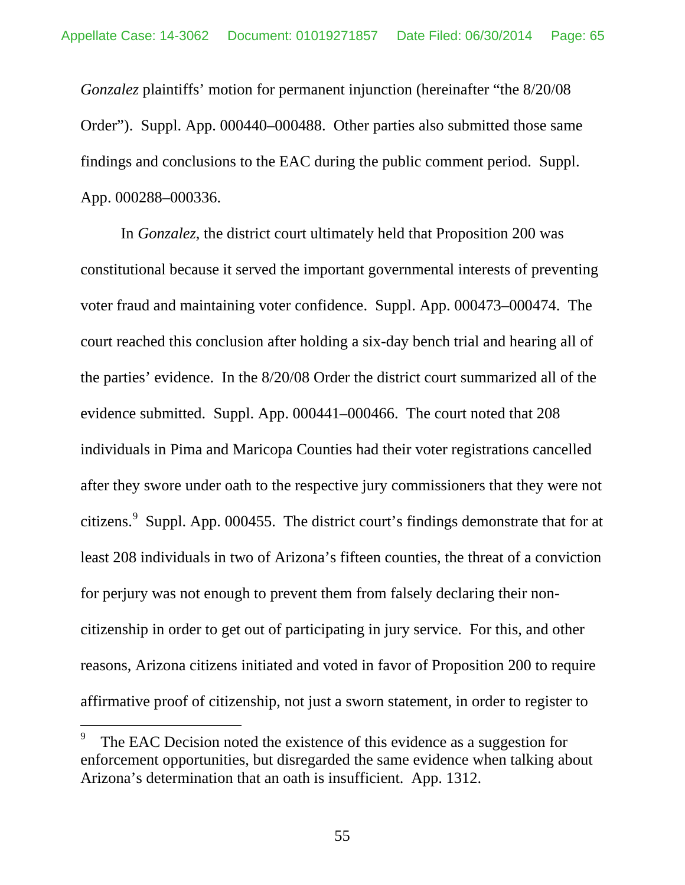*Gonzalez* plaintiffs' motion for permanent injunction (hereinafter "the 8/20/08 Order"). Suppl. App. 000440–000488. Other parties also submitted those same findings and conclusions to the EAC during the public comment period. Suppl. App. 000288–000336.

In *Gonzalez*, the district court ultimately held that Proposition 200 was constitutional because it served the important governmental interests of preventing voter fraud and maintaining voter confidence. Suppl. App. 000473–000474. The court reached this conclusion after holding a six-day bench trial and hearing all of the parties' evidence. In the 8/20/08 Order the district court summarized all of the evidence submitted. Suppl. App. 000441–000466. The court noted that 208 individuals in Pima and Maricopa Counties had their voter registrations cancelled after they swore under oath to the respective jury commissioners that they were not citizens. Suppl. App. 000455. The district court's findings demonstrate that for at least 208 individuals in two of Arizona's fifteen counties, the threat of a conviction for perjury was not enough to prevent them from falsely declaring their noncitizenship in order to get out of participating in jury service. For this, and other reasons, Arizona citizens initiated and voted in favor of Proposition 200 to require affirmative proof of citizenship, not just a sworn statement, in order to register to

The EAC Decision noted the existence of this evidence as a suggestion for enforcement opportunities, but disregarded the same evidence when talking about Arizona's determination that an oath is insufficient. App. 1312.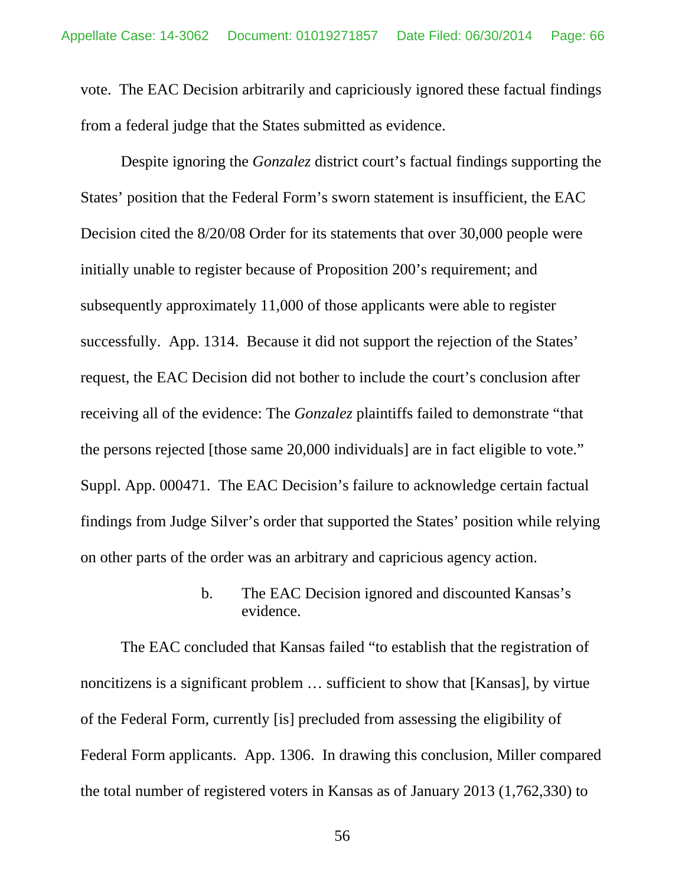vote. The EAC Decision arbitrarily and capriciously ignored these factual findings from a federal judge that the States submitted as evidence.

Despite ignoring the *Gonzalez* district court's factual findings supporting the States' position that the Federal Form's sworn statement is insufficient, the EAC Decision cited the 8/20/08 Order for its statements that over 30,000 people were initially unable to register because of Proposition 200's requirement; and subsequently approximately 11,000 of those applicants were able to register successfully. App. 1314. Because it did not support the rejection of the States' request, the EAC Decision did not bother to include the court's conclusion after receiving all of the evidence: The *Gonzalez* plaintiffs failed to demonstrate "that the persons rejected [those same 20,000 individuals] are in fact eligible to vote." Suppl. App. 000471. The EAC Decision's failure to acknowledge certain factual findings from Judge Silver's order that supported the States' position while relying on other parts of the order was an arbitrary and capricious agency action.

> b. The EAC Decision ignored and discounted Kansas's evidence.

The EAC concluded that Kansas failed "to establish that the registration of noncitizens is a significant problem … sufficient to show that [Kansas], by virtue of the Federal Form, currently [is] precluded from assessing the eligibility of Federal Form applicants. App. 1306. In drawing this conclusion, Miller compared the total number of registered voters in Kansas as of January 2013 (1,762,330) to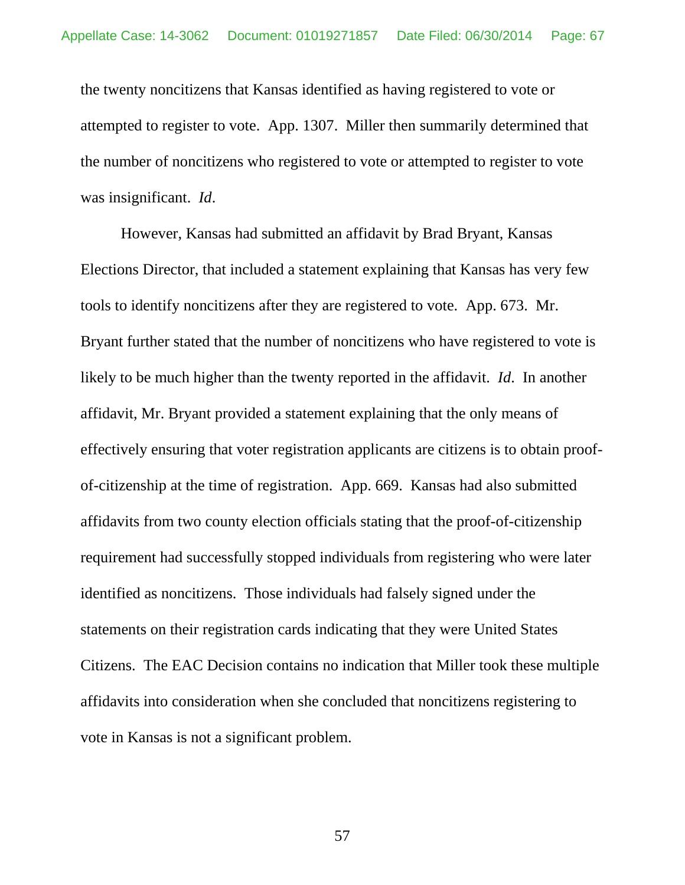the twenty noncitizens that Kansas identified as having registered to vote or attempted to register to vote. App. 1307. Miller then summarily determined that the number of noncitizens who registered to vote or attempted to register to vote was insignificant. *Id*.

However, Kansas had submitted an affidavit by Brad Bryant, Kansas Elections Director, that included a statement explaining that Kansas has very few tools to identify noncitizens after they are registered to vote. App. 673. Mr. Bryant further stated that the number of noncitizens who have registered to vote is likely to be much higher than the twenty reported in the affidavit. *Id*. In another affidavit, Mr. Bryant provided a statement explaining that the only means of effectively ensuring that voter registration applicants are citizens is to obtain proofof-citizenship at the time of registration. App. 669. Kansas had also submitted affidavits from two county election officials stating that the proof-of-citizenship requirement had successfully stopped individuals from registering who were later identified as noncitizens. Those individuals had falsely signed under the statements on their registration cards indicating that they were United States Citizens. The EAC Decision contains no indication that Miller took these multiple affidavits into consideration when she concluded that noncitizens registering to vote in Kansas is not a significant problem.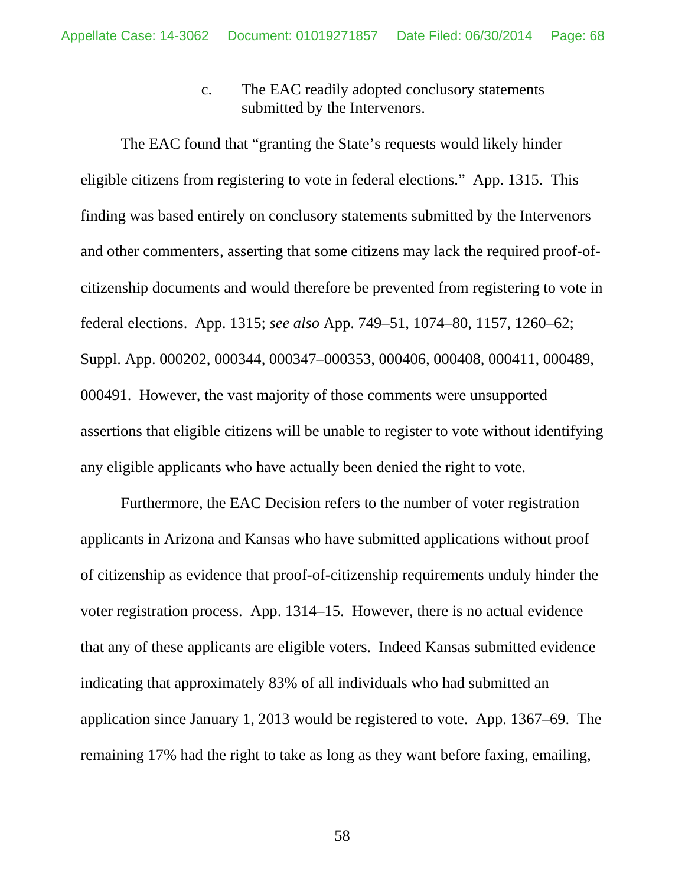c. The EAC readily adopted conclusory statements submitted by the Intervenors.

The EAC found that "granting the State's requests would likely hinder eligible citizens from registering to vote in federal elections." App. 1315. This finding was based entirely on conclusory statements submitted by the Intervenors and other commenters, asserting that some citizens may lack the required proof-ofcitizenship documents and would therefore be prevented from registering to vote in federal elections. App. 1315; *see also* App. 749–51, 1074–80, 1157, 1260–62; Suppl. App. 000202, 000344, 000347–000353, 000406, 000408, 000411, 000489, 000491.However, the vast majority of those comments were unsupported assertions that eligible citizens will be unable to register to vote without identifying any eligible applicants who have actually been denied the right to vote.

Furthermore, the EAC Decision refers to the number of voter registration applicants in Arizona and Kansas who have submitted applications without proof of citizenship as evidence that proof-of-citizenship requirements unduly hinder the voter registration process. App. 1314–15. However, there is no actual evidence that any of these applicants are eligible voters. Indeed Kansas submitted evidence indicating that approximately 83% of all individuals who had submitted an application since January 1, 2013 would be registered to vote. App. 1367–69. The remaining 17% had the right to take as long as they want before faxing, emailing,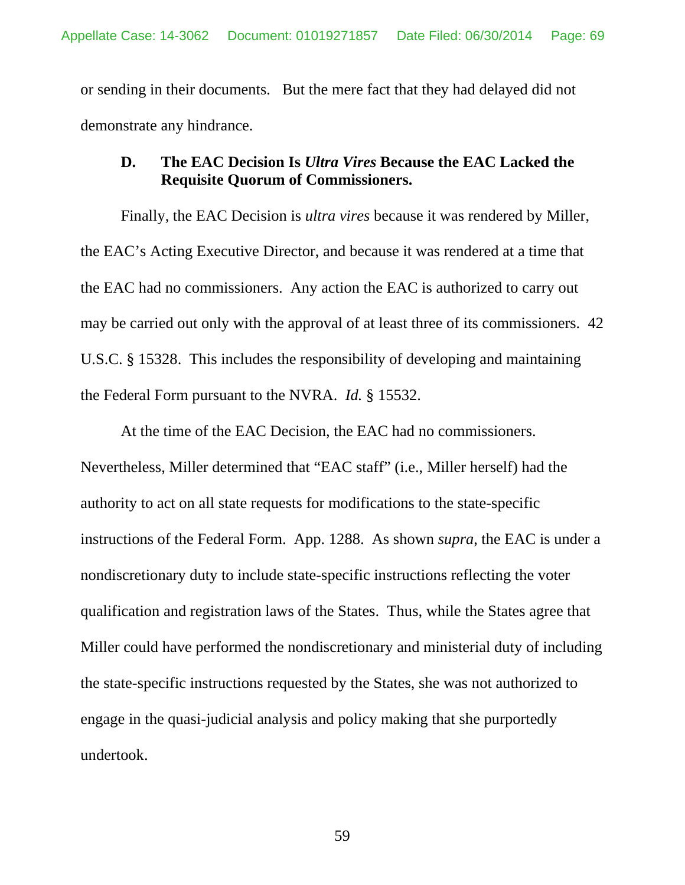or sending in their documents. But the mere fact that they had delayed did not demonstrate any hindrance.

### **D. The EAC Decision Is** *Ultra Vires* **Because the EAC Lacked the Requisite Quorum of Commissioners.**

Finally, the EAC Decision is *ultra vires* because it was rendered by Miller, the EAC's Acting Executive Director, and because it was rendered at a time that the EAC had no commissioners. Any action the EAC is authorized to carry out may be carried out only with the approval of at least three of its commissioners. 42 U.S.C. § 15328. This includes the responsibility of developing and maintaining the Federal Form pursuant to the NVRA. *Id.* § 15532.

At the time of the EAC Decision, the EAC had no commissioners. Nevertheless, Miller determined that "EAC staff" (i.e., Miller herself) had the authority to act on all state requests for modifications to the state-specific instructions of the Federal Form. App. 1288. As shown *supra*, the EAC is under a nondiscretionary duty to include state-specific instructions reflecting the voter qualification and registration laws of the States. Thus, while the States agree that Miller could have performed the nondiscretionary and ministerial duty of including the state-specific instructions requested by the States, she was not authorized to engage in the quasi-judicial analysis and policy making that she purportedly undertook.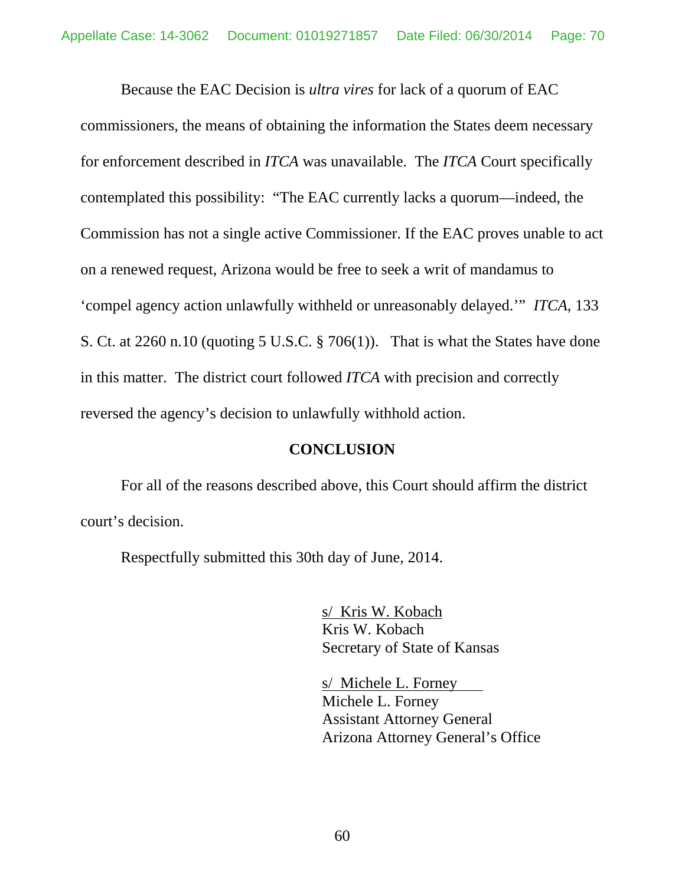Because the EAC Decision is *ultra vires* for lack of a quorum of EAC commissioners, the means of obtaining the information the States deem necessary for enforcement described in *ITCA* was unavailable. The *ITCA* Court specifically contemplated this possibility: "The EAC currently lacks a quorum—indeed, the Commission has not a single active Commissioner. If the EAC proves unable to act on a renewed request, Arizona would be free to seek a writ of mandamus to 'compel agency action unlawfully withheld or unreasonably delayed.'" *ITCA*, 133 S. Ct. at 2260 n.10 (quoting [5 U.S.C. §](https://www.lexis.com/research/buttonTFLink?_m=3eea5f56c921aa736c78528cdc348aa3&_xfercite=%3ccite%20cc%3d%22USA%22%3e%3c%21%5bCDATA%5b133%20S.%20Ct.%202247%5d%5d%3e%3c%2fcite%3e&_butType=4&_butStat=0&_butNum=370&_butInline=1&_butinfo=5%20U.S.C.%20706&_fmtstr=FULL&docnum=1&_startdoc=1&wchp=dGLbVzB-zSkAA&_md5=f424ad4c134c472469c4c9506bafb599) 706(1)). That is what the States have done in this matter. The district court followed *ITCA* with precision and correctly reversed the agency's decision to unlawfully withhold action.

#### **CONCLUSION**

For all of the reasons described above, this Court should affirm the district court's decision.

Respectfully submitted this 30th day of June, 2014.

s/ Kris W. Kobach Kris W. Kobach Secretary of State of Kansas

s/ Michele L. Forney Michele L. Forney Assistant Attorney General Arizona Attorney General's Office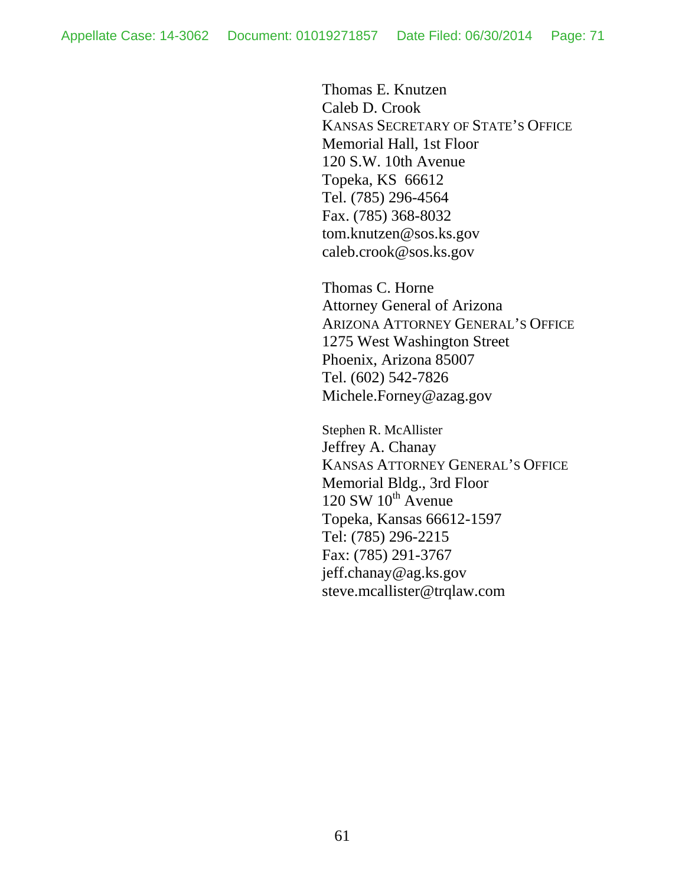Thomas E. Knutzen Caleb D. Crook KANSAS SECRETARY OF STATE'S OFFICE Memorial Hall, 1st Floor 120 S.W. 10th Avenue Topeka, KS 66612 Tel. (785) 296-4564 Fax. (785) 368-8032 tom.knutzen@sos.ks.gov caleb.crook@sos.ks.gov

Thomas C. Horne Attorney General of Arizona ARIZONA ATTORNEY GENERAL'S OFFICE 1275 West Washington Street Phoenix, Arizona 85007 Tel. (602) 542-7826 Michele.Forney@azag.gov

Stephen R. McAllister Jeffrey A. Chanay KANSAS ATTORNEY GENERAL'S OFFICE Memorial Bldg., 3rd Floor  $120$  SW  $10^{th}$  Avenue Topeka, Kansas 66612-1597 Tel: (785) 296-2215 Fax: (785) 291-3767 jeff.chanay@ag.ks.gov steve.mcallister@trqlaw.com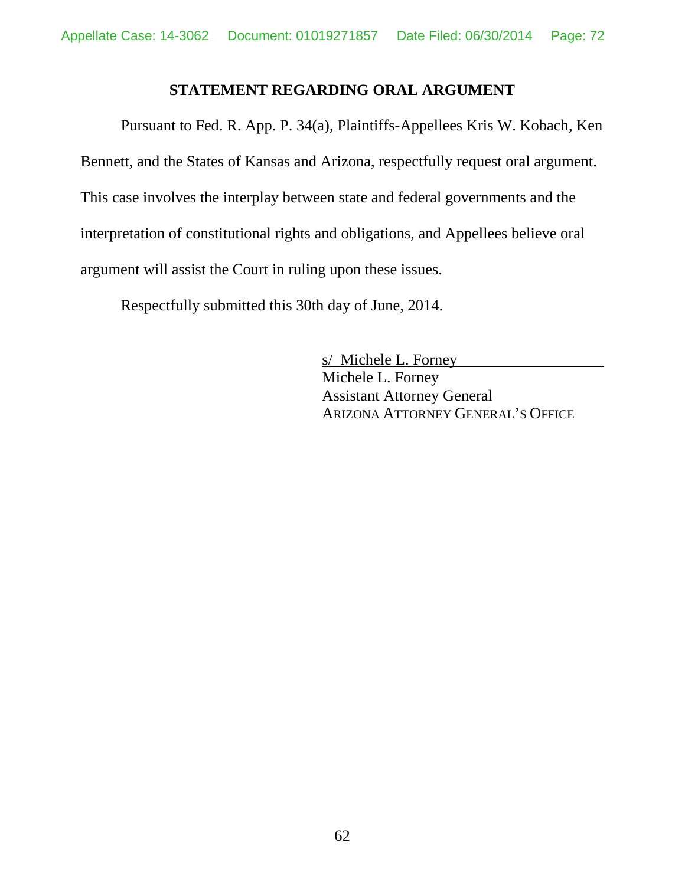### **STATEMENT REGARDING ORAL ARGUMENT**

Pursuant to Fed. R. App. P. 34(a), Plaintiffs-Appellees Kris W. Kobach, Ken Bennett, and the States of Kansas and Arizona, respectfully request oral argument. This case involves the interplay between state and federal governments and the interpretation of constitutional rights and obligations, and Appellees believe oral argument will assist the Court in ruling upon these issues.

Respectfully submitted this 30th day of June, 2014.

s/ Michele L. Forney Michele L. Forney Assistant Attorney General ARIZONA ATTORNEY GENERAL'S OFFICE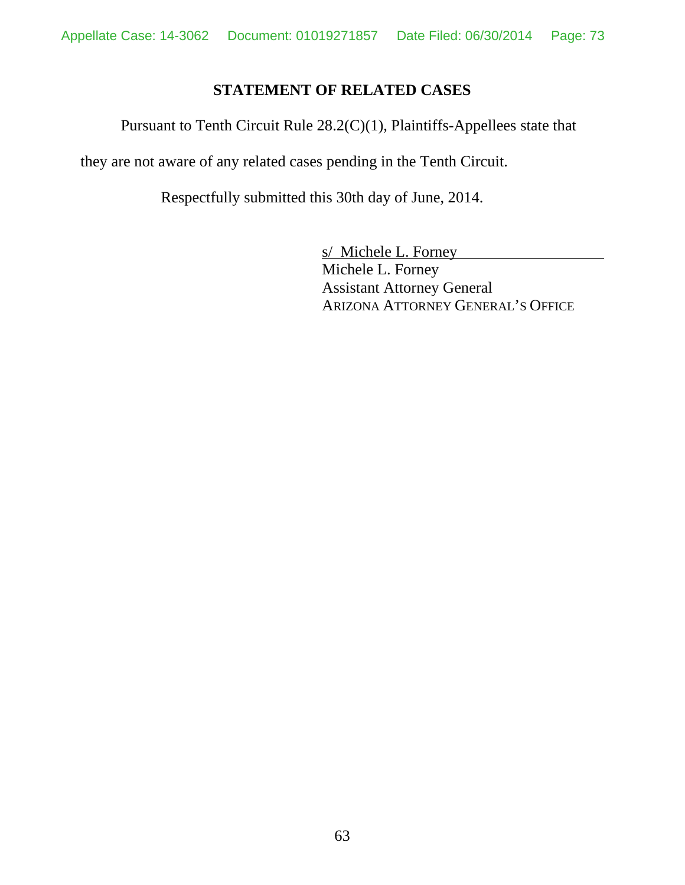## **STATEMENT OF RELATED CASES**

Pursuant to Tenth Circuit Rule 28.2(C)(1), Plaintiffs-Appellees state that

they are not aware of any related cases pending in the Tenth Circuit.

Respectfully submitted this 30th day of June, 2014.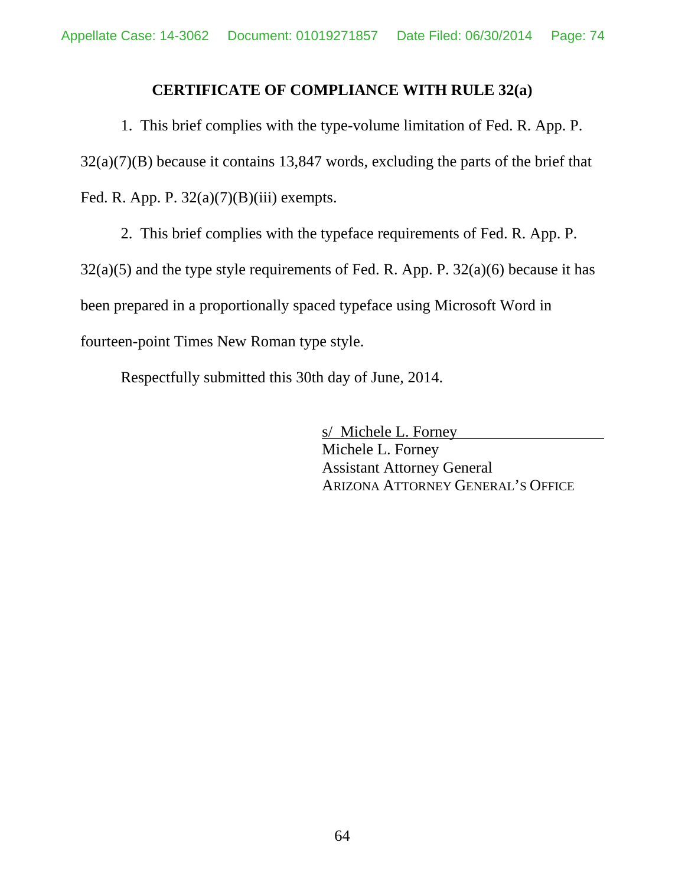## **CERTIFICATE OF COMPLIANCE WITH RULE 32(a)**

1. This brief complies with the type-volume limitation of Fed. R. App. P. 32(a)(7)(B) because it contains 13,847 words, excluding the parts of the brief that Fed. R. App. P.  $32(a)(7)(B)(iii)$  exempts.

2. This brief complies with the typeface requirements of Fed. R. App. P.  $32(a)(5)$  and the type style requirements of Fed. R. App. P.  $32(a)(6)$  because it has been prepared in a proportionally spaced typeface using Microsoft Word in fourteen-point Times New Roman type style.

Respectfully submitted this 30th day of June, 2014.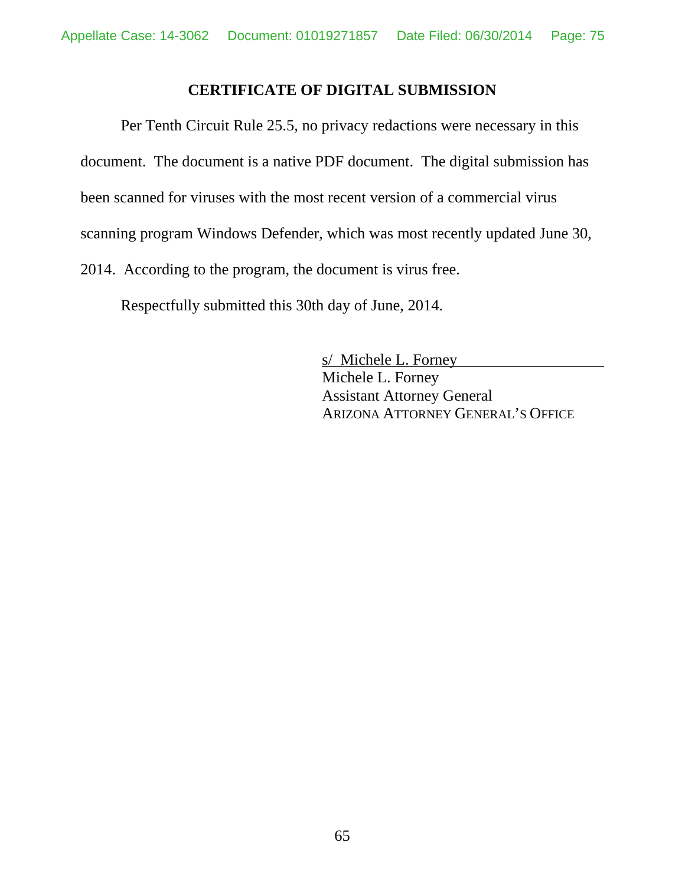## **CERTIFICATE OF DIGITAL SUBMISSION**

Per Tenth Circuit Rule 25.5, no privacy redactions were necessary in this document. The document is a native PDF document. The digital submission has been scanned for viruses with the most recent version of a commercial virus scanning program Windows Defender, which was most recently updated June 30, 2014. According to the program, the document is virus free.

Respectfully submitted this 30th day of June, 2014.